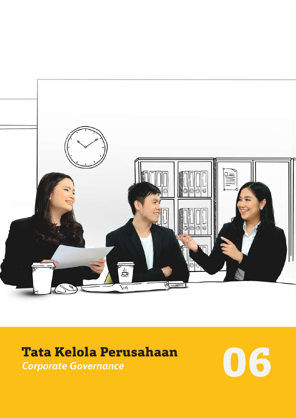

# **Tata Kelola Perusahaan** *Corporate Governance* **06**

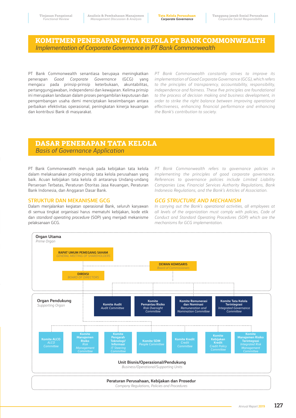# **KOMITMEN PENERAPAN TATA KELOLA PT BANK COMMONWEALTH**  *Implementation of Corporate Governance in PT Bank Commonwealth*

PT Bank Commonwealth senantiasa berupaya meningkatkan penerapan *Good Corporate Governance* (GCG) yang mengacu pada prinsip-prinsip keterbukaan, akuntabilitas, pertanggungjawaban, independensi dan kewajaran. Kelima prinsip ini merupakan landasan dalam proses pengambilan keputusan dan pengembangan usaha demi menciptakan keseimbangan antara perbaikan efektivitas operasional, peningkatan kinerja keuangan dan kontribusi Bank di masyarakat.

*PT Bank Commonwealth constantly strives to improve its implementation of Good Corporate Governance (GCG), which refers to the principles of transparency, accountability, responsibility, independence and fairness. These five principles are foundational to the process of decision making and business development, in order to strike the right balance between improving operational effectiveness, enhancing financial performance and enhancing the Bank's contribution to society.*

# **DASAR PENERAPAN TATA KELOLA**  *Basis of Governance Application*

PT Bank Commonwealth merujuk pada kebijakan tata kelola dalam melaksanakan prinsip-prinsip tata kelola perusahaan yang baik. Acuan kebijakan tata kelola di antaranya Undang-undang Perseroan Terbatas, Peraturan Otoritas Jasa Keuangan, Peraturan Bank Indonesia, dan Anggaran Dasar Bank.

### **STRUKTUR DAN MEKANISME GCG**

Dalam menjalankan kegiatan operasional Bank, seluruh karyawan di semua tingkat organisasi harus mematuhi kebijakan, kode etik dan *standard operating procedure* (SOP) yang menjadi mekanisme pelaksanaan GCG.

*PT Bank Commonwealth refers to governance policies in implementing the principles of good corporate governance. References to governance policies include Limited Liability Companies Law, Financial Services Authority Regulations, Bank Indonesia Regulations, and the Bank's Articles of Association.*

# *GCG STRUCTURE AND MECHANISM*

*In carrying out the Bank's operational activities, all employees at all levels of the organization must comply with policies, Code of Conduct and Standard Operating Procedures (SOP) which are the mechanisms for GCG implementation.*

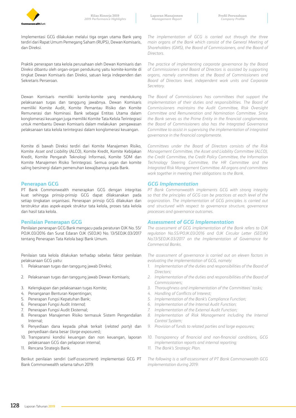

**Laporan Manajemen** *Management Report*

Implementasi GCG dilakukan melalui tiga organ utama Bank yang terdiri dari Rapat Umum Pemegang Saham (RUPS), Dewan Komisaris, dan Direksi.

Praktik penerapan tata kelola perusahaan oleh Dewan Komisaris dan Direksi dibantu oleh organ-organ pendukung yaitu komite-komite di tingkat Dewan Komisaris dan Direksi, satuan kerja independen dan Sekretaris Perseroan.

Dewan Komisaris memiliki komite-komite yang mendukung pelaksanaan tugas dan tanggung jawabnya. Dewan Komisaris memiliki Komite Audit, Komite Pemantau Risiko dan Komite Remunerasi dan Nominasi. Bank sebagai Entitas Utama dalam konglomerasi keuangan juga memiliki Komite Tata Kelola Terintegrasi untuk membantu Dewan Komisaris dalam melakukan pengawasan pelaksanaan tata kelola terintegrasi dalam konglomerasi keuangan.

Komite di bawah Direksi terdiri dari Komite Manajemen Risiko, Komite *Asset and Liability* (ALCO), Komite Kredit, Komite Kebijakan Kredit, Komite Pengarah Teknologi Informasi, Komite SDM dan Komite Manajemen Risiko Terintegrasi. Semua organ dan komite saling bersinergi dalam pemenuhan kewajibannya pada Bank.

### **Penerapan GCG**

PT Bank Commonwealth menerapkan GCG dengan integritas kuat sehingga prinsip-prinsip GCG dapat dilaksanakan pada setiap tingkatan organisasi. Penerapan prinsip GCG dilakukan dan terstruktur atas aspek-aspek struktur tata kelola, proses tata kelola dan hasil tata kelola.

### **Penilaian Penerapan GCG**

Penilaian penerapan GCG Bank mengacu pada peraturan OJK No. 55/ POJK.03/2016 dan Surat Edaran OJK (SEOJK) No. 13/SEOJK.03/2017 tentang Penerapan Tata Kelola bagi Bank Umum.

Penilaian tata kelola dilakukan terhadap sebelas faktor penilaian pelaksanaan GCG yaitu:

- 1. Pelaksanaan tugas dan tanggung jawab Direksi;
- 2. Pelaksanaan tugas dan tanggung jawab Dewan Komisaris;
- 3. Kelengkapan dan pelaksanaan tugas Komite;
- 4. Penanganan Benturan Kepentingan;
- 5. Penerapan Fungsi Kepatuhan Bank;
- 6. Penerapan Fungsi Audit *Internal*;
- 7. Penerapan Fungsi Audit Eksternal;
- 8. Penerapan Manajemen Risiko termasuk Sistem Pengendalian Internal;
- 9. Penyediaan dana kepada pihak terkait (*related party*) dan penyediaan dana besar (*large exposures*);
- 10. Transparansi kondisi keuangan dan non keuangan, laporan pelaksanaan GCG dan pelaporan internal;
- 11. Rencana Strategis Bank.

Berikut penilaian sendiri (*self*-*assessment*) implementasi GCG PT Bank Commonwealth selama tahun 2019:

*The implementation of GCG is carried out through the three main organs of the Bank which consist of the General Meeting of Shareholders (GMS), the Board of Commissioners, and the Board of Directors.*

*The practice of implementing corporate governance by the Board of Commissioners and Board of Directors is assisted by supporting organs, namely committees at the Board of Commissioners and Board of Directors level, independent work units and Corporate Secretary.*

*The Board of Commissioners has committees that support the implementation of their duties and responsibilities. The Board of Commissioners maintains the Audit Committee, Risk Oversight Committee and Remuneration and Nomination Committee. Since the Bank serves as the Prime Entity in the financial conglomerate, the Board of Commissioners also has the Integrated Governance Committee to assist in supervising the implementation of integrated governance in the financial conglomerate.*

*Committees under the Board of Directors consists of the Risk Management Committee, the Asset and Liability Committee (ALCO), the Credit Committee, the Credit Policy Committee, the Information Technology Steering Committee, the HR Committee and the Integrated Risk Management Committee. All organs and committees work together in meeting their obligations to the Bank.*

### *GCG Implementation*

*PT Bank Commonwealth implements GCG with strong integrity so that the principles of GCG can be practices at each level of the organization. The implementation of GCG principles is carried out and structured with respect to governance structure, governance processes and governance outcomes.*

### *Assessment of GCG Implementation*

*The assessment of GCG implementation of the Bank refers to OJK regulation No.55/POJK.03/2016 and OJK Circular Letter (SEOJK) No.13/SEOJK.03/2017 on the Implementation of Governance for Commercial Banks.*

*The assessment of governance is carried out on eleven factors in evaluating the implementation of GCG, namely:*

- *1. Implementation of the duties and responsibilities of the Board of Directors;*
- *2. Implementation of the duties and responsibilities of the Board of Commissioners;*
- *3. Thoroughness and implementation of the Committees' tasks;*
- *4. Handling of Conflicts of Interest;*
- *5. Implementation of the Bank's Compliance Function;*
- *6. Implementation of the Internal Audit Function;*
- *7. Implementation of the External Audit Function;*
- 8. *Implementation of Risk Management including the Internal Control System;*
- *9. Provision of funds to related parties and large exposures;*
- *10. Transparency of financial and non-financial conditions, GCG implementation reports and internal reporting;*
- *11. The Bank's Strategic Plan.*

*The following is a self-assessment of PT Bank Commonwealth GCG implementation during 2019:*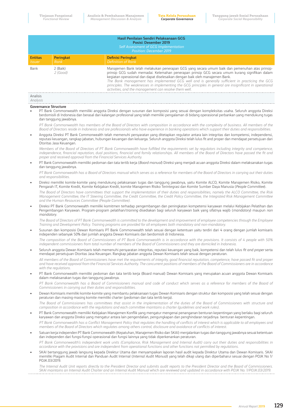|                                                                                                                                                                                                                                                                                                                                                                                                                                                                                                                                                                                          |                                                                         |                                                                                                | Hasil Penilaian Sendiri Pelaksanaan GCG<br>Posisi: Desember 2019                                                                                                                                                                                                                                                                                                                                                                                                                                                                                                                                                                                                                                                                                                                                                                                                                                                      |  |  |  |  |  |  |
|------------------------------------------------------------------------------------------------------------------------------------------------------------------------------------------------------------------------------------------------------------------------------------------------------------------------------------------------------------------------------------------------------------------------------------------------------------------------------------------------------------------------------------------------------------------------------------------|-------------------------------------------------------------------------|------------------------------------------------------------------------------------------------|-----------------------------------------------------------------------------------------------------------------------------------------------------------------------------------------------------------------------------------------------------------------------------------------------------------------------------------------------------------------------------------------------------------------------------------------------------------------------------------------------------------------------------------------------------------------------------------------------------------------------------------------------------------------------------------------------------------------------------------------------------------------------------------------------------------------------------------------------------------------------------------------------------------------------|--|--|--|--|--|--|
|                                                                                                                                                                                                                                                                                                                                                                                                                                                                                                                                                                                          | Self Assessment of GCG Implementation<br><b>Position: December 2019</b> |                                                                                                |                                                                                                                                                                                                                                                                                                                                                                                                                                                                                                                                                                                                                                                                                                                                                                                                                                                                                                                       |  |  |  |  |  |  |
| <b>Entitas</b><br>Issuer                                                                                                                                                                                                                                                                                                                                                                                                                                                                                                                                                                 |                                                                         | <b>Peringkat</b><br>Rank                                                                       | <b>Definisi Peringkat</b><br><b>Definition of Rank</b>                                                                                                                                                                                                                                                                                                                                                                                                                                                                                                                                                                                                                                                                                                                                                                                                                                                                |  |  |  |  |  |  |
| Manajemen Bank telah melakukan penerapan GCG yang secara umum baik dan pemenuhan atas prinsip-<br>2 (Baik)<br>Bank<br>2 (Good)<br>prinsip GCG sudah memadai. Kelemahan penerapan prinsip GCG secara umum kurang signifikan dalam<br>kegiatan operasional dan dapat diselesaikan dengan baik oleh manajemen Bank.<br>The Bank management has implemented GCG well and is generally sufficient in practicing the GCG<br>principles. The weaknesses in implementing the GCG principles in general are insignificant in operational<br>activities, and the management can resolve them well. |                                                                         |                                                                                                |                                                                                                                                                                                                                                                                                                                                                                                                                                                                                                                                                                                                                                                                                                                                                                                                                                                                                                                       |  |  |  |  |  |  |
| Analisis<br>Analysis                                                                                                                                                                                                                                                                                                                                                                                                                                                                                                                                                                     |                                                                         |                                                                                                |                                                                                                                                                                                                                                                                                                                                                                                                                                                                                                                                                                                                                                                                                                                                                                                                                                                                                                                       |  |  |  |  |  |  |
| $\bullet$                                                                                                                                                                                                                                                                                                                                                                                                                                                                                                                                                                                |                                                                         | <b>Governance Structure</b><br>dan tanggung jawabnya.                                          | PT Bank Commonwealth memiliki anggota Direksi dengan susunan dan komposisi yang sesuai dengan kompleksitas usaha. Seluruh anggota Direksi<br>berdomisili di Indonesia dan berasal dari kalangan profesional yang telah memiliki pengalaman di bidang operasional perbankan yang mendukung tugas<br>PT Bank Commonwealth has members of the Board of Directors with composition in accordance with the complexity of business. All members of the<br>Board of Directors reside in Indonesia and are professionals who have experience in banking operations which support their duties and responsibilities.<br>Anggota Direksi PT Bank Commonwealth telah memenuhi persyaratan yang ditetapkan regulator antara lain integritas dan kompetensi, independensi,<br>reputasi keuangan, rangkap jabatan, hubungan keuangan dan keluarga. Seluruh anggota Direksi telah lulus fit and proper dan mendapat persetujuan dari |  |  |  |  |  |  |
|                                                                                                                                                                                                                                                                                                                                                                                                                                                                                                                                                                                          |                                                                         | Otoritas Jasa Keuangan.<br>proper and received approval from the Financial Services Authority. | Members of the Board of Directors of PT Bank Commonwealth have fulfilled the requirements set by regulators including integrity and competence,<br>independence, financial reputation, dual positions, financial and family relationships. All members of the Board of Directors have passed the fit and                                                                                                                                                                                                                                                                                                                                                                                                                                                                                                                                                                                                              |  |  |  |  |  |  |
| $\bullet$                                                                                                                                                                                                                                                                                                                                                                                                                                                                                                                                                                                |                                                                         | dan tanggung jawabnya.                                                                         | PT Bank Commonwealth memiliki pedoman dan tata tertib kerja (Board manual) Direksi yang menjadi acuan anggota Direksi dalam melaksanakan tugas                                                                                                                                                                                                                                                                                                                                                                                                                                                                                                                                                                                                                                                                                                                                                                        |  |  |  |  |  |  |
|                                                                                                                                                                                                                                                                                                                                                                                                                                                                                                                                                                                          |                                                                         | and responsibilities.                                                                          | PT Bank Commonwealth has a Board of Directors manual which serves as a reference for members of the Board of Directors in carrying out their duties                                                                                                                                                                                                                                                                                                                                                                                                                                                                                                                                                                                                                                                                                                                                                                   |  |  |  |  |  |  |
| $\bullet$                                                                                                                                                                                                                                                                                                                                                                                                                                                                                                                                                                                |                                                                         |                                                                                                | Direksi memiliki komite-komite yang mendukung pelaksanaan tugas dan tanggung jawabnya, yaitu Komite ALCO, Komite Manajemen Risiko, Komite<br>Pengarah IT, Komite Kredit, Komite Kebijakan Kredit, komite Manajemen Risiko Terintegrasi dan Komite Sumber Daya Manusia (People Committee).<br>The Board of Directors have committees that support the implementation of their duties and responsibilities, namely the ALCO Committee, the Risk                                                                                                                                                                                                                                                                                                                                                                                                                                                                         |  |  |  |  |  |  |
|                                                                                                                                                                                                                                                                                                                                                                                                                                                                                                                                                                                          |                                                                         | and the Human Resources Committee (People Committee).                                          | Management Committee, the IT Steering Committee, the Credit Committee, the Credit Policy Committee, the Integrated Risk Management Committee                                                                                                                                                                                                                                                                                                                                                                                                                                                                                                                                                                                                                                                                                                                                                                          |  |  |  |  |  |  |
| $\bullet$                                                                                                                                                                                                                                                                                                                                                                                                                                                                                                                                                                                | mandatory.                                                              |                                                                                                | Direksi PT Bank Commonwealth memiliki komitmen terhadap pengembangan dan peningkatan kompetensi karyawan melalui Kebijakan Pelatihan dan<br>Pengembangan Karyawan. Program-program pelatihan/training disediakan bagi seluruh karyawan baik yang sifatnya wajib (mandatory) maupun non                                                                                                                                                                                                                                                                                                                                                                                                                                                                                                                                                                                                                                |  |  |  |  |  |  |
|                                                                                                                                                                                                                                                                                                                                                                                                                                                                                                                                                                                          |                                                                         |                                                                                                | The Board of Directors of PT Bank Commonwealth is committed to the development and improvement of employee competencies through the Employee<br>Training and Development Policy. Training programs are provided for all employees both mandatory and non-mandatory.                                                                                                                                                                                                                                                                                                                                                                                                                                                                                                                                                                                                                                                   |  |  |  |  |  |  |
| $\bullet$                                                                                                                                                                                                                                                                                                                                                                                                                                                                                                                                                                                |                                                                         |                                                                                                | Susunan dan komposisi Dewan Komisaris PT Bank Commonwealth telah sesuai dengan ketentuan yaitu terdiri dari 4 orang dengan jumlah komisaris<br>independen sebanyak 50% dari jumlah anggota Dewan Komisaris dan berdomisili di Indonesia.                                                                                                                                                                                                                                                                                                                                                                                                                                                                                                                                                                                                                                                                              |  |  |  |  |  |  |
|                                                                                                                                                                                                                                                                                                                                                                                                                                                                                                                                                                                          |                                                                         |                                                                                                | The composition of the Board of Commissioners of PT Bank Commonwealth is in accordance with the provisions. It consists of 4 people with 50%<br>independent commissioners from total number of members of the Board of Commissioners and they are domiciled in Indonesia.<br>Seluruh anggota Dewan Komisaris telah memenuhi persyaratan integritas, reputasi keuangan yang baik, kompetensi dan telah lulus fit and proper serta                                                                                                                                                                                                                                                                                                                                                                                                                                                                                      |  |  |  |  |  |  |
|                                                                                                                                                                                                                                                                                                                                                                                                                                                                                                                                                                                          |                                                                         | with the regulations.                                                                          | mendapat persetujuan Otoritas Jasa Keuangan. Rangkap jabatan anggota Dewan Komisaris telah sesuai dengan peraturan.<br>All members of the Board of Commissioners have met the requirements of integrity, good financial reputation, competence, have passed fit and proper<br>and have received approval from the Financial Services Authority. The concurrent positions of members of the Board of Commissioners are in accordance                                                                                                                                                                                                                                                                                                                                                                                                                                                                                   |  |  |  |  |  |  |
| $\bullet$                                                                                                                                                                                                                                                                                                                                                                                                                                                                                                                                                                                |                                                                         | dalam melaksanakan tugas dan tanggung jawabnya.                                                | PT Bank Commonwealth memiliki pedoman dan tata tertib kerja (Board manual) Dewan Komisaris yang merupakan acuan anggota Dewan Komisaris                                                                                                                                                                                                                                                                                                                                                                                                                                                                                                                                                                                                                                                                                                                                                                               |  |  |  |  |  |  |
|                                                                                                                                                                                                                                                                                                                                                                                                                                                                                                                                                                                          |                                                                         | Commissioners in carrying out their duties and responsibilities.                               | PT Bank Commonwealth has a Board of Commissioners manual and code of conduct which serves as a reference for members of the Board of                                                                                                                                                                                                                                                                                                                                                                                                                                                                                                                                                                                                                                                                                                                                                                                  |  |  |  |  |  |  |
| $\bullet$                                                                                                                                                                                                                                                                                                                                                                                                                                                                                                                                                                                |                                                                         |                                                                                                | Dewan Komisaris memiliki komite-komite yang membantu pelaksanaan tugas Dewan Komisaris dengan struktur dan komposisi yang telah sesuai dengan<br>peraturan dan masing-masing komite memiliki charter (pedoman dan tata tertib kerja).                                                                                                                                                                                                                                                                                                                                                                                                                                                                                                                                                                                                                                                                                 |  |  |  |  |  |  |
|                                                                                                                                                                                                                                                                                                                                                                                                                                                                                                                                                                                          |                                                                         |                                                                                                | The Board of Commissioners has committees that assist in the implementation of the duties of the Board of Commissioners with structure and<br>composition in accordance with the regulations and each committee maintains a charter (quidelines and work rules).                                                                                                                                                                                                                                                                                                                                                                                                                                                                                                                                                                                                                                                      |  |  |  |  |  |  |
| $\bullet$                                                                                                                                                                                                                                                                                                                                                                                                                                                                                                                                                                                |                                                                         |                                                                                                | PT Bank Commonwealth memiliki Kebijakan Manajemen Konflik yang mengatur mengenai penanganan benturan kepentingan yang berlaku bagi seluruh<br>karyawan dan anggota Direksi yang mengatur antara lain pengendalian, pengungkapan dan penghindaran terjadinya benturan kepentingan.<br>PT Bank Commonwealth has a Conflict Management Policy that regulates the handling of conflicts of interest which is applicable to all employees and                                                                                                                                                                                                                                                                                                                                                                                                                                                                              |  |  |  |  |  |  |
| $\bullet$                                                                                                                                                                                                                                                                                                                                                                                                                                                                                                                                                                                |                                                                         |                                                                                                | members of the Board of Directors which regulates among others control, disclosure and avoidance of conflicts of interest.<br>Satuan kerja independen PT Bank Commonwealth (Kepatuhan, Manajemen Risiko dan SKAI) menjalankan tugas dan tanggung jawabnya sesuai ketentuan                                                                                                                                                                                                                                                                                                                                                                                                                                                                                                                                                                                                                                            |  |  |  |  |  |  |
|                                                                                                                                                                                                                                                                                                                                                                                                                                                                                                                                                                                          |                                                                         |                                                                                                | dan independen dari fungsi-fungsi operasional dan fungsi lainnya yang tidak diperkenankan peraturan.<br>PT Bank Commonwealth's independent work units (Compliance, Risk Management and Internal Audit) carry out their duties and responsibilities in                                                                                                                                                                                                                                                                                                                                                                                                                                                                                                                                                                                                                                                                 |  |  |  |  |  |  |
|                                                                                                                                                                                                                                                                                                                                                                                                                                                                                                                                                                                          |                                                                         |                                                                                                | accordance with the provisions and are independent from operational functions and other functions not permitted by regulations.                                                                                                                                                                                                                                                                                                                                                                                                                                                                                                                                                                                                                                                                                                                                                                                       |  |  |  |  |  |  |
| $\bullet$                                                                                                                                                                                                                                                                                                                                                                                                                                                                                                                                                                                | POJK.03/2019.                                                           |                                                                                                | SKAI bertanggung jawab langsung kepada Direktur Utama dan menyampaikan laporan hasil audit kepada Direktur Utama dan Dewan Komisaris. SKAI<br>memiliki Piagam Audit Internal dan Panduan Audit Internal (Internal Audit Manual) yang telah dikaji ulang dan diperbaharui sesuai dengan POJK No 1/                                                                                                                                                                                                                                                                                                                                                                                                                                                                                                                                                                                                                     |  |  |  |  |  |  |
|                                                                                                                                                                                                                                                                                                                                                                                                                                                                                                                                                                                          |                                                                         |                                                                                                | The Internal Audit Unit reports directly to the President Director and submits audit reports to the President Director and the Board of Commissioners.<br>SKAI maintains an Internal Audit Charter and an Internal Audit Manual which are reviewed and updated in accordance with POJK No. 1/POJK.03/2019.                                                                                                                                                                                                                                                                                                                                                                                                                                                                                                                                                                                                            |  |  |  |  |  |  |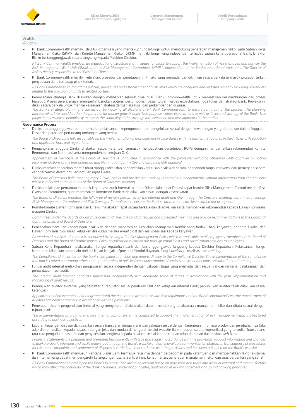

Analisis *Analysis*

> • PT Bank Commonwealth memiliki struktur organisasi yang mencakup fungsi-fungsi untuk mendukung penerapan manajemen risiko, yaitu Satuan Kerja Manajemen Risiko (SKMR) dan Komite Manajemen Risiko. SKMR memiliki fungsi yang independen terhadap satuan kerja operasional Bank. Direktur Risiko bertanggungjawab secara langsung kepada Presiden Direktur.

*PT Bank Commonwealth employs an organizational structure that includes functions to support the implementation of risk management, namely the* Risk Management Work Unit (SKMR) and the Risk Management Committee. SKMR is independent of the Bank's operational work units. The Director of *Risk is directly responsible to the President Director.*

• PT Bank Commonwealth memiliki kebijakan, prosedur dan penetapan limit risiko yang memadai dan dikinikan secara berkala termasuk prosedur terkait penyediaan dana terhadap pihak terkait.

*PT Bank Commonwealth maintains policies, procedures and establishment of risk limits which are adequate and updated regularly including procedures related to the provision of funds to related parties.*

• Perencanaan strategis Bank dilakukan dengan melibatkan seluruh divisi di PT Bank Commonwealth untuk memastikan kesinambungan dari proses tersebut. Proses perencanaan mempertimbangkan potensi pertumbuhan pasar, tujuan, values expectations, juga fokus dan strategi Bank. Proyeksi ini dikaji secara berkala untuk menilai kesesuaian strategi dengan eksekusi dan perkembangan di pasar.

The Bank's strategic planning is carried out by involving all divisions at PT Bank Commonwealth to ensure continuity of the process. The planning *process takes into consideration the potential for market growth, objectives, purpose, values expectations as well as focus and strategy of the Bank. This projection is reviewed periodically to assess the suitability of the strategy with execution and developments in the market.*

### **Governance Process**

• Direksi bertanggung jawab penuh terhadap pelaksanaan kepengurusan dan pengelolaan sesuai dengan kewenangan yang ditetapkan dalam Anggaran Dasar dan peraturan perundang-undangan yang berlaku.

The Board of Directors is fully responsible for the implementation of management in accordance with the authority stipulated in the Articles of Association *and applicable laws and regulations.*

• Pengangkatan anggota Direksi dilakukan sesuai ketentuan termasuk mendapatkan persetujuan RUPS dengan memperhatikan rekomendasi Komite Remunerasi dan Nominasi serta memperoleh persetujuan OJK. *Appointment of members of the Board of Directors is conducted in accordance with the provisions including obtaining GMS approval by noting* 

*recommendations of the Remuneration and Nomination Committee and obtaining OJK approval.*

• Direksi menyelenggarakan rapat 2 (dua) minggu sekali dan pengambilan keputusan dilakukan secara independen tanpa intervensi dari pemegang saham yang tercermin dalam notulen-notulen rapat Direksi.

*The Board of Directors held meeting every 2 (two) weeks and the decision making is carried out independently without intervention from shareholders which is reflected in the minutes of the Board of Directors' meeting.*

• Direksi melakukan pemantauan tindak lanjut hasil audit internal maupun OJK melalui rapat Direksi, rapat komite (Risk Management Committee dan Risk Oversight Committee), guna memastikan komitmen Bank telah dilakukan sesuai dengan kesepakatan.

*The Board of Directors monitors the follow-up of reviews performed by the internal audit and OJK through the Directors' meeting, committee meetings (Risk Management Committee and Risk Oversight Committee), to ensure the Bank's commitments are been carried out as agreed.*

• Komite-komite Dewan Komisaris dan Direksi melakukan rapat secara berkala dan dijadwalkan serta memberikan rekomendasi kepada Dewan Komisaris maupun Direksi.

Committees under the Boards of Commissioners and Directors conduct regular and scheduled meetings and provide recommendations to the Boards of *Commissioners and Board of Directors.* 

- Pencegahan benturan kepentingan dilakukan dengan menerbitkan Kebijakan Manajemen Konflik yang berlaku bagi karyawan, anggota Direksi dan Dewan Komisaris. Sosialisasi kebijakan dilakukan melalui *email blast* dan sesi sosialisasi kepada karyawan. Prevention of conflicts of interest is conducted by issuing a Conflict Management Policy which is applicable to all employees, members of the Board of *Directors and the Board of Commissioners. Policy socialization is carried out through email blasts and socialization sessions to employees.*
- Satuan Kerja Kepatuhan melaksanakan fungsi kepatuhan bank dan bertanggungjawab langsung kepada Direktur Kepatuhan. Pelaksanaan fungsi kepatuhan dilakukan antara lain melalui kajian kebijakan/prosedur/produk/layanan, fungsi *advisory*, sosialisasi dan *training*.

The Compliance Unit carries out the bank's compliance function and reports directly to the Compliance Director. The implementation of the compliance *function is carried out among others through the review of policies/procedures/products/services, advisory functions, socialization and training.*

• Fungsi audit internal melakukan pengawasan secara independen dengan cakupan tugas yang memadai dan sesuai dengan rencana, pelaksanaan dan pemantauan hasil audit.

*The internal audit function conducts supervision independently with adequate scope of duties in accordance with the plan, implementation and monitoring of audit results.*

• Penunjukan auditor eksternal yang terdaftar di regulator sesuai peraturan OJK dan kebijakan internal Bank; penunjukan auditor telah dilakukan sesuai ketentuan.

Appointment of an external auditor registered with the regulator in accordance with OJK regulations and the Bank's internal policies; the appointment of *auditors has been carried out in accordance with the provisions.* 

• Penerapan sistem pengendalian internal yang menyeluruh dilaksanakan dalam mendukung pelaksanaan manajemen risiko dan ditata sesuai dengan tujuan bisnis.

The implementation of a comprehensive internal control system is conducted to support the implementation of risk management and is structured *according to business objectives.*

• Laporan keuangan disusun dan disajikan secara transparan dengan jenis dan cakupan sesuai dengan ketentuan. Informasi produk dan perubahannya (jika ada) diinformasikan kepada nasabah dengan jelas dan mudah dimengerti melalui *website* Bank maupun sarana komunikasi yang tersedia. Transparansi tata cara pengaduan nasabah dan penyelesaian sengketa kepada nasabah sesuai ketentuan dan telah di-upload dalam situs *web* Bank.

*Financial statements are prepared and presented transparently with type and scope in accordance with the provisions. Product information and changes (if any) are clearly informed and easily understood through the Bank's website and other available communication platforms. Transparency of procedures for customer complaints and settlement of disputes is carried out in accordance with the provisions and has been uploaded on the Bank's website.* 

• PT Bank Commonwealth menyusun Rencana Bisnis Bank termasuk revisinya dengan berpedoman pada ketentuan dan memperhatikan faktor eksternal dan internal yang dapat mempengaruhi kelangsungan usaha Bank, prinsip kehati-hatian, penerapan manajemen risiko, dan azas perbankan yang sehat. *PT Bank Commonwealth developed the Bank's Business Plan including revision based on provisions and takes into account external and internal factors which may affect the continuity of the Bank's business, prudential principles, application of risk management and sound banking principles.*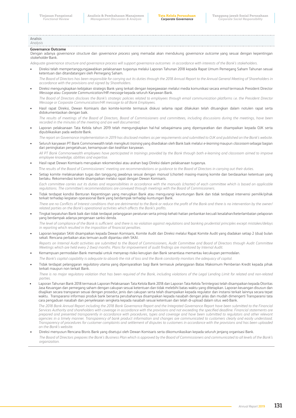Analisis *Analysis*

### **Governance Outcome**

Dengan adanya *governance structure* dan *governance process* yang memadai akan mendukung *governance outcome* yang sesuai dengan kepentingan *stakeholder* Bank.

*Adequate governance structure and governance process will support governance outcomes in accordance with interests of the Bank's stakeholders.*

• Direksi telah mempertanggungjawabkan pelaksanaan tugasnya melalui Laporan Tahunan 2018 kepada Rapat Umum Pemegang Saham Tahunan sesuai ketentuan dan ditandatangani oleh Pemegang Saham.

The Board of Directors has been responsible for carrying out its duties through the 2018 Annual Report to the Annual General Meeting of Shareholders in *accordance with the provisions and signed by Shareholders.*

• Direksi mengungkapkan kebijakan strategis Bank yang terkait dengan kepegawaian melalui media komunikasi secara *email* termasuk President Director *Message* atau *Corporate Communication/HR message* kepada seluruh Karyawan Bank. *The Board of Directors discloses the Bank's strategic policies related to employees through email communication platforms i.e. the President Director* 

*Message or Corporate Communication/HR message to all Bank Employees.*

• Hasil rapat Direksi, Dewan Komisaris dan komite-komite termasuk diskusi selama rapat dilakukan telah dituangkan dalam notulen rapat serta didokumentasikan dengan baik.

The results of meetings of the Board of Directors, Board of Commissioners and committees, including discussions during the meetings, have been *recorded in the minutes of the meeting and are well documented.*

- Laporan pelaksanaan Tata Kelola tahun 2019 telah mengungkapkan hal-hal sebagaimana yang dipersyaratkan dan disampaikan kepada OJK serta dipublikasikan pada *website* Bank.
- *The report on Governance implementation in 2019 has disclosed matters as per requirements and submitted to OJK and published on the Bank's website.* • Seluruh karyawan PT Bank Commonwealth telah mengikuti *training* yang disediakan oleh Bank baik melalui *e-learning* maupun *classroom* sebagai bagian dari peningkatan pengetahuan, kemampuan dan keahlian karyawan.

*All PT Bank Commonwealth employees have participated in trainings provided by the Bank through both e-learning and classroom aimed to improve employee knowledge, abilities and expertise.*

• Hasil rapat Dewan Komisaris merupakan rekomendasi atau arahan bagi Direksi dalam pelaksanaan tugasnya.

T*he results of the Board of Commissioners' meeting are recommendations or guidance to the Board of Directors in carrying out their duties.*

• Setiap komite melaksanakan tugas dan tanggung jawabnya sesuai dengan *manual* (*charter*) masing-masing komite dan berdasarkan ketentuan yang berlaku. Rekomendasi komite disampaikan melalui rapat dengan Dewan Komisaris. Each committee carries out its duties and responsibilities in accordance with the manuals (charter) of each committee which is based on applicable

*regulations. The committee's recommendations are conveyed through meetings with the Board of Commissioners.*

- Tidak terdapat kondisi Benturan Kepentingan yang merugikan Bank atau mengurangi keuntungan Bank dan tidak terdapat intervensi pemilik/pihak terkait terhadap kegiatan operasional Bank yang berdampak terhadap kuntungan Bank. *There are no Conflicts of Interest conditions that are detrimental to the Bank or reduce the profit of the Bank and there is no intervention by the owner/ related parties on the Bank's operational activities which affects the Bank's profits.*
- Tingkat kepatuhan Bank baik dan tidak terdapat pelanggaran peraturan serta prinsip kehati-hatian perbankan kecuali kesalahan/keterlambatan pelaporan yang berdampak adanya pengenaan sanksi denda. *The level of compliance of the Bank is sufficient and there is no violation against regulations and banking prudential principles except mistakes/delays*

*in reporting which resulted in the imposition of financial penalties.*

- Laporan kegiatan SKAI disampaikan kepada Dewan Komisaris, Komite Audit dan Direksi melalui Rapat Komite Audit yang diadakan setiap 2 (dua) bulan sekali. Rencana perbaikan atas temuan audit dipantau oleh SKAI. *Reports on Internal Audit activities are submitted to the Board of Commissioners, Audit Committee and Board of Directors through Audit Committee Meetings which are held every 2 (two) months. Plans for improvement of audit findings are monitored by Internal Audit.*
- Kemampuan permodalan Bank memadai untuk menyerap risiko kerugian dan Bank senantiasa memantau kecukupan permodalan.
- *The Bank's capital capability is adequate to absorb the risk of loss and the Bank constantly monitors the adequacy of capital.*
- Tidak terdapat pelanggaran *regulatory* utama yang dipersyaratkan bagi Bank termasuk pelanggaran Batas Maksimum Pemberian Kredit kepada pihak terkait maupun non terkait Bank.

*There is no major regulatory violation that has been required of the Bank, including violations of the Legal Lending Limit for related and non-related parties.*

• Laporan Tahunan Bank 2018 termasuk Laporan Pelaksanaan Tata Kelola Bank 2018 dan Laporan Tata Kelola Terintegrasi telah disampaikan kepada Otoritas Jasa Keuangan dan pemegang saham dengan cakupan sesuai ketentuan dan tidak melebihi batas waktu yang ditetapkan. Laporan keuangan disusun dan disajikan secara transparan sesuai dengan prosedur, jenis dan cakupan serta telah disampaikan kepada regulator dan instansi terkait lainnya secara tepat waktu. Transparansi informasi produk bank berserta perubahannya disampaikan kepada nasabah dengan jelas dan mudah dimengerti Transparansi tata cara pengaduan nasabah dan penyelesaian sengketa kepada nasabah sesuai ketentuan dan telah di-upload dalam situs *web* Bank.

*The 2018 Bank Annual Report including the 2018 Bank Governance Report and the Integrated Governance Report have been submitted to the Financial Services Authority and shareholders with coverage in accordance with the provisions and not exceeding the specified deadline. Financial statements are prepared and presented transparently in accordance with procedures, types and coverage and have been submitted to regulators and other relevant agencies in a timely manner. Transparency of bank product information and changes are communicated to customers clearly and easily understood. Transparency of procedures for customer complaints and settlement of disputes to customers in accordance with the provisions and has been uploaded on the Bank's website.*

• Direksi menyusun Rencana Bisnis Bank yang disetujui oleh Dewan Komisaris serta dikomunikasikan kepada seluruh jenjang organisasi Bank.

*The Board of Directors prepares the Bank's Business Plan which is approved by the Board of Commissioners and communicated to all levels of the Bank's organization.*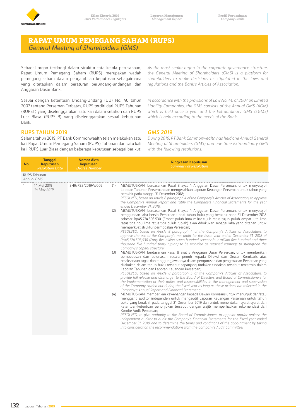

# **RAPAT UMUM PEMEGANG SAHAM (RUPS)**  *General Meeting of Shareholders (GMS)*

Sebagai organ tertinggi dalam struktur tata kelola perusahaan, Rapat Umum Pemegang Saham (RUPS) merupakan wadah pemegang saham dalam pengambilan keputusan sebagaimana yang ditetapkan dalam peraturan perundang-undangan dan Anggaran Dasar Bank.

Sesuai dengan ketentuan Undang-Undang (UU) No. 40 tahun 2007 tentang Perseroan Terbatas, RUPS terdiri dari RUPS Tahunan (RUPST) yang diselenggarakan satu kali dalam setahun dan RUPS Luar Biasa (RUPSLB) yang diselenggarakan sesuai kebutuhan Bank.

### **RUPS TAHUN 2019**

Selama tahun 2019, PT Bank Commonwealth telah melakukan satu kali Rapat Umum Pemegang Saham (RUPS) Tahunan dan satu kali kali RUPS Luar Biasa dengan beberapa keputusan sebagai berikut: *As the most senior organ in the corporate governance structure, the General Meeting of Shareholders (GMS) is a platform for shareholders to make decisions as stipulated in the laws and regulations and the Bank's Articles of Association.*

*In accordance with the provisions of Law No. 40 of 2007 on Limited Liability Companies, the GMS consists of the Annual GMS (AGM) which is held once a year and the Extraordinary GMS (EGMS) which is held according to the needs of the Bank.*

### *GMS 2019*

*During 2019, PT Bank Commonwealth has held one Annual General Meeting of Shareholders (GMS) and one time Extraordinary GMS with the following resolutions:*

| No. | <b>Tanggal</b><br><b>Keputusan</b><br><b>Resolution Date</b> | <b>Nomor Akta</b><br><b>Keputusan</b><br><b>Decree Number</b> | <b>Ringkasan Keputusan</b><br><b>Summary of Resolution</b>                                                                                                                                                                                                                                                                                                                                                                                                                                                                                                                                                                                                                                                                                                                                                                                                                                                                                                                                                                                                                                                                                                                                                                                                                                                                                                                                                                                                                                                                                                                                                                                                                                                                                                                                                                                                                                                                                                                                                                                                                                                                                                                                                                                                                                                                                                                                                                                                                                                                                                                                                                                                                                                                                                                                                                                                                                                                                  |
|-----|--------------------------------------------------------------|---------------------------------------------------------------|---------------------------------------------------------------------------------------------------------------------------------------------------------------------------------------------------------------------------------------------------------------------------------------------------------------------------------------------------------------------------------------------------------------------------------------------------------------------------------------------------------------------------------------------------------------------------------------------------------------------------------------------------------------------------------------------------------------------------------------------------------------------------------------------------------------------------------------------------------------------------------------------------------------------------------------------------------------------------------------------------------------------------------------------------------------------------------------------------------------------------------------------------------------------------------------------------------------------------------------------------------------------------------------------------------------------------------------------------------------------------------------------------------------------------------------------------------------------------------------------------------------------------------------------------------------------------------------------------------------------------------------------------------------------------------------------------------------------------------------------------------------------------------------------------------------------------------------------------------------------------------------------------------------------------------------------------------------------------------------------------------------------------------------------------------------------------------------------------------------------------------------------------------------------------------------------------------------------------------------------------------------------------------------------------------------------------------------------------------------------------------------------------------------------------------------------------------------------------------------------------------------------------------------------------------------------------------------------------------------------------------------------------------------------------------------------------------------------------------------------------------------------------------------------------------------------------------------------------------------------------------------------------------------------------------------------|
|     | <b>RUPS Tahunan</b><br>Annual GMS                            |                                                               |                                                                                                                                                                                                                                                                                                                                                                                                                                                                                                                                                                                                                                                                                                                                                                                                                                                                                                                                                                                                                                                                                                                                                                                                                                                                                                                                                                                                                                                                                                                                                                                                                                                                                                                                                                                                                                                                                                                                                                                                                                                                                                                                                                                                                                                                                                                                                                                                                                                                                                                                                                                                                                                                                                                                                                                                                                                                                                                                             |
| 1   | 14 Mei 2019<br>14 May 2019                                   | SHR/RES/2019/V/002                                            | MEMUTUSKAN, berdasarkan Pasal 8 ayat 4 Anggaran Dasar Perseroan, untuk menyetujui<br>(1)<br>Laporan Tahunan Perseroan dan mengesahkan Laporan Keuangan Perseroan untuk tahun yang<br>berakhir pada tanggal 31 Desember 2018;<br>RESOLVED, based on Article 8 paragraph 4 of the Company's Articles of Association, to approve<br>the Company's Annual Report and ratify the Company's Financial Statements for the year<br>ended December 31, 2018:<br>MEMUTUSKAN, berdasarkan Pasal 8 ayat 4 Anggaran Dasar Perseroan, untuk menyetujui<br>(2)<br>penggunaan laba bersih Perseroan untuk tahun buku yang berakhir pada 31 Desember 2018<br>sebesar Rp45.774.503.530 (Empat puluh lima miliar tujuh ratus tujuh puluh empat juta lima<br>ratus tiga ribu lima ratus tiga puluh rupiah) akan dibukukan sebagai laba yang ditahan untuk<br>memperkuat struktur permodalan Perseroan;<br>RESOLVED, based on Article 8 paragraph 4 of the Company's Articles of Association, to<br>approve the use of the Company's net profit for the fiscal year ended December 31, 2018 of<br>Rp45,774,503,530 (Forty-five billion seven hundred seventy four million five hundred and three<br>thousand five hundred thirty rupiah) to be recorded as retained earnings to strengthen the<br>Company's capital structure;<br>MEMUTUSKAN, berdasarkan Pasal 8 ayat 5 Anggaran Dasar Perseroan, untuk memberikan<br>(3)<br>pembebasan dan pelunasan secara penuh kepada Direksi dan Dewan Komisaris atas<br>pelaksanaan tugas dan tanggungjawabnya dalam pengurusan dan pengawasan Perseroan yang<br>dilakukan dalam tahun buku tersebut sepanjang tindakan-tindakan tersebut tercermin dalam<br>Laporan Tahunan dan Laporan Keuangan Perseroan;<br>RESOLVED, based on Article 8 paragraph 5 of the Company's Articles of Association, to<br>provide full release and discharge to the Board of Directors and Board of Commissioners for<br>the implementation of their duties and responsibilities in the management and supervision<br>of the Company carried out during the fiscal year as long as these actions are reflected in the<br>Company's Annual Report and Financial Statement;<br>MEMUTUSKAN, memberikan kewenangan kepada Dewan Komisaris untuk menunjuk dan/atau<br>(4)<br>mengganti auditor independen untuk mengaudit Laporan Keuangan Perseroan untuk tahun<br>buku yang berakhir pada tanggal 31 Desember 2019 dan untuk menentukan syarat-syarat dan<br>ketentuan-ketentuan penunjukan tersebut dengan wajib memperhatikan rekomendasi dari<br>Komite Audit Perseroan;<br>RESOLVED, to give authority to the Board of Commissioners to appoint and/or replace the<br>independent auditor to audit the Company's Financial Statements for the fiscal year ended<br>December 31, 2019 and to determine the terms and conditions of the appointment by taking<br>into consideration the recommendations from the Company's Audit Committee; |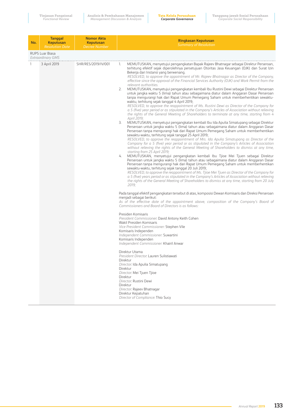| No. | <b>Tanggal</b><br><b>Keputusan</b><br><b>Resolution Date</b> | <b>Nomor Akta</b><br><b>Keputusan</b><br><b>Decree Number</b> | <b>Ringkasan Keputusan</b><br><b>Summary of Resolution</b>                                                                                                                                                                                                                                                                                                                                                                                                                                                                                                                                                                                                                                                                                                                                                                                                                                                                                                                                                                                                                                                                                                                                                                                                                                                                                                                                                                                                                                                                                                                                                                                                                                                                                                                                                                                                                                                                                                                                                                                                                                                                                                                                                                                                                                                                                                                                                                                                                                                                                                                                                                                                                                                                                                                                                                                                                                                                                                                                                                                                                                                                                                                                                                                                                                                              |
|-----|--------------------------------------------------------------|---------------------------------------------------------------|-------------------------------------------------------------------------------------------------------------------------------------------------------------------------------------------------------------------------------------------------------------------------------------------------------------------------------------------------------------------------------------------------------------------------------------------------------------------------------------------------------------------------------------------------------------------------------------------------------------------------------------------------------------------------------------------------------------------------------------------------------------------------------------------------------------------------------------------------------------------------------------------------------------------------------------------------------------------------------------------------------------------------------------------------------------------------------------------------------------------------------------------------------------------------------------------------------------------------------------------------------------------------------------------------------------------------------------------------------------------------------------------------------------------------------------------------------------------------------------------------------------------------------------------------------------------------------------------------------------------------------------------------------------------------------------------------------------------------------------------------------------------------------------------------------------------------------------------------------------------------------------------------------------------------------------------------------------------------------------------------------------------------------------------------------------------------------------------------------------------------------------------------------------------------------------------------------------------------------------------------------------------------------------------------------------------------------------------------------------------------------------------------------------------------------------------------------------------------------------------------------------------------------------------------------------------------------------------------------------------------------------------------------------------------------------------------------------------------------------------------------------------------------------------------------------------------------------------------------------------------------------------------------------------------------------------------------------------------------------------------------------------------------------------------------------------------------------------------------------------------------------------------------------------------------------------------------------------------------------------------------------------------------------------------------------------------|
|     | <b>RUPS Luar Biasa</b><br><b>Extraordinary GMS</b>           |                                                               |                                                                                                                                                                                                                                                                                                                                                                                                                                                                                                                                                                                                                                                                                                                                                                                                                                                                                                                                                                                                                                                                                                                                                                                                                                                                                                                                                                                                                                                                                                                                                                                                                                                                                                                                                                                                                                                                                                                                                                                                                                                                                                                                                                                                                                                                                                                                                                                                                                                                                                                                                                                                                                                                                                                                                                                                                                                                                                                                                                                                                                                                                                                                                                                                                                                                                                                         |
| 1   | 3 April 2019                                                 | SHR/RES/2019/IV/001                                           | MEMUTUSKAN, menyetujui pengangkatan Bapak Rajeev Bhatnagar sebagai Direktur Perseroan,<br>1.<br>terhitung efektif sejak diperolehnya persetujuan Otoritas Jasa Keuangan (OJK) dan Surat Izin<br>Bekerja dari Instansi yang berwenang.<br>RESOLVED, to approve the appointment of Mr. Rajeev Bhatnagar as Director of the Company,<br>effective since the approval of the Financial Services Authority (OJK) and Work Permit from the<br>relevant authorities.<br>2.<br>MEMUTUSKAN, menyetujui pengangkatan kembali Ibu Rustini Dewi sebagai Direktur Perseroan<br>untuk jangka waktu 5 (lima) tahun atau sebagaimana diatur dalam Anggaran Dasar Perseroan<br>tanpa mengurangi hak dari Rapat Umum Pemegang Saham untuk memberhentikan sewaktu-<br>waktu, terhitung sejak tanggal 4 April 2019;<br>RESOLVED, to approve the reappointment of Ms. Rustini Dewi as Director of the Company for<br>a 5 (five) year period or as stipulated in the Company's Articles of Association without relieving<br>the rights of the General Meeting of Shareholders to terminate at any time, starting from 4<br>April 2019;<br>3.<br>MEMUTUSKAN, menyetujui pengangkatan kembali Ibu Ida Apulia Simatupang sebagai Direktur<br>Perseroan untuk jangka waktu 5 (lima) tahun atau sebagaimana diatur dalam Anggaran Dasar<br>Perseroan tanpa mengurangi hak dari Rapat Umum Pemegang Saham untuk memberhentikan<br>sewaktu-waktu, terhitung sejak tanggal 25 April 2019;<br>RESOLVED, to approve the reappointment of Mrs. Ida Apulia Simatupang as Director of the<br>Company for a 5 (five) year period or as stipulated in the Company's Articles of Association<br>without relieving the rights of the General Meeting of Shareholders to dismiss at any time,<br>starting from 25 April 2019;<br>MEMUTUSKAN, menyetujui pengangkatan kembali Ibu Tjioe Mei Tjuen sebagai Direktur<br>4.<br>Perseroan untuk jangka waktu 5 (lima) tahun atau sebagaimana diatur dalam Anggaran Dasar<br>Perseroan tanpa mengurangi hak dari Rapat Umum Pemegang Saham untuk memberhentikan<br>sewaktu-waktu, terhitung sejak tanggal 20 Juli 2019;<br>RESOLVED, to approve the reappointment of Ms. Tjioe Mei Tjuen as Director of the Company for<br>a 5 (five) years period or as stipulated in the Company's Articles of Association without relieving<br>the rights of the General Meeting of Shareholders to dismiss at any time, starting from 20 July<br>2019;<br>Pada tanggal efektif pengangkatan tersebut di atas, komposisi Dewan Komisaris dan Direksi Perseroan<br>menjadi sebagai berikut:<br>As of the effective date of the appointment above, composition of the Company's Board of<br>Commissioners and Board of Directors is as follows:<br>Presiden Komisaris<br>President Commissioner. David Antony Keith Cohen<br>Wakil Presiden Komisaris<br>Vice President Commissioner: Stephen Vile<br>Komisaris Independen<br>Independent Commissioner: Suwartini<br>Komisaris Independen<br>Independent Commissioner: Khairil Anwar<br>Direktur Utama<br>President Director: Lauren Sulistiawati<br>Direktur<br>Director: Ida Apulia Simatupang<br>Direktur<br>Director: Mei Tjuen Tjioe<br>Direktur<br>Director: Rustini Dewi<br>Direktur<br>Director: Rajeev Bhatnagar<br>Direktur Kepatuhan<br>Director of Compliance: Thio Sucy |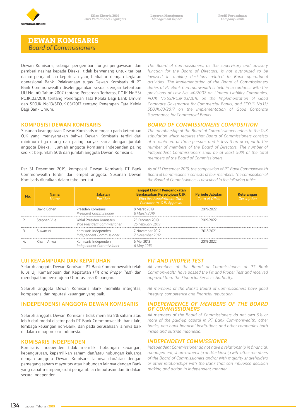

# **DEWAN KOMISARIS**  *Board of Commissioners*

Dewan Komisaris, sebagai pengemban fungsi pengawasan dan pemberi nasihat kepada Direksi, tidak berwenang untuk terlibat dalam pengambilan keputusan yang berkaitan dengan kegiatan operasional Bank. Pelaksanaan tugas Dewan Komisaris di PT Bank Commonwealth diselenggarakan sesuai dengan ketentuan UU No. 40 Tahun 2007 tentang Perseroan Terbatas, POJK No.55/ POJK.03/2016 tentang Penerapan Tata Kelola Bagi Bank Umum dan SEOJK No.13/SEOJK.03/2017 tentang Penerapan Tata Kelola Bagi Bank Umum.

### **KOMPOSISI DEWAN KOMISARIS**

Susunan keanggotaan Dewan Komisaris mengacu pada ketentuan OJK yang mensyaratkan bahwa Dewan Komisaris terdiri dari minimum tiga orang dan paling banyak sama dengan jumlah anggota Direksi. Jumlah anggota Komisaris Independen paling sedikit berjumlah 50% dari jumlah anggota Dewan Komisaris.

Per 31 Desember 2019, komposisi Dewan Komisaris PT Bank Commonwealth terdiri dari empat anggota. Susunan Dewan Komisaris diuraikan dalam tabel berikut:

*The Board of Commissioners, as the supervisory and advisory function for the Board of Directors, is not authorized to be involved in making decisions related to Bank operational activities. The implementation of the Board of Commissioners duties at PT Bank Commonwealth is held in accordance with the provisions of Law No. 40/2007 on Limited Liability Companies, POJK No.55/POJK.03/2016 on the Implementation of Good Corporate Governance for Commercial Banks, and SEOJK No.13/ SEOJK.03/2017 on the Implementation of Good Corporate Governance for Commercial Banks.*

### *BOARD OF COMMISSIONERS COMPOSITION*

*The membership of the Board of Commissioners refers to the OJK stipulation which requires that Board of Commissioners consists of a minimum of three persons and is less than or equal to the number of members of the Board of Directors. The number of Independent Commissioners shall be at least 50% of the total members of the Board of Commissioners.* 

*As of 31 December 2019, the composition of PT Bank Commonwealth Board of Commissioners consists of four members. The composition of the Board of Commissioners is described in the following table:*

| No. | <b>Nama</b><br>Name | <b>labatan</b><br>Position                              | <b>Tanggal Efektif Pengangkatan</b><br>Berdasarkan Persetujuan OJK<br><b>Effective Appointment Date</b><br><b>Pursuant to OJK Approval</b> | <b>Periode Jabatan</b><br>Term of Office | <b>Keterangan</b><br>Description |
|-----|---------------------|---------------------------------------------------------|--------------------------------------------------------------------------------------------------------------------------------------------|------------------------------------------|----------------------------------|
|     | David Cohen         | Presiden Komisaris<br>President Commissioner            | 8 Maret 2019<br>8 March 2019                                                                                                               | 2019-2022                                |                                  |
|     | Stephen Vile        | Wakil Presiden Komisaris<br>Vice President Commissioner | 25 Februari 2019<br>25 February 2019                                                                                                       | 2019-2022                                |                                  |
|     | Suwartini           | Komisaris Independen<br>Independent Commissioner        | 7 November 2012<br>7 November 2012                                                                                                         | 2018-2021                                |                                  |
|     | Khairil Anwar       | Komisaris Independen<br>Independent Commissioner        | 6 Mei 2013<br>6 May 2013                                                                                                                   | 2019-2022                                |                                  |

### **UJI KEMAMPUAN DAN KEPATUHAN**

Seluruh anggota Dewan Komisaris PT Bank Commonwealth telah lulus Uji Kemampuan dan Kepatutan (*Fit and Proper Test*) dan mendapatkan persetujuan Otoritas Jasa Keuangan.

Seluruh anggota Dewan Komisaris Bank memiliki integritas, kompetensi dan reputasi keuangan yang baik.

### **INDEPENDENSI ANGGOTA DEWAN KOMISARIS**

Seluruh anggota Dewan Komisaris tidak memiliki 5% saham atau lebih dari modal disetor pada PT Bank Commonwealth, bank lain, lembaga keuangan non-Bank, dan pada perusahaan lainnya baik di dalam maupun luar Indonesia.

### **KOMISARIS INDEPENDEN**

Komisaris Independen tidak memiliki hubungan keuangan, kepengurusan, kepemilikan saham dan/atau hubungan keluarga dengan anggota Dewan Komisaris lainnya dan/atau dengan pemegang saham mayoritas atau hubungan lainnya dengan Bank yang dapat mempengaruhi pengambilan keputusan dan tindakan secara independen.

### *FIT AND PROPER TEST*

*All members of the Board of Commissioners of PT Bank Commonwealth have passed the Fit and Proper Test and received approval from the Financial Services Authority.*

*All members of the Bank's Board of Commissioners have good integrity, competence and financial reputation.*

### *INDEPENDENCE OF MEMBERS OF THE BOARD OF COMMISSIONERS*

*All members of the Board of Commissioners do not own 5% or more of the paid-up capital in PT Bank Commonwealth, other banks, non-bank financial institutions and other companies both inside and outside Indonesia.*

### *INDEPENDENT COMMISSIONER*

*Independent Commissioner do not have a relationship in financial, management, share ownership and/or kinship with other members of the Board of Commissioners and/or with majority shareholders or other relationships with the Bank that can influence decision making and action in independent manner.*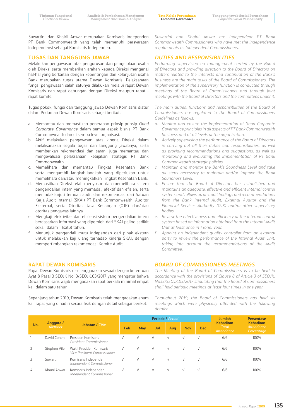**Tata Kelola Perusahaan** *Corporate Governance*

Suwartini dan Khairil Anwar merupakan Komisaris Independen PT Bank Commonwealth yang telah memenuhi persyaratan independensi sebagai Komisaris Independen.

### **TUGAS DAN TANGGUNG JAWAB**

Melakukan pengawasan atas pengurusan dan pengelolaan usaha oleh Direksi serta memberikan arahan kepada Direksi mengenai hal-hal yang berkaitan dengan kepentingan dan kelanjutan usaha Bank merupakan tugas utama Dewan Komisaris. Pelaksanaan fungsi pengawasan salah satunya dilakukan melalui rapat Dewan Komisaris dan rapat gabungan dengan Direksi maupun rapat rapat komite.

Tugas pokok, fungsi dan tanggung jawab Dewan Komisaris diatur dalam Pedoman Dewan Komisaris sebagai berikut:

- a. Memantau dan memastikan penerapan prinsip-prinsip *Good Corporate Governance* dalam semua aspek bisnis PT Bank Commonwealth dan di semua level organisasi.
- b. Aktif melakukan pengawasan atas kinerja Direksi dalam melaksanakan segala tugas dan tanggung jawabnya, serta memberikan rekomendasi dan saran, juga memantau dan mengevaluasi pelaksanaan kebijakan strategis PT Bank Commonwealth.
- c. Memelihara dan memantau Tingkat Kesehatan Bank serta mengambil langkah-langkah yang diperlukan untuk memelihara dan/atau meningkatkan Tingkat Kesehatan Bank.
- d. Memastikan Direksi telah menyusun dan memelihara sistem pengendalian intern yang memadai, efektif dan efisien, serta menindaklanjuti temuan audit dan rekomendasi dari Satuan Kerja Audit Internal (SKAI) PT Bank Commonwealth, Auditor Eksternal, serta Otoritas Jasa Keuangan (OJK) dan/atau otoritas pengawas lainnya.
- e. Mengkaji efektivitas dan efisiensi sistem pengendalian intern berdasarkan informasi yang diperoleh dari SKAI paling sedikit sekali dalam 1 (satu) tahun.
- f. Menunjuk pengendali mutu independen dari pihak ekstern untuk melakukan kaji ulang terhadap kinerja SKAI, dengan mempertimbangkan rekomendasi Komite Audit.

### **RAPAT DEWAN KOMISARIS**

Rapat Dewan Komisaris diselenggarakan sesuai dengan ketentuan Ayat 8 Pasal 3 SEOJK No.13/SEOJK.03/2017 yang mengatur bahwa Dewan Komisaris wajib mengadakan rapat berkala minimal empat kali dalam satu tahun.

Sepanjang tahun 2019, Dewan Komisaris telah mengadakan enam kali rapat yang dihadiri secara fisik dengan detail sebagai berikut:

*Suwartini and Khairil Anwar are Independent PT Bank Commonwealth Commissioners who have met the independence requirements as Independent Commissioners.*

### *DUTIES AND RESPONSIBILITIES*

*Performing supervision on management carried by the Board of Directors and providing direction to the Board of Directors on matters related to the interests and continuation of the Bank's business are the main tasks of the Board of Commissioners. The implementation of the supervisory function is conducted through meetings of the Board of Commissioners and through joint meetings with the Board of Directors and the committees under it.* 

*The main duties, functions and responsibilities of the Board of Commissioners are regulated in the Board of Commissioners Guidelines as follows:*

- *a. Monitor and ensure the implementation of Good Corporate Governance principles in all aspects of PT Bank Commonwealth business and at all levels of the organization.*
- *b. Actively supervising the performance of the Board of Directors*  in carrying out all their duties and responsibilities, as well *as providing recommendations and suggestions, as well as monitoring and evaluating the implementation of PT Bank Commonwealth strategic policies.*
- *c. Maintain and monitor the Bank's Soundness Level and take all steps necessary to maintain and/or improve the Bank Soundness Level.*
- *d. Ensure that the Board of Directors has established and maintains an adequate, effective and efficient internal control system, and follows up on audit findings and recommendations from the Bank Internal Audit, External Auditor and the Financial Services Authority (OJK) and/or other supervisory bodies.*
- *e. Review the effectiveness and efficiency of the internal control system based on information obtained from the Internal Audit Unit at least once in 1 (one) year.*
- *f. Appoint an independent quality controller from an external party to review the performance of the Internal Audit Unit, taking into account the recommendations of the Audit Committee.*

### *BOARD OF COMMISSIONERS MEETINGS*

*The Meeting of the Board of Commissioners is to be held in accordance with the provisions of Clause 8 of Article 3 of SEOJK. No.13/SEOJK.03/2017 stipulating that the Board of Commissioners shall hold periodic meetings at least four times in one year.* 

*Throughout 2019, the Board of Commissioners has held six meetings which were physically attended with the following details:*

|     |                     | Jabatan / Title                                                       |            |            | <b>Periode / Period</b> |     | <b>Jumlah</b> | Persentase |                                         |                                       |
|-----|---------------------|-----------------------------------------------------------------------|------------|------------|-------------------------|-----|---------------|------------|-----------------------------------------|---------------------------------------|
| No. | Anggota /<br>Member |                                                                       | Feb.       | <b>May</b> | Jul                     | Aug | <b>Nov</b>    | <b>Dec</b> | <b>Kehadiran</b><br>Total<br>Attendance | Kehadiran<br>Attendance<br>Percentage |
|     |                     | David Cohen Presiden Komisaris<br>President Commissioner              |            |            |                         |     |               |            | 6/6                                     | 100%                                  |
|     | Stephen Vile        | Wakil Presiden Komisaris<br>$\sqrt{ }$<br>Vice President Commissioner |            |            |                         |     |               |            | 6/6                                     | 1በበ%                                  |
| 3   | Suwartini           | Komisaris Independen<br>Independent Commissioner                      |            |            |                         |     |               |            | 6/6                                     | በበባ⁄ራ                                 |
|     | Khairil Anwar       | Komisaris Independen<br>Independent Commissioner                      | $\sqrt{ }$ |            |                         |     |               |            |                                         |                                       |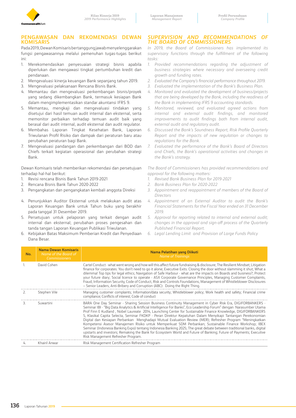

### **PENGAWASAN DAN REKOMENDASI DEWAN KOMISARIS**

Pada 2019, Dewan Komisaris bertanggung jawab menyelenggarakan fungsi pengawasannya melalui pemenuhan tugas-tugas berikut ini:

- 1. Merekomendasikan penyesuaian strategi bisnis apabila diperlukan dan mengawasi tingkat pertumbuhan kredit dan pendanaan.
- 2. Mengevaluasi kinerja keuangan Bank sepanjang tahun 2019.
- 3. Mengevaluasi pelaksanaan Rencana Bisnis Bank.
- 4. Memantau dan mengevaluasi perkembangan bisnis/proyek yang sedang dikembangkan Bank, termasuk kesiapan Bank dalam mengimplementasikan standar akuntansi IFRS 9.
- 5. Memantau, mengkaji dan mengevaluasi tindakan yang disetujui dari hasil temuan audit internal dan eksternal, serta memonitor perbaikan terhadap temuan audit baik yang berasal dari audit internal, audit eksternal dan audit regulator.
- 6. Membahas Laporan Tingkat Kesehatan Bank, Laporan Triwulanan Profil Risiko dan dampak dari peraturan baru atau perubahan peraturan bagi Bank.
- 7. Mengevaluasi pandangan dan perkembangan dari BOD dan Chiefs terkait kegiatan operasional dan perubahan strategi Bank.

Dewan Komisaris telah memberikan rekomendasi dan persetujuan terhadap hal-hal berikut:

- 1. Revisi rencana Bisnis Bank Tahun 2019-2021
- 2. Rencana Bisnis Bank Tahun 2020-2022
- 3. Pengangkatan dan pengangkatan kembali anggota Direksi
- 4. Penunjukkan Auditor Eksternal untuk melakukan audit atas Laporan Keuangan Bank untuk Tahun buku yang berakhir pada tanggal 31 Desember 2019.
- 5. Persetujuan untuk pelaporan yang terkait dengan audit internal dan eksternal; perubahan proses pengesahan dan tanda tangan Laporan Keuangan Publikasi Triwulanan.
- 6. Kebijakan Batas Maksimum Pemberian Kredit dan Penyediaan Dana Besar.

### *SUPERVISION AND RECOMMENDATIONS OF THE BOARD OF COMMISSIONERS*

*In 2019, the Board of Commissioners has implemented its supervisory functions through the fulfillment of the following tasks:*

- *1. Provided recommendations regarding the adjustment of business strategies where necessary and overseeing credit growth and funding rates.*
- *2. Evaluated the Company's financial performance throughout 2019.*
- *3. Evaluated the implementation of the Bank's Business Plan.*
- *4. Monitored and evaluated the development of business/projects that are being developed by the Bank, including the readiness of the Bank in implementing IFRS 9 accounting standards.*
- *5. Monitored, reviewed, and evaluated agreed actions from internal and external audit findings, and monitored improvements to audit findings both from internal audit, external audit and regulatory audit.*
- *6. Discussed the Bank's Soundness Report, Risk Profile Quarterly Report and the impacts of new regulation or changes to regulations for the Bank.*
- *7. Evaluated the performance of the Bank's Board of Directors and Chiefs, the Bank's operational activities and changes in the Bank's strategy.*

*The Board of Commissioners has provided recommendations and approval for the following matters:*

- *1. Revised Bank Business Plan for 2019-2021*
- *2. Bank Business Plan for 2020-2022*
- *3. Appointment and reappointment of members of the Board of Directors*
- *4. Appointment of an External Auditor to audit the Bank's Financial Statements for the Fiscal Year ended on 31 December 2019.*
- *5. Approval for reporting related to internal and external audit; changes in the approval and sign-off process of the Quarterly Published Financial Report.*
- *6. Legal Lending Limit and Provision of Large Funds Policy*

| No. | Nama Dewan Komisaris<br>Name of the Board of<br><b>Commissioners</b> | Nama Pelatihan yang Diikuti<br><b>Name of Trainings</b>                                                                                                                                                                                                                                                                                                                                                                                                                                                                                                                                                                                                                                                                                                                                                                                                                                                                                                                     |
|-----|----------------------------------------------------------------------|-----------------------------------------------------------------------------------------------------------------------------------------------------------------------------------------------------------------------------------------------------------------------------------------------------------------------------------------------------------------------------------------------------------------------------------------------------------------------------------------------------------------------------------------------------------------------------------------------------------------------------------------------------------------------------------------------------------------------------------------------------------------------------------------------------------------------------------------------------------------------------------------------------------------------------------------------------------------------------|
|     | David Cohen                                                          | Cartel Conduct - what went wrong and how will this affect future fundraising & disclosure; The Resilient Mindset; Litigation<br>finance for corporates: You don't need to go it alone; Executive Exits: Closing the door without slamming it shut; What a<br>dilemma! Top tips for legal ethics; Navigation of Safe Harbour - what are the impacts on Boards and business?; Protect<br>your future diary; Social licence to operate - ASX Corporate Governance Principles, Managing Customer Complaints,<br>Fraud, Information Security, Code of Conduct, Risk and Controls Foundations, Management of Whistleblower Disclosures<br>- Senior Leaders, Anti-Bribery and Corruption (ABC): Doing the Right Thing.                                                                                                                                                                                                                                                             |
| Z.  | Stephen Vile                                                         | Managing customer complaints; Information/data security; Whistleblower policy; Work health and safety; Financial crime<br>compliance; Conflicts of interest; Code of conduct                                                                                                                                                                                                                                                                                                                                                                                                                                                                                                                                                                                                                                                                                                                                                                                                |
| З.  | Suwartini                                                            | BARA One Day Seminar - Sharing Session Business Continuity Management in Cyber Risk Era, DIGIFORBANKERS -<br>Seminar IBI - "Big Data Analytics & Artificial Intelligence For Banks", Eco Leadership Forum" dengan Narasumber Utama<br>Prof Finn E Kudland, Nobel Laureate 2014, Launching Center for Sustainable Finance Knowledge, DIGIFORBANKERS<br>5, Klasikal Capita Selecta, Seminar FKDKP - Peran Direktur Kepatuhan Dalam Menyikapi Tantangan Perekonomian<br>Digital dan Kesiapan Perbankan Menghadapi Mutual Evaluation Review (MER); Refresher Program "Meningkatkan<br>Kompetensi Asesor Manajemen Risiko untuk Memperkuat SDM Perbankan; Sustainable Finance Workshop; IBEX<br>Seminar (Indonesia Banking Expo) tentang Indonesia Banking 2025; The great debate between traditional banks, digital<br>upstarts and investors; Remaking the Bank for Ecosystem World and Future of Banking; Future of Payments; Executive<br>Risk Management Refresher Program. |
| 4.  | Khairil Anwar                                                        | Risk Management Certification Refresher Program                                                                                                                                                                                                                                                                                                                                                                                                                                                                                                                                                                                                                                                                                                                                                                                                                                                                                                                             |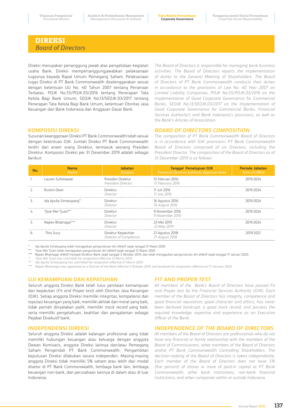# **DIREKSI**  *Board of Directors*

Direksi merupakan penanggung jawab atas pengelolaan kegiatan usaha Bank. Direksi mempertanggungjawabkan pelaksanaan tugasnya kepada Rapat Umum Pemegang Saham. Pelaksanaan tugas Direksi di PT Bank Commonwealth diselenggarakan sesuai dengan ketentuan UU No. 40 Tahun 2007 tentang Perseroan Terbatas, POJK No.55/POJK.03/2016 tentang Penerapan Tata Kelola Bagi Bank Umum, SEOJK No.13/SEOJK.03/2017 tentang Penerapan Tata Kelola Bagi Bank Umum, ketentuan Otoritas Jasa Keuangan dan Bank Indonesia dan Anggaran Dasar Bank.

*The Board of Directors is responsible for managing bank business activities. The Board of Directors reports the implementation of duties to the General Meeting of Shareholders. The Board of Directors of PT Bank Commonwealth conducts their duties in accordance to the provisions of Law No. 40 Year 2007 on Limited Liability Companies, POJK No.55/POJK.03/2016 on the Implementation of Good Corporate Governance for Commercial Banks, SEOJK No.13/SEOJK.03/2017 on the Implementation of Good Corporate Governance for Commercial Banks, Financial Services Authority's and Bank Indonesia's provisions, as well as the Bank's Articles of Association.*

### **KOMPOSISI DIREKSI**

Susunan keanggotaan Direksi PT Bank Commonwealth telah sesuai dengan ketentuan OJK. Jumlah Direksi PT Bank Commonwealth terdiri dari enam orang Direktur, termasuk seorang Presiden Direktur. Komposisi Direksi per 31 Desember 2019 adalah sebagai berikut:

*BOARD OF DIRECTORS COMPOSITION The composition of PT Bank Commonwealth Board of Directors* 

*is in accordance with OJK provisions. PT Bank Commonwealth Board of Directors comprised of six Directors, including the President Director. The composition of the Board of Directors as of 31 December 2019 is as follows:*

| No. | <b>Nama</b><br><b>Name</b> | Jabatan<br>Position                          | Tanggal Persetujuan OJK<br><b>Financial Services Authority Approval Date</b> | <b>Periode Jabatan</b><br>Term of Office |
|-----|----------------------------|----------------------------------------------|------------------------------------------------------------------------------|------------------------------------------|
|     | Lauren Sulistiawati        | Presiden Direktur<br>President Director      | 15 Februari 2016<br>15 February 2016                                         | 2019-2024                                |
|     | Rustini Dewi               | Direktur<br>Director                         | 11 Juli 2016<br>11 July 2016                                                 | 2019-2024                                |
|     | Ida Apulia Simatupang*     | Direktur<br>Director                         | 16 Agustus 2016<br>16 August 2016                                            | 2019-2024                                |
| 4.  | Tjioe Mei Tjuen**          | Direktur<br>Director                         | 9 November 2016<br>9 November 2016                                           | 2019-2024                                |
|     | Rajeev Bhatnagar***        | Direktur<br>Director                         | 23 Mei 2019<br>23 May 2019                                                   | 2019-2024                                |
|     | Thio Sucy                  | Direktur Kepatuhan<br>Director of Compliance | 21 Agustus 2018<br>21 August 2018                                            | 2019-2021                                |

\* Ida Apulia Simatupang telah mengajukan pengunduran diri efektif sejak tanggal 31 Maret 2020

\*\* Tjioe Mei Tjuen telah mengajukan pengunduran diri efektif sejak tanggal 12 Maret 2020

\*\*\* Rajeev Bhatnagar efektif menjadi Direktur Bank sejak tanggal 3 Oktober 2019, dan telah mengajukan pengunduran diri efektif sejak tanggal 17 Januari 2020.

*\* Tjioe Mei Tjuen has submitted her resignation effective 12 March 2020.*

*\*\* Ida Apulia Simatupang has submitted her resignation effective 31 March 2020*

*\*\*\* Rajeev Bhatnagar was appointed as a Director of the Bank effective 3 October 2019, and tendered his resignation effective on 17 January 2020.*

### **UJI KEMAMPUAN DAN KEPATUHAN**

Seluruh anggota Direksi Bank telah lulus penilaian kemampuan dan kepatutan (*Fit and Proper test*) oleh Otoritas Jasa Keuangan (OJK). Setiap anggota Direksi memiliki integritas, kompetensi dan reputasi keuangan yang baik, memiliki akhlak dan moral yang baik, tidak pernah dinyatakan pailit, memiliki *track record* yang baik, serta memiliki pengetahuan, keahlian dan pengalaman sebagai Pejabat Eksekutif bank.

### **INDEPENDENSI DIREKSI**

Seluruh anggota Direksi adalah kalangan profesional yang tidak memiliki hubungan keuangan atau keluarga dengan anggota Dewan Komisaris, anggota Direksi lainnya dan/atau Pemegang Saham Pengendali PT Bank Commonwealth. Pengambilan keputusan Direksi dilakukan secara independen. Masing-masing anggota Direksi tidak memiliki 5% saham atau lebih dari modal disetor di PT Bank Commonwealth, lembaga bank lain, lembaga keuangan non-bank, dan perusahaan lainnya di dalam atau di luar Indonesia.

### *FIT AND PROPER TEST*

*All members of the Bank's Board of Directors have passed Fit and Proper test by the Financial Services Authority (OJK). Each member of the Board of Directors has integrity, competence and good financial reputation, good character and ethics, has never been declared bankrupt, a good track record, and possess the required knowledge, expertise and experience as an Executive Officer of the Bank.*

### *INDEPENDENCE OF THE BOARD OF DIRECTORS*

*All members of the Board of Directors are professionals who do not have any financial or family relationship with the members of the Board of Commissioners, other members of the Board of Directors and/or PT Bank Commonwealth Controlling Shareholders. The decision-making of the Board of Directors is taken independently. Each member of the Board of Directors does not have 5% (five percent) of shares or more of paid-in capital at PT Bank Commonwealth, other bank institutions, non-bank financial institutions, and other companies within or outside Indonesia.*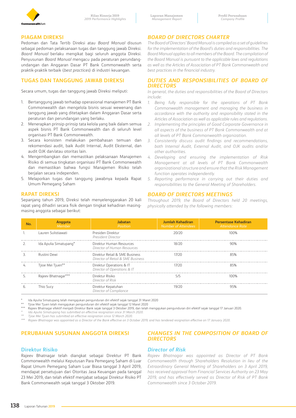

### **PIAGAM DIREKSI**

Pedoman dan Tata Tertib Direksi atau *Board Manual* disusun sebagai pedoman pelaksanaan tugas dan tanggung jawab Direksi. *Board Manual* berlaku mengikat bagi seluruh anggota Direksi. Penyusunan *Board Manual* mengacu pada peraturan perundangundangan dan Anggaran Dasar PT Bank Commonwealth serta praktik-praktik terbaik (*best practices*) di industri keuangan.

## **TUGAS DAN TANGGUNG JAWAB DIREKSI**

Secara umum, tugas dan tanggung jawab Direksi meliputi:

- 1. Bertanggung jawab terhadap operasional manajemen PT Bank Commonwealth dan mengelola bisnis sesuai wewenang dan tanggung jawab yang ditetapkan dalam Anggaran Dasar serta peraturan dan perundangan yang berlaku.
- 2. Menerapkan prinsip-prinsip tata kelola yang baik dalam semua aspek bisnis PT Bank Commonwealth dan di seluruh level organisasi PT Bank Commonwealth.
- 3. Secara konsisten melakukan pembahasan temuan dan rekomendasi audit, baik Audit Internal, Audit Eksternal, dan audit OJK dan/atau otoritas lain.
- 4. Mengembangkan dan memastikan pelaksanaan Manajemen Risiko di semua tingkatan organisasi PT Bank Commonwealth dan memastikan bahwa fungsi Manajemen Risiko telah berjalan secara independen.
- 5. Melaporkan tugas dan tanggung jawabnya kepada Rapat Umum Pemegang Saham

### **RAPAT DIREKSI**

Sepanjang tahun 2019, Direksi telah menyelenggarakan 20 kali rapat yang dihadiri secara fisik dengan tingkat kehadiran masingmasing anggota sebagai berikut:

# *BOARD OF DIRECTORS CHARTER*

*The Board of Directors' Board Manual is compiled as a set of guidelines for the implementation of the Board's duties and responsibilities. The Board Manual applies to all members of the Board. The compilation of the Board Manual is pursuant to the applicable laws and regulations as well as the Articles of Association of PT Bank Commonwealth and best practices in the financial industry.*

### *DUTIES AND RESPONSIBILITIES OF BOARD OF DIRECTORS*

*In general, the duties and responsibilities of the Board of Directors include:*

- *1. Being fully responsible for the operations of PT Bank Commonwealth management and managing the business in accordance with the authority and responsibility stated in the Articles of Association as well as applicable rules and regulations.*
- *2. Implementing the principles of Good Corporate Governance in all aspects of the business of PT Bank Commonwealth and at all levels of PT Bank Commonwealth organization.*
- *3. Consistently discuss audit findings and recommendations, both Internal Audit, External Audit, and OJK audits and/or other authorities.*
- *4. Developing and ensuring the implementation of Risk Management at all levels of PT Bank Commonwealth organizational structure and ensure that the Risk Management function operates independently.*
- *5. Reporting performance in carrying out their duties and responsibilities to the General Meeting of Shareholders.*

### *BOARD OF DIRECTORS MEETINGS*

*Throughout 2019, the Board of Directors held 20 meetings, physically attended by the following members:* 

| Nο. | Anggota<br>Member      | <b>Jabatan</b><br>Position                                          | Jumlah Kehadiran<br><b>Number of Attendees</b> | <b>Persentase Kehadiran</b><br>Attendance Rate |
|-----|------------------------|---------------------------------------------------------------------|------------------------------------------------|------------------------------------------------|
|     | Lauren Sulistiawati    | Presiden Direktur<br>President Director                             | 20/20                                          | 100%                                           |
|     | Ida Apulia Simatupang* | Direktur Human Resources<br>Director of Human Resources             | 18/20                                          |                                                |
|     | Rustini Dewi           | Direktur Retail & SMF Business<br>Director of Retail & SME Business | 17/70.                                         |                                                |
|     | Tjioe Mei Tjuen**      | Direktur Operations & IT<br>Director of Operations & IT             | 1772A                                          |                                                |
|     | Rajeev Bhatnagar***    | Direktur Risiko<br>Director of Risk                                 | 5/5                                            |                                                |
| b.  | Thio Sucv              | Direktur Kepatuhan<br>Director of Compliance                        |                                                |                                                |

\* Ida Apulia Simatupang telah mengajukan pengunduran diri efektif sejak tanggal 31 Maret 2020

\*\* Tjioe Mei Tjuen telah mengajukan pengunduran diri efektif sejak tanggal 12 Maret 2020

\*\*\* Rajeev Bhatnagar efektif menjadi Direktur Bank sejak tanggal 3 Oktober 2019, dan telah mengajukan pengunduran diri efektif sejak tanggal 17 Januari 2020.

*\* Ida Apulia Simatupang has submitted an effective resignation since 31 March 2020.*

*\*\* Tjioe Mei Tjuen has submitted an effective resignation since 12 March 2020.*

*\*\*\* Rajeev Bhatnagar was appointed as a Director of the Bank effective on 3 October 2019, and has tendered resignation effective on 17 January 2020.*

# **PERUBAHAN SUSUNAN ANGGOTA DIREKSI**

### **Direktur Risiko**

Rajeev Bhatnagar telah diangkat sebagai Direktur PT Bank Commonwealth melalui Keputusan Para Pemegang Saham di Luar Rapat Umum Pemegang Saham Luar Biasa tanggal 3 April 2019, mendapat persetujuan dari Otoritas Jasa Keuangan pada tanggal 23 Mei 2019, dan telah efektif menjabat sebagai Direktur Risiko PT Bank Commonwealth sejak tanggal 3 Oktober 2019.

### *CHANGES IN THE COMPOSITION OF BOARD OF DIRECTORS*

### *Director of Risk*

*Rajeev Bhatnagar was appointed as Director of PT Bank Commonwealth through Shareholders Resolution in lieu of the Extraordinary General Meeting of Shareholders on 3 April 2019, has received approval from Financial Services Authority on 23 May 2019, and has effectively served as Director of Risk of PT Bank Commonwealth since 3 October 2019.*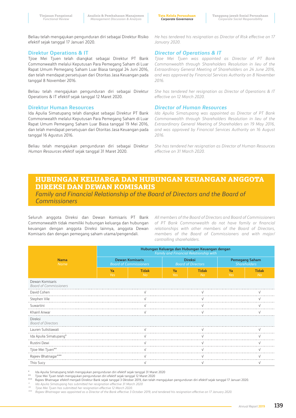**Tata Kelola Perusahaan** *Corporate Governance*

Beliau telah mengajukan pengunduran diri sebagai Direktur Risiko efektif sejak tanggal 17 Januari 2020.

### **Direktur Operations & IT**

Tjioe Mei Tjuen telah diangkat sebagai Direktur PT Bank Commonwealth melalui Keputusan Para Pemegang Saham di Luar Rapat Umum Pemegang Saham Luar Biasa tanggal 24 Juni 2016, dan telah mendapat persetujuan dari Otoritas Jasa Keuangan pada tanggal 8 November 2016.

Beliau telah mengajukan pengunduran diri sebagai Direktur Operations & IT efektif sejak tanggal 12 Maret 2020.

### **Direktur Human Resources**

Ida Apulia Simatupang telah diangkat sebagai Direktur PT Bank Commonwealth melalui Keputusan Para Pemegang Saham di Luar Rapat Umum Pemegang Saham Luar Biasa tanggal 19 Mei 2016, dan telah mendapat persetujuan dari Otoritas Jasa Keuangan pada tanggal 16 Agustus 2016.

Beliau telah mengajukan pengunduran diri sebagai Direktur *Human Resources* efektif sejak tanggal 31 Maret 2020.

*He has tendered his resignation as Director of Risk effective on 17 January 2020.*

### *Director of Operations & IT*

*Tjioe Mei Tjuen was appointed as Director of PT Bank Commonwealth through Shareholders Resolution in lieu of the Extraordinary General Meeting of Shareholders on 24 June 2016, and was approved by Financial Services Authority on 8 November 2016.*

*She has tendered her resignation as Director of Operations & IT effective on 12 March 2020.*

### *Director of Human Resources*

*Ida Apulia Simatupang was appointed as Director of PT Bank Commonwealth through Shareholders Resolution in lieu of the Extraordinary General Meeting of Shareholders on 19 May 2016, and was approved by Financial Services Authority on 16 August 2016.*

*She has tendered her resignation as Director of Human Resources effective on 31 March 2020.*

# **HUBUNGAN KELUARGA DAN HUBUNGAN KEUANGAN ANGGOTA DIREKSI DAN DEWAN KOMISARIS**

*Family and Financial Relationship of the Board of Directors and the Board of Commissioners*

Seluruh anggota Direksi dan Dewan Komisaris PT Bank Commonwealth tidak memiliki hubungan keluarga dan hubungan keuangan dengan anggota Direksi lainnya, anggota Dewan Komisaris dan dengan pemegang saham utama/pengendali.

*All members of the Board of Directors and Board of Commissioners of PT Bank Commonwealth do not have family or financial relationships with other members of the Board of Directors, members of the Board of Commissioners and with major/ controlling shareholders.*

|                                                  | Hubungan Keluarga dan Hubungan Keuangan dengan<br>Family and Financial Relationship with |                                                         |                                             |                           |                                              |                           |  |  |  |  |
|--------------------------------------------------|------------------------------------------------------------------------------------------|---------------------------------------------------------|---------------------------------------------|---------------------------|----------------------------------------------|---------------------------|--|--|--|--|
| <b>Nama</b><br><b>Name</b>                       |                                                                                          | <b>Dewan Komisaris</b><br><b>Board of Commissioners</b> | <b>Direksi</b><br><b>Board of Directors</b> |                           | <b>Pemegang Saham</b><br><b>Shareholders</b> |                           |  |  |  |  |
|                                                  | Ya<br>Yes                                                                                | <b>Tidak</b><br><b>No</b>                               | Ya<br>Yes                                   | <b>Tidak</b><br><b>No</b> | Ya<br>Yes                                    | <b>Tidak</b><br><b>No</b> |  |  |  |  |
| Dewan Komisaris<br><b>Board of Commissioners</b> |                                                                                          |                                                         |                                             |                           |                                              |                           |  |  |  |  |
| David Cohen                                      |                                                                                          |                                                         |                                             |                           |                                              |                           |  |  |  |  |
| Stephen Vile                                     |                                                                                          |                                                         |                                             |                           |                                              |                           |  |  |  |  |
| Suwartini                                        |                                                                                          |                                                         |                                             |                           |                                              |                           |  |  |  |  |
| Khairil Anwar                                    |                                                                                          |                                                         |                                             |                           |                                              |                           |  |  |  |  |
| Direksi<br><b>Board of Directors</b>             |                                                                                          |                                                         |                                             |                           |                                              |                           |  |  |  |  |
| Lauren Sulistiawati                              |                                                                                          |                                                         |                                             |                           |                                              |                           |  |  |  |  |
| Ida Apulia Simatupang*                           |                                                                                          |                                                         |                                             |                           |                                              |                           |  |  |  |  |
| Rustini Dewi                                     |                                                                                          |                                                         |                                             |                           |                                              |                           |  |  |  |  |
| Tjioe Mei Tjuen**                                |                                                                                          |                                                         |                                             |                           |                                              |                           |  |  |  |  |
| Rajeev Bhatnagar***                              |                                                                                          |                                                         |                                             |                           |                                              |                           |  |  |  |  |
| Thio Sucy                                        |                                                                                          | ν                                                       |                                             | ν                         |                                              | ν                         |  |  |  |  |

\* Ida Apulia Simatupang telah mengajukan pengunduran diri efektif sejak tanggal 31 Maret 2020

Tjioe Mei Tjuen telah mengajukan pengunduran diri efektif sejak tanggal 12 Maret 2020

\*\*\* Rajeev Bhatnagar efektif menjadi Direktur Bank sejak tanggal 3 Oktober 2019, dan telah mengajukan pengunduran diri efektif sejak tanggal 17 Januari 2020.

*\* Ida Apulia Simatupang has submitted her resignation effective 31 March 2020*

*\*\*\* Rajeev Bhatnagar was appointed as a Director of the Bank effective 3 October 2019, and tendered his resignation effective on 17 January 2020.*

*<sup>\*\*</sup> Tjioe Mei Tjuen has submitted her resignation effective 12 March 2020.*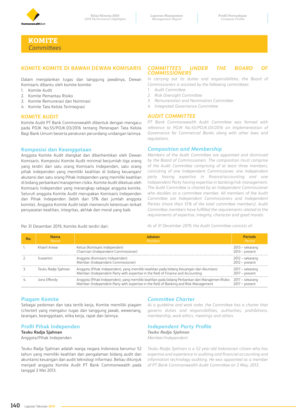

**KOMITE**  *Committees*

## **KOMITE-KOMITE DI BAWAH DEWAN KOMISARIS**

Dalam menjalankan tugas dan tanggung jawabnya, Dewan Komisaris dibantu oleh komite-komite:

- 1. Komite Audit
- 2. Komite Pemantau Risiko
- 3. Komite Remunerasi dan Nominasi
- 4. Komite Tata Kelola Terintegrasi

### **KOMITE AUDIT**

Komite Audit PT Bank Commonwealth dibentuk dengan mengacu pada POJK No.55/POJK.03/2016 tentang Penerapan Tata Kelola Bagi Bank Umum beserta peraturan perundang-undangan lainnya.

### **Komposisi dan Keanggotaan**

Anggota Komite Audit diangkat dan diberhentikan oleh Dewan Komisaris. Komposisi Komite Audit minimal berjumlah tiga orang yang terdiri dari satu orang Komisaris Independen, satu orang pihak independen yang memiliki keahlian di bidang keuangan/ akutansi dan satu orang Pihak Independen yang memiliki keahlian di bidang perbankan/manajemen risiko. Komite Audit diketuai oleh Komisaris Independen yang merangkap sebagai anggota komite. Seluruh anggota Komite Audit merupakan Komisaris Independen dan Pihak Independen (lebih dari 51% dari jumlah anggota komite). Anggota Komite Audit telah memenuhi ketentuan terkait persyaratan keahlian, integritas, akhlak dan moral yang baik.

### *COMMITTEES UNDER THE BOARD OF COMMISSIONERS*

*In carrying out its duties and responsibilities, the Board of Commissioners is assisted by the following committees:* 

- *1. Audit Committee*
- *2. Risk Oversight Committee*
- *3. Remuneration and Nomination Committee*
- *4. Integrated Governance Committee*

### *AUDIT COMMITTEE*

*PT Bank Commonwealth Audit Committee was formed with reference to POJK No.55/POJK.03/2016 on Implementation of Governance for Commercial Banks along with other laws and regulations.* 

### *Composition and Membership*

*Members of the Audit Committee are appointed and dismissed by the Board of Commissioners. The composition must comprise of the Audit Committee comprising of at least three members, consisting of one Independent Commissioner, one independent party having expertise in finance/accounting and one Independent Party having expertise in banking/risk management. The Audit Committee is chaired by an Independent Commissioner who doubles as a committee member. All members of the Audit Committee are Independent Commissioners and Independent Parties (more than 51% of the total committee members). Audit Committee members have fulfilled the requirements related to the requirements of expertise, integrity, character and good morals.* 

Per 31 Desember 2019, Komite Audit terdiri dari:

*As of 31 December 2019, the Audit Committee consists of:*

| No. | <b>Nama</b><br><b>Name</b> | <b>Jabatan</b><br><b>Position</b>                                                                                                                                                                     | Periode<br>Period                     |
|-----|----------------------------|-------------------------------------------------------------------------------------------------------------------------------------------------------------------------------------------------------|---------------------------------------|
|     | Khairil Anwar              | Ketua (Komisaris Independen)<br>Chairman (Independent Commissioner)                                                                                                                                   | $2013 - sekarang$<br>$2013 - present$ |
|     | Suwartini                  | Anggota (Komisaris Independen)<br>Member (Independent Commissioner)                                                                                                                                   | 2012 – sekarang<br>$2012 - present$   |
|     | Teuku Radja Sjahnan        | Anggota (Pihak Independen), yang memiliki keahlian pada bidang Keuangan dan Akuntansi<br>Member (Independent Party with expertise in the field of Finance and Accounting                              | 2017 – sekarang<br>$2017 - present$   |
|     | Jono Effendy               | Anggota (Pihak Independen), yang memiliki keahlian pada bidang Perbankan dan Manajemen Risiko 2017 – sekarang<br>Member (Independent Party with expertise in the field of Banking and Risk Management | $2017 - present$                      |

### **Piagam Komite**

Sebagai pedoman dan tata tertib kerja, Komite memiliki piagam (*charter*) yang mengatur tugas dan tanggung jawab, wewenang, larangan, keanggotaan, etika kerja, rapat dan lainnya.

### **Profil Pihak Independen**

**Teuku Radja Sjahnan**  Anggota/Pihak Independen

Teuku Radja Sjahnan adalah warga negara Indonesia berumur 52 tahun yang memiliki keahlian dan pengalaman bidang audit dan akuntansi keuangan dan audit teknologi informasi. Beliau ditunjuk menjadi anggota Komite Audit PT Bank Commonwealth pada tanggal 3 Mei 2013.

### *Committee Charter*

*As a guideline and work order, the Committee has a charter that governs duties and responsibilities, authorities, prohibitions, membership, work ethics, meetings and others.* 

### *Independent Party Profile*

*Teuku Radja Sjahnan Member/Independent* 

*Teuku Radja Sjahnan is a 52 year-old Indonesian citizen who has expertise and experience in auditing and financial accounting and information technology auditing. He was appointed as a member of PT Bank Commonwealth Audit Committee on 3 May, 2013.*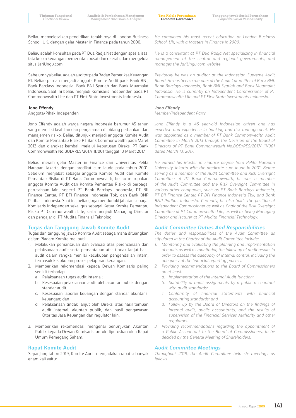**Tata Kelola Perusahaan** *Corporate Governance*

Beliau menyelesaikan pendidikan terakhirnya di London Business School, UK, dengan gelar Master in Finance pada tahun 2000.

Beliau adalah konsultan pada PT Dua Radja Net dengan spesialisasi tata kelola keuangan pemerintah pusat dan daerah, dan mengelola situs JariUngu.com.

Sebelumnya beliau adalah auditor pada Badan Pemeriksa Keuangan RI. Beliau pernah menjadi anggota Komite Audit pada Bank BNI, Bank Barclays Indonesia, Bank BNI Syariah dan Bank Muamalat Indonesia. Saat ini beliau menjadi Komisaris Independen pada PT Commonwealth Life dan PT First State Investments Indonesia.

### **Jono Effendy**

Anggota/Pihak Independen

Jono Effendy adalah warga negara Indonesia berumur 45 tahun yang memiliki keahlian dan pengalaman di bidang perbankan dan manajemen risiko. Beliau ditunjuk menjadi anggota Komite Audit dan Komite Pemantau Risiko PT Bank Commonwealth pada Maret 2013 dan diangkat kembali melalui Keputusan Direksi PT Bank Commonwealth No.BOD/RES/2017/III/001 tanggal 13 Maret 2017.

Beliau meraih gelar Master in Finance dari Universitas Pelita Harapan Jakarta dengan predikat cum laude pada tahun 2001. Sebelum menjabat sebagai anggota Komite Audit dan Komite Pemantau Risiko di PT Bank Commonwealth, beliau merupakan anggota Komite Audit dan Komite Pemantau Risiko di berbagai perusahaan lain, seperti PT Bank Barclays Indonesia, PT BII Finance Center, PT BFI Finance Indonesia Tbk, dan Bank BNP Paribas Indonesia. Saat ini, beliau juga menduduki jabatan sebagai Komisaris Independen sekaligus sebagai Ketua Komite Pemantau Risiko PT Commonwealth Life, serta menjadi Managing Director dan pengajar di PT Mudita Finansial Teknologi.

### **Tugas dan Tanggung Jawab Komite Audit**

Tugas dan tanggung jawab Komite Audit sebagaimana dituangkan dalam Piagam Komite meliputi:

- 1. Melakukan pemantauan dan evaluasi atas perencanaan dan pelaksanaan audit serta pemantauan atas tindak lanjut hasil audit dalam rangka menilai kecukupan pengendalian intern, termasuk kecukupan proses pelaporan keuangan.
- 2. Memberikan rekomendasi kepada Dewan Komisaris paling sedikit terhadap:
	- a. Pelaksanaan tugas audit internal;
	- b. Kesesuaian pelaksanaan audit oleh akuntan publik dengan standar audit;
	- c. Kesesuaian laporan keuangan dengan standar akuntansi keuangan; dan
	- d. Pelaksanaan tindak lanjut oleh Direksi atas hasil temuan audit internal, akuntan publik, dan hasil pengawasan Otoritas Jasa Keuangan dan regulator lain.
- 3. Memberikan rekomendasi mengenai penunjukan Akuntan Publik kepada Dewan Komisaris, untuk diputuskan oleh Rapat Umum Pemegang Saham.

### **Rapat Komite Audit**

Sepanjang tahun 2019, Komite Audit mengadakan rapat sebanyak enam kali yaitu:

*He completed his most recent education at London Business School, UK, with a Masters in Finance in 2000.*

*He is a consultant at PT Dua Radja Net specializing in financial management at the central and regional governments, and manages the JariUngu.com website.*

*Previously he was an auditor at the Indonesian Supreme Audit Board. He has been a member of the Audit Committee at Bank BNI, Bank Barclays Indonesia, Bank BNI Syariah and Bank Muamalat Indonesia. He is currently an Independent Commissioner of PT Commonwealth Life and PT First State Investments Indonesia.*

### *Jono Effendy*

*Member/Independent Party*

*Jono Effendy is a 45 year-old Indonesian citizen and has expertise and experience in banking and risk management. He was appointed as a member of PT Bank Commonwealth Audit Committee in March 2013 through the Decision of the Board of Directors of PT Bank Commonwealth No.BOD/RES/2017/ III/001 dated March 13, 2017.* 

*He earned his Master in Finance degree from Pelita Harapan University Jakarta with the predicate cum laude in 2001. Before serving as a member of the Audit Committee and Risk Oversight Committee at PT Bank Commonwealth, he was a member of the Audit Committee and the Risk Oversight Committee in various other companies, such as PT Bank Barclays Indonesia, PT BII Finance Center, PT BFI Finance Indonesia Tbk, and Bank BNP Paribas Indonesia. Currently, he also holds the position of Independent Commissioner as well as Chair of the Risk Oversight Committee of PT Commonwealth Life, as well as being Managing Director and lecturer at PT Mudita Financial Technology.*

### *Audit Committee Duties And Responsibilities*

*The duties and responsibilities of the Audit Committee as stipulated in the Charter of the Audit Committee include:*

- *1. Monitoring and evaluating the planning and implementation of audits as well as monitoring the follow-up of audit results in order to assess the adequacy of internal control, including the adequacy of the financial reporting process.*
- *2. Providing recommendations to the Board of Commissioners on at least:*
	- *a. Implementation of the Internal Audit function;*
	- *b. Suitability of audit assignments by a public accountant with audit standards;*
	- *c. Conformity of financial statements with financial accounting standards; and*
	- *d. Follow up by the Board of Directors on the findings of internal audit, public accountants, and the results of supervision of the Financial Services Authority and other regulators.*
- *3. Providing recommendations regarding the appointment of a Public Accountant to the Board of Commissioners, to be decided by the General Meeting of Shareholders.*

### *Audit Committee Meetings*

*Throughout 2019, the Audit Committee held six meetings as follows:*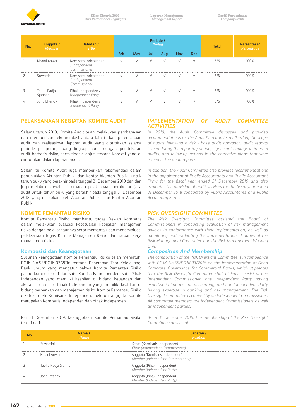

| No. | <b>Anggota /</b><br><i>Member</i> | Jabatan /<br><b>Title</b>                             |            |            |            | Periode /<br>Period | Total      | Persentase/<br>Percentage |     |      |
|-----|-----------------------------------|-------------------------------------------------------|------------|------------|------------|---------------------|------------|---------------------------|-----|------|
|     |                                   |                                                       | Feb        | Mav        | Jul        | Aug                 | <b>Nov</b> | Dec                       |     |      |
|     | Khairil Anwar                     | Komisaris Independen<br>/ Independent<br>Commissioner | $\sqrt{ }$ | $\sqrt{ }$ | $\sqrt{ }$ | $\sqrt{ }$          | $\sqrt{ }$ | $\sqrt{ }$                | 6/6 | 100% |
|     | Suwartini                         | Komisaris Independen<br>/ Independent<br>Commissioner | $\vee$     | V          | $\vee$     | $\sqrt{ }$          | $\sqrt{ }$ | $\sqrt{ }$                | 6/6 | 1በበ% |
|     | Teuku Radja<br>Siahnan            | Pihak Independen /<br>Independent Party               |            |            | $\sqrt{}$  | $\sqrt{ }$          |            |                           | 6/6 | 100% |
|     | Jono Effendy                      | Pihak Independen /<br>Independent Party               | $\sqrt{ }$ | $\sqrt{ }$ | $\sqrt{ }$ | $\sqrt{ }$          | $\sqrt{ }$ | $\sqrt{ }$                | 6/6 |      |

# **PELAKSANAAN KEGIATAN KOMITE AUDIT**

Selama tahun 2019, Komite Audit telah melakukan pembahasan dan memberikan rekomendasi antara lain terkait perencanaan audit dan realisasinya, laporan audit yang diterbitkan selama periode pelaporan, ruang lingkup audit dengan pendekatan audit berbasis risiko, serta tindak lanjut rencana korektif yang di cantumkan dalam laporan audit.

Selain itu Komite Audit juga memberikan rekomendasi dalam penunjukkan Akuntan Publik dan Kantor Akuntan Publik untuk tahun buku yang berakhir pada tanggal 31 Desember 2019 dan dan juga melakukan evaluasi terhadap pelaksanaan pemberian jasa audit untuk tahun buku yang berakhir pada tanggal 31 Desember 2018 yang dilakukan oleh Akuntan Publik dan Kantor Akuntan Publik.

### **KOMITE PEMANTAU RISIKO**

Komite Pemantau Risiko membantu tugas Dewan Komisaris dalam melakukan evaluasi kesesuaian kebijakan manajemen risiko dengan pelaksanaannya serta memantau dan mengevaluasi pelaksanaan tugas Komite Manajemen Risiko dan satuan kerja manajemen risiko.

### **Komposisi dan Keanggotaan**

Susunan keanggotaan Komite Pemantau Risiko telah mematuhi POJK No.55/POJK.03/2016 tentang Penerapan Tata Kelola bagi Bank Umum yang mengatur bahwa Komite Pemantau Risiko paling kurang terdiri dari satu Komisaris Independen; satu Pihak Independen yang memiliki keahlian di bidang keuangan dan akutansi; dan satu Pihak Independen yang memiliki keahlian di bidang perbankan dan manajemen risiko. Komite Pemantau Risiko diketuai oleh Komisaris Independen. Seluruh anggota komite merupakan Komisaris Independen dan pihak independen.

### Per 31 Desember 2019, keanggotaan Komite Pemantau Risiko terdiri dari:

### *IMPLEMENTATION OF AUDIT COMMITTEE ACTIVITIES*

*In 2019, the Audit Committee discussed and provided recommendations for the Audit Plan and its realization, the scope of audits following a risk - base audit approach, audit reports issued during the reporting period, significant findings in internal audits, and follow-up actions in the corrective plans that were issued in the audit reports.* 

*In addition, the Audit Committee also provides recommendations in the appointment of Public Accountants and Public Accountant Firms for the fiscal year ended 31 December 2019 and also evaluates the provision of audit services for the fiscal year ended 31 December 2018 conducted by Public Accountants and Public Accounting Firms.*

### *RISK OVERSIGHT COMMITTEE*

*The Risk Oversight Committee assisted the Board of Commissioners in conducting evaluation of risk management policies in conformance with their implementation, as well as monitoring and evaluating the implementation of duties of the Risk Management Committee and the Risk Management Working Unit.*

### *Composition And Membership*

*The composition of the Risk Oversight Committee is in compliance with POJK No.55/POJK.03/2016 on the Implementation of Good Corporate Governance for Commercial Banks, which stipulates that the Risk Oversight Committee shall at least consist of one Independent Commissioner; one Independent Party having expertise in finance and accounting; and one Independent Party having expertise in banking and risk management. The Risk Oversight Committee is chaired by an Independent Commissioner. All committee members are Independent Commissioners as well as independent parties.*

*As of 31 December 2019, the membership of the Risk Oversight Committee consists of:*

| Nama /<br><b>Name</b> | Jabatan .<br>Position                                               |
|-----------------------|---------------------------------------------------------------------|
| Suwartini             | Ketua (Komisaris Independen)<br>Chair (Independent Commissioner)    |
| Khairil Anwar         | Anggota (Komisaris Independen)<br>Member (Independent Commissioner) |
| Teuku Radia Siahnan   | Anggota (Pihak Independen)<br>Member (Independent Party)            |
| Jono Effendy          | Anggota (Pihak Independen)<br>Member (Independent Party)            |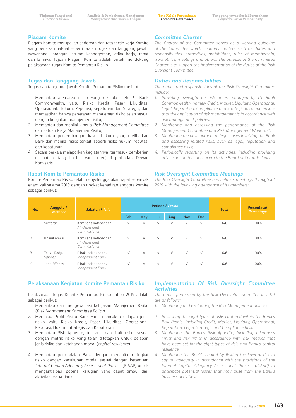### **Piagam Komite**

Piagam Komite merupakan pedoman dan tata tertib kerja Komite yang berisikan hal-hal seperti uraian tugas dan tanggung jawab, wewenang, larangan, aturan keanggotaan, etika kerja, rapat dan lainnya. Tujuan Piagam Komite adalah untuk mendukung pelaksanaan tugas Komite Pemantau Risiko.

### **Tugas dan Tanggung Jawab**

Tugas dan tanggung jawab Komite Pemantau Risiko meliputi:

- 1. Memantau area-area risiko yang dikelola oleh PT Bank Commonwealth, yaitu Risiko Kredit, Pasar, Likuiditas, Operasional, Hukum, Reputasi, Kepatuhan dan Strategis, dan memastikan bahwa penerapan manajemen risiko telah sesuai dengan kebijakan manajemen risiko;
- 2. Memantau dan menilai kinerja *Risk Management Committee* dan Satuan Kerja Manajemen Risiko;
- 3. Memantau perkembangan kasus hukum yang melibatkan Bank dan menilai risiko terkait, seperti risiko hukum, reputasi dan kepatuhan;
- 4. Secara berkala melaporkan kegiatannya, termasuk pemberian nasihat tentang hal-hal yang menjadi perhatian Dewan Komisaris.

### **Rapat Komite Pemantau Risiko**

Komite Pemantau Risiko telah menyelenggarakan rapat sebanyak enam kali selama 2019 dengan tingkat kehadiran anggota komite sebagai berikut:

# *Committee Charter*

*The Charter of the Committee serves as a working guideline of the Committee which contains matters such as duties and responsibilities, authorities, prohibitions, rules of membership, work ethics, meetings and others. The purpose of the Committee Charter is to support the implementation of the duties of the Risk Oversight Committee.*

### *Duties and Responsibilities*

*The duties and responsibilities of the Risk Oversight Committee include:* 

- *1. Providing oversight on risk areas managed by PT Bank Commonwealth, namely Credit, Market, Liquidity, Operational, Legal, Reputation, Compliance and Strategic Risk, and ensure that the application of risk management is in accordance with risk management policies;*
- *2. Monitoring and assessing the performance of the Risk Management Committee and Risk Management Work Unit;*
- *3. Monitoring the development of legal cases involving the Bank and assessing related risks, such as legal, reputation and compliance risks;*
- *4. Periodically reporting on its activities, including providing advice on matters of concern to the Board of Commissioners.*

### *Risk Oversight Committee Meetings*

*The Risk Oversight Committee has held six meetings throughout 2019 with the following attendance of its members:* 

| No. | <b>Anggota /</b><br>Member | Jabatan / Title                                       | Feb        | May | Jul        | <b>Periode / Period</b><br>Aug | Nov        | <b>Dec</b> | Total | Persentase/<br>Percentage              |
|-----|----------------------------|-------------------------------------------------------|------------|-----|------------|--------------------------------|------------|------------|-------|----------------------------------------|
|     | Suwartini                  | Komisaris Independen<br>/ Independent<br>Commissioner | $\sqrt{ }$ |     | $\sqrt{ }$ | $\sqrt{ }$                     | $\sqrt{ }$ | $\sqrt{ }$ | 6/6   | በበባራ                                   |
|     | Khairil Anwar              | Komisaris Independen<br>/ Independent<br>Commissioner |            |     |            |                                |            |            | 6/6   | $\bigcap\limits_{\alpha\in\mathbb{Z}}$ |
|     | Teuku Radja<br>Siahnan     | Pihak Independen /<br>Independent Party               | $\sqrt{ }$ |     | $\sqrt{ }$ | $\sqrt{ }$                     | $\sqrt{ }$ | $\sqrt{ }$ | 6/6   | በበባ⁄ራ                                  |
| 4   | Jono Effendy               | Pihak Independen /<br>Independent Party               |            |     | $\sqrt{ }$ | $\sqrt{ }$                     |            |            | 6/6   |                                        |

# **Pelaksanaan Kegiatan Komite Pemantau Risiko**

Pelaksanaan tugas Komite Pemantau Risiko Tahun 2019 adalah sebagai berikut:

- 1. Memantau dan mengevaluasi kebijakan Manajemen Risiko (*Risk Management Committee Policy)*.
- 2. Meninjau Profil Risiko Bank yang mencakup delapan jenis risiko, yaitu Risiko Kredit, Pasar, Likuiditas, Operasional, Reputasi, Hukum, Strategis dan Kepatuhan.
- 3. Memantau Risk Appetite, toleransi dan limit risiko sesuai dengan metrik risiko yang telah ditetapkan untuk delapan jenis risiko dan ketahanan modal (*capital resilience*).
- 4. Memantau permodalan Bank dengan mengaitkan tingkat risiko dengan kecukupan modal sesuai dengan ketentuan *Internal Capital Adequacy Assessment Process* (ICAAP) untuk mengantisipasi potensi kerugian yang dapat timbul dari aktivitas usaha Bank.

### *Implementation Of Risk Oversight Committee Activities*

*The duties performed by the Risk Oversight Committee in 2019 are as follows:*

- *1. Monitoring and evaluating the Risk Management policies.*
- *2. Reviewing the eight types of risks captured within the Bank's Risk Profile, including Credit, Market, Liquidity, Operational, Reputation, Legal, Strategic and Compliance Risk.*
- *3. Monitoring the Bank's Risk Appetite, including tolerances limits and risk limits in accordance with risk metrics that have been set for the eight types of risk, and Bank's capital resilience.*
- *4. Monitoring the Bank's capital by linking the level of risk to capital adequacy in accordance with the provisions of the Internal Capital Adequacy Assessment Process (ICAAP) to anticipate potential losses that may arise from the Bank's business activities.*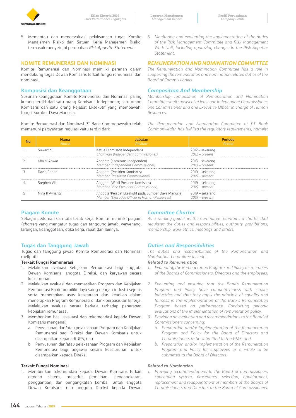

5. Memantau dan mengevaluasi pelaksanaan tugas Komite Manajemen Risiko dan Satuan Kerja Manajemen Risiko, termasuk menyetujui perubahan *Risk Appetite Statement*.

# **KOMITE REMUNERASI DAN NOMINASI**

Komite Remunerasi dan Nominasi memiliki peranan dalam mendukung tugas Dewan Komisaris terkait fungsi remunerasi dan nominasi.

# **Komposisi dan Keanggotaan**

Susunan keanggotaan Komite Remunerasi dan Nominasi paling kurang terdiri dari satu orang Komisaris Independen; satu orang Komisaris dan satu orang Pejabat Eksekutif yang membawahi fungsi Sumber Daya Manusia.

Komite Remunerasi dan Nominasi PT Bank Commonwealth telah memenuhi persyaratan regulasi yaitu terdiri dari:

*5. Monitoring and evaluating the implementation of the duties of the Risk Management Committee and Risk Management Work Unit, including approving changes in the Risk Appetite Statement.*

### *REMUNERATION AND NOMINATION COMMITTEE*

*The Remuneration and Nomination Committee has a role in supporting the remuneration and nomination related duties of the Board of Commissioners.*

### *Composition And Membership*

*Membership composition of Remuneration and Nomination Committee shall consist of at least one Independent Commissioner; one Commissioner and one Executive Officer in charge of Human Resources.*

*The Remuneration and Nomination Committee at PT Bank Commonwealth has fulfilled the regulatory requirements, namely:*

| Nama<br>Name     | labatan<br>Position <sup>1</sup>                                                                    | Period                              |
|------------------|-----------------------------------------------------------------------------------------------------|-------------------------------------|
| Suwartini        | Ketua (Komisaris Independen)<br>Chairman (Independent Commissioner)                                 | 2012 – sekarang<br>$2012$ – present |
| Khairil Anwar    | Anggota (Komisaris Independen)<br>Member (Independent Commissioner)                                 | 2013 – sekarang<br>$2013$ – present |
| David Cohen      | Anggota (Presiden Komisaris)<br>Member (President Commissioner)                                     | 2019 – sekarang<br>$2019$ – present |
| Stephen Vile     | Anggota (Wakil Presiden Komisaris)<br>Member (Vice President Commissioner)                          | 2019 – sekarang<br>2019 – present   |
| Nina P. Avrianty | Anggota/Pejabat Eksekutif pada Sumber Daya Manusia<br>Member (Executive Officer in Human Resources) | 2019 – sekarang<br>2019 – present   |

### **Piagam Komite**

Sebagai pedoman dan tata tertib kerja, Komite memiliki piagam (*charter*) yang mengatur tugas dan tanggung jawab, wewenang, larangan, keanggotaan, etika kerja, rapat dan lainnya.

### **Tugas dan Tanggung Jawab**

Tugas dan tanggung jawab Komite Remunerasi dan Nominasi meliputi:

### **Terkait Fungsi Remunerasi**

- 1. Melakukan evaluasi Kebijakan Remunerasi bagi anggota Dewan Komisaris, anggota Direksi, dan karyawan secara keseluruhan.
- 2. Melakukan evaluasi dan memastikan Program dan Kebijakan Remunerasi Bank memiliki daya saing dengan industri sejenis serta menerapkan asas kesetaraan dan keadilan dalam menerapkan Program Remunerasi di Bank berbasiskan kinerja. Melakukan evaluasi secara berkala terhadap penerapan kebijakan remunerasi.
- 3. Memberikan hasil evaluasi dan rekomendasi kepada Dewan Komisaris mengenai:
	- a. Penyusunan dan/atau pelaksanaan Program dan Kebijakan Remunerasi bagi Direksi dan Dewan Komisaris untuk disampaikan kepada RUPS; dan
	- b. Penyusunan dan/atau pelaksanaan Program dan Kebijakan Remunerasi bagi pegawai secara keseluruhan untuk disampaikan kepada Direksi.

### **Terkait Fungsi Nominasi**

1. Memberikan rekomendasi kepada Dewan Komisaris terkait dengan sistem, prosedur, pemilihan, pengangkatan, penggantian, dan pengangkatan kembali untuk anggota Dewan Komisaris dan anggota Direksi kepada Dewan

# *Committee Charter*

*As a working guideline, the Committee maintains a charter that regulates the duties and responsibilities, authority, prohibitions, membership, work ethics, meetings and others.*

### *Duties and Responsibilities*

*The duties and responsibilities of the Remuneration and Nomination Committee include:*

### *Related to Remuneration*

- *1. Evaluating the Remuneration Program and Policy for members of the Boards of Commissioners, Directors and the employees.*
- *2. Evaluating and ensuring that the Bank's Remuneration Program and Policy have competitiveness with similar industries and that they apply the principle of equality and fairness in the implementation of the Bank's Remuneration Program based on performance. Conducting periodic evaluations of the implementation of remuneration policy.*
- *3. Providing an evaluation and recommendations to the Board of Commissioners concerning:*
	- *a. Preparation and/or implementation of the Remuneration Program and Policy for the Board of Directors and Commissioners to be submitted to the GMS; and*
	- *b. Preparation and/or implementation of the Remuneration Program and Policy for employees as a whole to be submitted to the Board of Directors.*

### *Related to Nomination*

*1. Providing recommendations to the Board of Commissioners concerning system, procedures, selection, appointment, replacement and reappointment of members of the Boards of Commissioners and Directors to the Board of Commissioners,*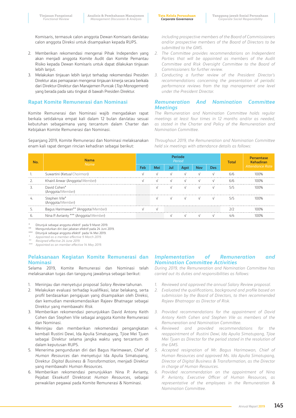Komisaris, termasuk calon anggota Dewan Komisaris dan/atau calon anggota Direksi untuk disampaikan kepada RUPS.

- 2. Memberikan rekomendasi mengenai Pihak Independen yang akan menjadi anggota Komite Audit dan Komite Pemantau Risiko kepada Dewan Komisaris untuk dapat dilakukan tinjauan lebih lanjut.
- 3. Melakukan tinjauan lebih lanjut terhadap rekomendasi Presiden Direktur atas pemaparan mengenai tinjauan kinerja secara berkala dari Direktur-Direktur dan Manajemen Puncak (*Top Management*) yang berada pada satu tingkat di bawah Presiden Direktur.

### **Rapat Komite Remunerasi dan Nominasi**

Komite Remunerasi dan Nominasi wajib mengadakan rapat berkala setidaknya empat kali dalam 12 bulan dan/atau sesuai kebutuhan sebagaimana yang tercantum dalam Charter dan Kebijakan Komite Remunerasi dan Nominasi.

Sepanjang 2019, Komite Remunerasi dan Nominasi melaksanakan enam kali rapat dengan rincian kehadiran sebagai berikut:

*including prospective members of the Board of Commissioners and/or prospective members of the Board of Directors to be submitted to the GMS.*

- *2. The Committee provides recommendations on Independent*  Parties that will be appointed as members of the Audit *Committee and Risk Oversight Committee to the Board of Commissioners for further review.*
- *3. Conducting a further review of the President Director's recommendations concerning the presentation of periodic performance reviews from the top management one level under the President Director.*

### *Remuneration And Nomination Committee Meetings*

*The Remuneration and Nomination Committee holds regular meetings at least four times in 12 months and/or as needed, as stated in the Charter and Policy of the Remuneration and Nomination Committee.* 

*Throughout 2019, the Remuneration and Nomination Committee held six meetings with attendance details as follows:*

|    | <b>Nama</b><br>Name                   | Periode<br>Period |     |            |            |            | <b>Total</b> | <b>Persentase</b><br>Kehadiran |                        |
|----|---------------------------------------|-------------------|-----|------------|------------|------------|--------------|--------------------------------|------------------------|
|    |                                       |                   | Mei | JШ         |            | Nov        | Des l        |                                | <b>Attendance Rate</b> |
|    | Suwartini (Ketua/Chairman)            |                   |     | $\sqrt{ }$ | $\sqrt{ }$ | $\sqrt{ }$ |              | 6/6                            |                        |
|    | Khairil Anwar (Anggota/Member)        |                   |     |            |            |            |              | 6/6                            |                        |
| 3. | David Cohen*<br>(Anggota/Member)      |                   |     |            |            |            |              | 5/5                            |                        |
|    | Stephen Vile*<br>(Anggota/Member)     |                   |     |            |            |            |              | 5/5                            |                        |
|    | Bagus Harimawan** (Anggota/Member)    |                   |     |            |            |            |              |                                |                        |
|    | Nina P. Avrianty *** (Anggota/Member) |                   |     |            |            |            |              |                                |                        |

\* Ditunjuk sebagai anggota efektif pada 9 Maret 2019.

Mengundurkan diri dari jabatan efektif pada 24 Juni 2019.

\*\*\* Ditunjuk sebagai anggota efektif pada 14 Mei 2019.

*\* Appointed as a member effective 9 March 2019. \*\* Resigned effective 24 June 2019.*

*\*\*\* Appointed as an member effective 14 May 2019.*

### **Pelaksanaan Kegiatan Komite Remunerasi dan Nominasi**

Selama 2019, Komite Remunerasi dan Nominasi telah melaksanakan tugas dan tanggung jawabnya sebagai berikut:

- 1. Meninjau dan menyetujui proposal *Salary Review* tahunan.
- 2. Melakukan evaluasi terhadap kualifikasi, latar belakang, serta profil berdasarkan pengajuan yang disampaikan oleh Direksi, dan kemudian merekomendasikan Rajeev Bhatnagar sebagai Direktur yang membawahi *Risk*.
- 3. Memberikan rekomendasi penunjukkan David Antony Keith Cohen dan Stephen Vile sebagai anggota Komite Remunerasi dan Nominasi.
- 4. Meninjau dan memberikan rekomendasi pengangkatan kembali Rustini Dewi, Ida Apulia Simatupang, Tjioe Mei Tjuen sebagai Direktur selama jangka waktu yang tercantum di dalam keputusan RUPS.
- 5. Menerima pengunduran diri dari Bagus Harimawan, *Chief of Human Resources* dan menyetujui Ida Apulia Simatupang, Direktur *Digital Business & Transformation*, menjadi Direktur yang membawahi *Human Resources*.
- 6. Memberikan rekomendasi penunjukkan Nina P. Avrianty, Pejabat Eksekutif Direktorat *Human Resources*, sebagai perwakilan pegawai pada Komite Remunerasi & Nominasi.

### *Implementation of Remuneration and Nomination Committee Activities*

*During 2019, the Remuneration and Nomination Committee has carried out its duties and responsibilities as follows:*

- *1. Reviewed and approved the annual Salary Review proposal.*
- *2. Evaluated the qualifications, background and profile based on submission by the Board of Directors, to then recommended Rajeev Bhatnagar as Director of Risk.*
- *3. Provided recommendations for the appointment of David Antony Keith Cohen and Stephen Vile as members of the Remuneration and Nomination Committee.*
- *4. Reviewed and provided recommendations for the reappointment of Rustini Dewi, Ida Apulia Simatupang, Tjioe Mei Tjuen as Director for the period stated in the resolution of the GMS.*
- *5. Accepted resignation of Mr. Bagus Harimawan, Chief of Human Resources and approved Ms. Ida Apulia Simatupang, Director of Digital Business & Transformation, as the Director in charge of Human Resources.*
- *6. Provided recommendation on the appointment of Nina P. Avrianty, Executive Officer of Human Resources, as representative of the employees in the Remuneration & Nomination Committee.*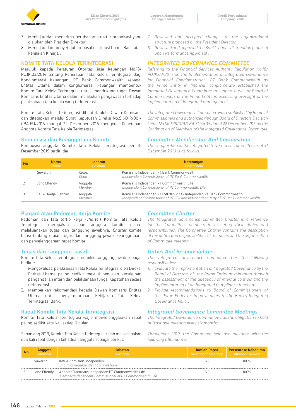

- 7. Meninjau dan menerima perubahan struktur organisasi yang diajukan oleh Presiden Direktur.
- 8. Meninjau dan menyetujui proposal distribusi bonus Bank atas Penilaian Kinerja .

### **KOMITE TATA KELOLA TERINTEGRASI**

Merujuk kepada Peraturan Otoritas Jasa Keuangan No.18/ POJK.03/2014 tentang Penerapan Tata Kelola Terintegrasi Bagi Konglomerasi Keuangan, PT Bank Commonwealth sebagai Entitas Utama dalam konglomerasi keuangan membentuk Komite Tata Kelola Terintegrasi untuk mendukung tugas Dewan Komisaris Entitas Utama dalam melakukan pengawasan terhadap pelaksanaan tata kelola yang terintegrasi.

Komite Tata Kelola Terintegrasi dibentuk oleh Dewan Komisaris dan ditetapkan melalui Surat Keputusan Direksi No.SK-DIR/001/ CBA-EU/2015 tanggal 22 Desember 2015 mengenai Penetapan Anggota Komite Tata Kelola Terintegrasi.

### **Komposisi dan Keanggotaan Komite**

Komposisi anggota Komite Tata Kelola Terintegrasi per 31 Desember 2019 terdiri dari:

- *7. Reviewed and accepted changes to the organizational structure proposed by the President Director.*
- *8. Reviewed and approved the Bank's bonus distribution proposal upon Performance Appraisal .*

### *INTEGRATED GOVERNANCE COMMITTEE*

*Referring to the Financial Services Authority Regulation No.18/ POJK.03/2014 on the Implementation of Integrated Governance for Financial Conglomeration, PT Bank Commonwealth as the Prime Entity in financial conglomerate established the Integrated Governance Committee to support duties of Board of Commissioners of the Prime Entity in exercising oversight of the implementation of integrated management.*

*The Integrated Governance Committee was established by Board of Commissioners and authorized through Board of Directors Decision Letter No.SK-DIR/001/CBA-EU/2015 dated 22 December 2015 on the Confimation of Members of the Integrated Governance Committee*

### *Committee Membership And Composition*

*The composition of the Integrated Governance Committee as of 31 December 2019 is as follows:*

| <b>Nama</b><br><b>Name</b> | Jabatan<br>Position | Keterangan<br><b>Description</b>                                                                                                                            |
|----------------------------|---------------------|-------------------------------------------------------------------------------------------------------------------------------------------------------------|
| Suwartini                  | Ketua<br>^hair      | Komisaris Independen PT Bank Commonwealth<br>Independent Commissioner of PT Bank Commonwealth                                                               |
| Jono Effendy               | Anggota<br>Memher   | Komisaris Independen PT Commonwealth Life<br>Independent Commissioner of PT Commonwealth Life                                                               |
| Teuku Radja Sjahnan        | Anggota<br>Mamhar   | Komisaris Independen PT FSII dan Pihak Independen PT Bank Commonwealth<br>Independent Commissioner of PT FSII and Independent Party of PT Bank Commonwealth |

### **Piagam atau Pedoman Kerja Komite**

Pedoman dan tata tertib kerja (*charter*) Komite Tata Kelola Terintegrasi merupakan acuan anggota komite dalam melaksanakan tugas dan tanggung jawabnya. *Charter* komite berisi tentang uraian tugas dan tanggung jawab, keanggotaan, dan penyelenggaraan rapat Komite.

### **Tugas dan Tanggung Jawab**

Komite Tata Kelola Terintegrasi memiliki tanggung jawab sebagai berikut:

- 1. Mengevaluasi pelaksanaan Tata Kelola Terintegrasi oleh Direksi Entitas Utama paling sedikit melalui penilaian kecukupan pengendalian intern dan pelaksanaan fungsi Kepatuhan secara terintegrasi.
- 2. Memberikan rekomendasi kepada Dewan Komisaris Entitas Utama untuk penyempurnaan Kebijakan Tata Kelola Terintegrasi Bank.

### **Rapat Komite Tata Kelola Terintegrasi**

Komite Tata Kelola Terintegrasi wajib menyelenggarakan rapat paling sedikit satu kali setiap 6 bulan..

Sepanjang 2019, Komite Tata Kelola Terintegrasi telah melaksanakan dua kali rapat dengan kehadiran anggota sebagai berikut:

### *Committee Charter*

*The Integrated Governance Committee Charter is a reference for the Committee members in executing their duties and responsibilities. The Committee Charter contains the description of the duties and responsibilities of members and the organization of Committee meeting.*

### *Duties And Responsibilities*

*The Integrated Governance Committee has the following responsibilities:*

- *1. Evaluate the implementation of Integrated Governance by the Board of Directors of the Prime Entity at minimum through the assessment of the adequacy of internal controls and the implementation of an integrated Compliance function.*
- *2. Provide recommendations to Board of Commissioners of the Prime Entity for improvements to the Bank's Integrated Governance Policy.*

### *Integrated Governance Committee Meetings*

*The Integrated Governance Committee has the obligation to hold at least one meeting every six months.* 

*Throughout 2019, the Committee held two meetings with the following attendance:*

| No. | <b>Anggota</b><br><i>Member</i> | Jabatan<br>Position                                                                                          | <b>Jumlah Rapat</b><br>Number of Meetings   Attendance Rate | <b>Persentase Kehadiran</b> |
|-----|---------------------------------|--------------------------------------------------------------------------------------------------------------|-------------------------------------------------------------|-----------------------------|
|     | Suwartini                       | Ketua/Komisaris Independen<br>Chairman/Independent Commissioner                                              | 212                                                         | 100%                        |
|     | Jono Effendy                    | Anggota/Komisaris Independen PT Commonwealth Life<br>Member/Independent Commissioner of PT Commonwealth Life |                                                             | 100%                        |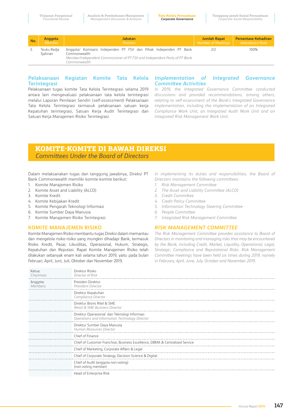| No. | Anggota                | <b>Jabatan</b>                                                                                                                                                                    | Jumlah Rapat       | <b>Persentase Kehadiran</b> |
|-----|------------------------|-----------------------------------------------------------------------------------------------------------------------------------------------------------------------------------|--------------------|-----------------------------|
|     | Member                 | Position                                                                                                                                                                          | Number of Meetings | Attendance Rate             |
|     | Teuku Radja<br>Siahnan | Anggota/ Komisaris Independen PT FSII dan Pihak Independen PT Bank<br>Commonwealth<br>Member/Independent Commissioner of PT FSII and Independent Party of PT Bank<br>Commonwealth | 212                | 100%                        |

### **Pelaksanaan Kegiatan Komite Tata Kelola Terintegrasi**

Pelaksanaan tugas komite Tata Kelola Terintegrasi selama 2019 antara lain mengevaluasi pelaksanaan tata kelola terintegrasi melalui Laporan Penilaian Sendiri (*self-assessment*) Pelaksanaan Tata Kelola Terintegrasi termasuk pelaksanaan satuan kerja Kepatuhan terintegrasi, Satuan Kerja Audit Terintegrasi dan Satuan Kerja Manajemen Risiko Terintegrasi.

### *Implementation of Integrated Governance Committee Activities*

*In 2019, the Integrated Governance Committee conducted discussions and provided recommendations, among others, relating to self-assessment of the Bank's Integrated Governance implementation, including the implementation of an Integrated Compliance Work Unit, an Integrated Audit Work Unit and an Integrated Risk Management Work Unit.*

# **KOMITE-KOMITE DI BAWAH DIREKSI**  *Committees Under the Board of Directors*

Dalam melaksanakan tugas dan tanggung jawabnya, Direksi PT Bank Commonwealth memiliki komite-komite berikut:

- 1. Komite Manajemen Risiko
- 2. Komite Asset and Liability (ALCO)
- 3. Komite Kredit
- 4. Komite Kebijakan Kredit
- 5. Komite Pengarah Teknologi Informasi
- 6. Komite Sumber Daya Manusia
- 7. Komite Manajemen Risiko Terintegrasi

### **KOMITE MANAJEMEN RISIKO**

Komite Manajemen Risiko membantu tugas Direksi dalam memantau dan mengelola risiko-risiko yang mungkin dihadapi Bank, termasuk Risiko Kredit, Pasar, Likuiditas, Operasional, Hukum, Strategis, Kepatuhan dan Reputasi. Rapat Komite Manajemen Risiko telah dilakukan sebanyak enam kali selama tahun 2019, yaitu pada bulan Februari, April, Juni, Juli, Oktober dan November 2019.

*In implementing its duties and responsibilities, the Board of Directors maintains the following committees:*

- *1. Risk Management Committee*
- *2. The Asset and Liability Committee (ALCO)*
- *3. Credit Committee*
- *4. Credit Policy Committee*
- *5. Information Technology Steering Committee*
- *6. People Committee*
- *7. Integrated Risk Management Committee*

### *RISK MANAGEMENT COMMITTEE*

*The Risk Management Committee provides assistance to Board of Directors in monitoring and managing risks that may be encountered by the Bank, including Credit, Market, Liquidity, Operational, Legal, Strategic, Compliance and Reputational Risks. Risk Management Committee meetings have been held six times during 2019, namely in February, April, June, July, October and November 2019.*

| Ketua:<br>Chairman:  | Direktur Risiko<br>Director of Risk                                                            |
|----------------------|------------------------------------------------------------------------------------------------|
| Anggota:<br>Members: | Presiden Direktur<br>President Director                                                        |
|                      | Direktur Kepatuhan<br>Compliance Director                                                      |
|                      | Direktur Bisnis Ritel & SME<br>Retail & SME Business Director                                  |
|                      | Direktur Operasional dan Teknologi Informasi<br>Operations and Information Technology Director |
|                      | Direktur Sumber Daya Manusia<br>Human Resources Director                                       |
|                      | Chief of Finance                                                                               |
|                      | Chief of Customer Franchise, Business Excellence, DBMA & Centralized Service                   |
|                      | Chief of Marketing, Corporate Affairs & Legal                                                  |
|                      | Chief of Corporate Strategy, Decision Science & Digital                                        |
|                      | Chief of Audit (anggota non-voting)<br>(non-voting member)                                     |
|                      | Head of Enterprise Risk                                                                        |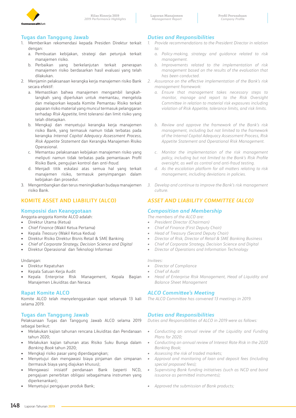

# **Tugas dan Tanggung Jawab**

- 1. Memberikan rekomendasi kepada Presiden Direktur terkait dengan:
	- a. Pembuatan kebijakan, strategi dan petunjuk terkait manajemen risiko.
	- b. Perbaikan yang berkelanjutan terkait penerapan manajemen risiko berdasarkan hasil evaluasi yang telah dilakukan.
- 2. Menjamin pelaksanaan kerangka kerja manajemen risiko Bank secara efektif:
	- a. Memastikan bahwa manajemen mengambil langkahlangkah yang diperlukan untuk memantau, mengelola dan melaporkan kepada Komite Pemantau Risiko terkait paparan risiko material yang muncul termasuk pelanggaran terhadap *Risk Appetite,* limit toleransi dan limit risiko yang telah ditetapkan.
	- b. Mengkaji dan menyetujui kerangka kerja manajemen risiko Bank, yang termasuk namun tidak terbatas pada kerangka *Internal Capital Adequacy Assessment Process, Risk Appetite Statement* dan Kerangka Manajemen Risiko Operasional.
	- c. Memantau pelaksanaan kebijakan manajemen risiko yang meliputi namun tidak terbatas pada pemantauan Profil Risiko Bank, pengujian kontrol dan *anti-fraud*.
	- d. Menjadi titik eskalasi atas semua hal yang terkait manajemen risiko, termasuk penyimpangan dalam kebijakan dan prosedur.
- 3. Mengembangkan dan terus meningkatkan budaya manajemen risiko Bank.

# **KOMITE ASSET AND LIABILITY (ALCO)**

### **Komposisi dan Keanggotaan**

Anggota-anggota Komite ALCO adalah:

• Direktur Utama (Ketua)

- *Chief Finance* (Wakil Ketua Pertama)
- Kepala *Treasury* (Wakil Ketua Kedua)
- Direktur Risiko Direktur Bisnis Retail & SME Banking
- *Chief of Corporate Strategy, Decision Science and Digital*
- Direktur Operasional dan Teknologi Informasi

### Undangan:

- Direktur Kepatuhan
- Kepala Satuan Kerja Audit
- Kepala Enterprise Risk Management, Kepala Bagian Manajemen Likuiditas dan Neraca

### **Rapat Komite ALCO**

Komite ALCO telah menyelenggarakan rapat sebanyak 13 kali selama 2019.

### **Tugas dan Tanggung Jawab**

Pelaksanaan Tugas dan Tanggung Jawab ALCO selama 2019 sebagai berikut:

- Melakukan kajian tahunan rencana Likuiditas dan Pendanaan tahun 2020;
- Melakukan kajian tahunan atas Risiko Suku Bunga dalam *Banking Book* tahun 2020;
- Mengkaji risiko pasar yang diperdagangkan;
- Menyetujui dan mengawasi biaya pinjaman dan simpanan (termasuk biaya yang diajukan khusus);
- Mengawasi inisiatif pendanaan Bank (seperti NCD, pengajuan penerbitan obligasi sebagaimana instrumen yang diperkenankan);
- Menyetujui pengajuan produk Bank;

# *Duties and Responsibilities*

- *1. Provide recommendations to the President Director in relation to:*
	- *a. Policy-making, strategy and guidance related to risk management.*
	- *b. Improvements related to the implementation of risk management based on the results of the evaluation that has been conducted.*
- *2. Assurance on the effective implementation of the Bank's risk management framework:*
	- *a. Ensure that management takes necessary steps to monitor, manage and report to the Risk Oversight Committee in relation to material risk exposures including violation of Risk Appetite, tolerance limits, and risk limits.*
	- *b. Review and approve the framework of the Bank's risk management, including but not limited to the framework of the Internal Capital Adequacy Assessment Process, Risk Appetite Statement and Operational Risk Management.*
	- *c. Monitor the implementation of the risk management policy, including but not limited to the Bank's Risk Profile oversight, as well as control and anti-fraud testing.*
	- *d. As the escalation platform for all matters relating to risk management, including deviations in policies.*
- *3. Develop and continue to improve the Bank's risk management culture.*

# *ASSET AND LIABILITY COMMITTEE (ALCO)*

### *Composition and Membership*

*The members of the ALCO are:*

- *• President Director (Chairman)*
- *• Chief of Finance (First Deputy Chair)*
- *• Head of Treasury (Second Deputy Chair)*
- *• Director of Risk, Director of Retail & SME Banking Business*
- *• Chief of Corporate Strategy, Decision Science and Digital*
- *• Director of Operations and Information Technology*

### *Invitees:*

- *• Director of Compliance*
- *• Chief of Audit*
- *• Head of Enterprise Risk Management, Head of Liquidity and Balance Sheet Management*

### *ALCO Committee's Meeting*

*The ALCO Committee has convened 13 meetings in 2019.*

### *Duties and Responsibilities*

*Duties and Responsibilities of ALCO in 2019 were as follows:*

- *Conducting an annual review of the Liquidity and Funding Plans for 2020;*
- *Conducting an annual review of Interest Rate Risk in the 2020 Banking Book;*
- *• Assessing the risk of traded markets;*
- *• Approval and monitoring of loan and deposit fees (including special proposed fees);*
- *• Supervising Bank funding initiatives (such as NCD and bond issuance as permitted instruments);*
- *• Approved the submission of Bank products;*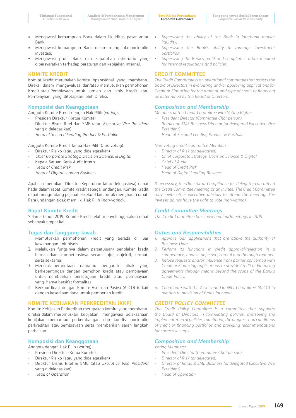- Mengawasi kemampuan Bank dalam likuiditas pasar antar Bank;
- Mengawasi kemampuan Bank dalam mengelola portofolio investasi;
- Mengawasi profit Bank dan kepatuhan ratio-ratio yang dipersyaratkan terhadap peraturan dan kebijakan internal.

### **KOMITE KREDIT**

Komite Kredit merupakan komite operasional yang membantu Direksi dalam mengevaluasi dan/atau memutuskan permohonan Kredit atau Pembiayaan untuk jumlah dan jenis Kredit atau Pembiayaan yang ditetapkan oleh Direksi.

### **Komposisi dan Keanggotaan**

Anggota Komite Kredit dengan Hak Pilih (*voting*):

- Presiden Direktur (Ketua Komite)
- Direktur Bisnis Ritel dan SME (atau *Executive Vice President*  yang didelegasikan)
- *Head of Secured Lending Product & Portfoli*o

Anggota Komite Kredit Tanpa Hak Pilih (*non-voting*):

- Direktur Risiko (atau yang didelegasikan)
- *Chief Corporate Strategy, Decision Science, & Digital*
- Kepala Satuan Kerja Audit Intern
- *Head of Credit Risk*
- *Head of Digital Lending Business*

Apabila diperlukan, Direktur Kepatuhan (atau delegasinya) dapat hadir dalam rapat Komite Kredit sebagai undangan. Komite Kredit dapat mengundang pejabat eksekutif lain untuk menghadiri rapat. Para undangan tidak memiliki Hak Pilih (*non-voting*).

### **Rapat Komite Kredit**

Selama tahun 2019, Komite Kredit telah menyelenggarakan rapat sebanyak empat kali.

# **Tugas dan Tanggung Jawab**

- 1. Memutuskan permohonan kredit yang berada di luar kewenangan unit bisnis.
- 2. Melakukan fungsinya dalam persetujuan/ penolakan kredit berdasarkan kompetensinya secara jujur, objektif, cermat, serta seksama.
- 3. Menolak permintaan dan/atau pengaruh pihak yang berkepentingan dengan pemohon kredit atau pembiayaan untuk memberikan persetujuan kredit atau pembiayaan yang hanya bersifat formalitas.
- 4. Berkoordinasi dengan Komite Aset dan Pasiva (ALCO) terkait dengan kesediaan dana untuk pemberian kredit.

### **KOMITE KEBIJAKAN PERKREDITAN (KKP)**

Komite Kebijakan Perkreditan merupakan komite yang membantu direksi dalam merumuskan kebijakan, mengawasi pelaksanaan kebijakan, memantau perkembangan dan kondisi portofolio perkreditan atau pembiayaan serta memberikan saran langkah perbaikan.

### **Komposisi dan Keanggotaan**

- Anggota dengan Hak Pilih (*voting*):
- Presiden Direktur (Ketua Komite)
- Direktur Risiko (atau yang didelegasikan)
- Direktur Bisnis Ritel & SME (atau *Executive Vice President* yang didelegasikan)
- *Head of Operation*
- *• Supervising the ability of the Bank in interbank market liquidity;*
- *• Supervising the Bank's ability to manage investment portfolios;*
- *• Supervising the Bank's profit and compliance ratios required for internal regulations and policies.*

# **CREDIT COMMITTEE**

*The Credit Committee is an operational committee that assists the Board of Directors in evaluating and/or approving applications for Credit or Financing for the amount and type of credit or financing as determined by the Board of Directors.*

### *Composition and Membership*

*Members of the Credit Committee with Voting Rights:*

- *- President Director (Committee Chairperson)*
- *- Retail and SME Business Director (or delegated Executive Vice President)*
- *- Head of Secured Lending Product & Portfolio*

*Non-voting Credit Committee Members:*

- *- Director of Risk (or delegated)*
- *- Chief Corporate Strategy, Decision Science & Digital*
- *- Chief of Audit*
- *- Head of Credit Risk*
- *- Head of Digital Lending Business*

*If necessary, the Director of Compliance (or delegate) can attend the Credit Committee meeting as an invitee. The Credit Committee may invite other executive officials to attend the meeting. The invitees do not have the right to vote (non-voting).*

### *Credit Committee Meetings*

*The Credit Committee has convened four)meetings in 2019.*

### *Duties and Responsibilities*

- *1. Approve loan applications that are above the authority of Business Units.*
- *2. Perform its functions in credit approval/rejection in a competence, honest, objective, careful and thorough manner.*
- *3. Refuse requests and/or influence from parties concerned with Credit or Financing applications to provide Credit or Financing agreements through means beyond the scope of the Bank's Credit Policy.*
- *4. Coordinate with the Asset and Liability Committee (ALCO) in relation to provision of funds for credit.*

# *CREDIT POLICY COMMITTEE*

*The Credit Policy Committee is a committee that supports the Board of Directors in formulating policies, overseeing the implementation of policies, monitoring the progress and conditions of credit or financing portfolios and providing recommendations for corrective steps.*

### *Composition and Membership*

*Voting Members:*

- *- President Director (Committee Chairperson)*
- *- Director of Risk (or delegated)*
- *- Director of Retail & SME Business (or delegated Executive Vice President)*
- *- Head of Operation*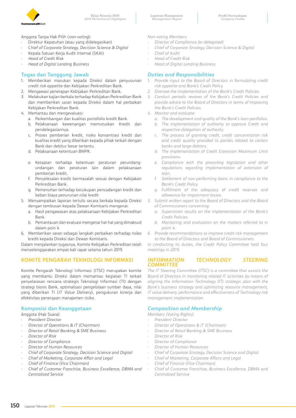

Anggota Tanpa Hak Pilih (*non-voting*):

- Direktur Kepatuhan (atau yang didelegasikan)
- C*hief of Corporate Strategy, Decision Science & Digital*
- Kepala Satuan Kerja Audit Internal (SKAI)
- *Head of Credit Risk*
- *Head of Digital Lending Business*

# **Tugas dan Tanggung Jawab**

- 1. Memberikan masukan kepada Direksi dalam penyusunan *credit risk appetite* dan Kebijakan Perkreditan Bank.
- 2. Mengawasi penerapan Kebijakan Perkreditan Bank.
- 3. Melakukan kajian berkala terhadap Kebijakan Perkreditan Bank dan memberikan saran kepada Direksi dalam hal perbaikan Kebijakan Perkreditan Bank.
- 4. Memantau dan mengevaluasi:
	- a. Perkembangan dan kualitas portofolio kredit Bank.
	- b. Pelaksanaan kewenangan memutuskan Kredit dan pendelegasiannya.
	- c. Proses pemberian kredit, risiko konsentrasi kredit dan kualitas kredit yang diberikan kepada pihak terkait dengan Bank dan debitur besar tertentu.
	- d. Pelaksanaan ketentuan BMPK.
	- e. Ketaatan terhadap ketentuan peraturan perundangundangan dan peraturan lain dalam pelaksanaan pemberian kredit.
	- f. Penyelesaian kredit bermasalah sesuai dengan Kebijakan Perkreditan Bank.
	- g. Pemenuhan terhadap kecukupan pencadangan kredit dan beban biaya penurunan nilai kredit
- 5. Menyampaikan laporan tertulis secara berkala kepada Direksi dengan tembusan kepada Dewan Komisaris mengenai:
	- a. Hasil pengawasan atas pelaksanaan Kebijakan Perkreditan Bank.
	- b. Pemantauan dan evaluasi mengenai hal-hal yang dimaksud dalam poin 4
- 6. Memberikan saran sebagai langkah perbaikan terhadap risiko kredit kepada Direksi dan Dewan Komisaris.

Dalam menjalankan tugasnya, Komite Kebijakan Perkreditan telah menyelenggarakan empat kali rapat selama tahun 2019.

# **KOMITE PENGARAH TEKNOLOGI INFORMASI**

Komite Pengarah Teknologi Informasi (ITSC) merupakan komite yang membantu Direksi dalam memantau kegiatan TI terkait penyelarasan rencana strategis Teknologi Informasi (TI) dengan strategi bisnis Bank, optimalisasi pengelolaan sumber daya, nilai yang diberikan TI (*IT Value Delivery*), pengukuran kinerja dan efektivitas penerapan manajemen risiko.

# **Komposisi dan Keanggotaan**

Anggota (Hak Suara):

- *President Director*
- *- Director of Operations & IT (Chairman)*
- *- Director of Retail Banking & SME Business*
- *- Director of Risk*
- *- Director of Compliance*
- *- Director of Human Resources*
- *- Chief of Corporate Strategy, Decision Science and Digital*
- *- Chief of Marketing, Corporate Affair and Legal*
- *- Chief of Finance (Vice Chairman)*
- *- Chief of Customer Franchise, Business Excellence, DBMA and Centralized Service*

*Non-voting Members:*

- *- Director of Compliance (or delegated)*
- *- Chief of Corporate Strategy, Decision Science & Digital*
- *- Chief of Audit*
- *- Head of Credit Risk*
- *- Head of Digital Lending Business*

# *Duties and Responsibilities*

- *1. Provide input to the Board of Directors in formulating credit risk appetite and Bank's Credit Policy.*
- *2. Oversee the implementation of the Bank's Credit Policies.*
- *3. Conduct periodic reviews of the Bank's Credit Policies and provide advice to the Board of Directors in terms of improving the Bank's Credit Policies.*
- *4. Monitor and evaluate:*
	- *a. The development and quality of the Bank's loan portfolios.*
	- *b. The implementation of authority to approve Credit and respective delegation of authority.*
	- *c. The process of granting credit, credit concentration risk and credit quality provided to parties related to certain banks and large debtors.*
	- *d. The implementation of Credit Extension Maximum Limit provisions.*
	- *e. Compliance with the prevailing legislation and other regulations regarding implementation of extension of loan.*
	- *f. Settlement of non-performing loans in compliance to the Bank's Credit Policy.*
	- *g. Fulfillment of the adequacy of credit reserves and allowance for impairment losses.*
- *5. Submit written report to the Board of Directors and the Board of Commissioners concerning:*
	- *a. Supervision results on the implementation of the Bank's Credit Policies.*
	- *b. Monitoring and evaluation on the matters referred to in point 4.*
- *6. Provide recommendations to improve credit risk management to the Board of Directors and Board of Commissioners.*

*In conducting its duties, the Credit Policy Committee held four meetings in 2019.*

### *INFORMATION TECHNOLOGY STEERING COMMITTEE*

*The IT Steering Committee (ITSC) is a committee that assists the Board of Directors in monitoring related IT activities by means of aligning the Information Technology (IT) strategic plan with the Bank's business strategy and optimizing resource management, IT value delivery, performance and effectiveness of Technology risk management implementation.*

### *Composition and Membership*

*Members (Voting Rights):*

- *- President Director*
- *- Director of Operations & IT (Chairman)*
- *- Director of Retail Banking & SME Business*
- *- Director of Risk*
- *- Director of Compliance*
- *- Director of Human Resources*
- *- Chief of Corporate Strategy, Decision Science and Digital*
- *- Chief of Marketing, Corporate Affairs and Legal*
- *- Chief of Finance (Vice Chairman)*
- *- Chief of Customer Franchise, Business Excellence, DBMA and Centralized Service*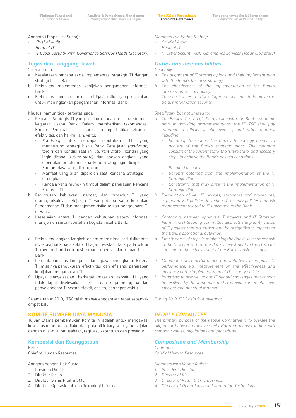**Tata Kelola Perusahaan** *Corporate Governance*

Anggota (Tanpa Hak Suara):

- *Chief of Audit*
- *- Head of IT*
- *- IT Cyber Security Risk, Governance Services Heads (Secretary)*

# **Tugas dan Tanggung Jawab**

Secara umum:

- a. Keselarasan rencana serta implementasi strategis TI dengan strategi bisnis Bank.
- b. Efektivitas implementasi kebijakan pengamanan informasi Bank.
- c. Efektivitas langkah-langkah mitigasi risiko yang dilakukan untuk meningkatkan pengamanan informasi Bank.

Khusus, namun tidak terbatas pada:

- a Rencana Strategis TI yang sejalan dengan rencana strategis kegiatan usaha Bank. Dalam memberikan rekomendasi, Komite Pengarah TI harus memperhatikan efisiensi, efektivitas, dan hal-hal lain, yaitu:
	- *Road-map* untuk mencapai kebutuhan TI yang mendukung strategi bisnis Bank. Peta jalan *(road-map)* terdiri dari kondisi saat ini (*current state*), kondisi yang ingin dicapai (*future state*), dan langkah-langkah yang diperlukan untuk mencapai kondisi yang ingin dicapai.
	- Sumber daya yang dibutuhkan.
	- Manfaat yang akan diperoleh saat Rencana Strategis TI diterapkan.
	- Kendala yang mungkin timbul dalam penerapan Rencana Strategis TI.
- b Perumusan kebijakan, standar, dan prosedur TI yang utama, misalnya kebijakan TI yang utama yaitu kebijakan Pengamanan TI dan manajemen risiko terkait penggunaan TI di Bank.
- c Kesesuaian antara TI dengan kebutuhan sistem informasi manajemen serta kebutuhan kegiatan usaha Bank.
- d Efektivitas langkah-langkah dalam meminimalisasi risiko atas investasi Bank pada sektor TI agar investasi Bank pada sektor TI memberikan kontribusi terhadap pencapaian tujuan bisnis Bank.
- e Pemantauan atas kinerja TI dan upaya peningkatan kinerja TI, misalnya pengukuran efektivitas dan efisiensi penerapan kebijakan pengamanan TI.
- f Upaya penyelesaian berbagai masalah terkait TI yang tidak dapat diselesaikan oleh satuan kerja pengguna dan penyelenggara TI secara efektif, efisien, dan tepat waktu.

Selama tahun 2019, ITSC telah menyelenggarakan rapat sebanyak empat kali.

### **KOMITE SUMBER DAYA MANUSIA**

Tujuan utama pembentukan Komite ini adalah untuk mengawasi keselarasan antara perilaku dan pola pikir karyawan yang sejalan dengan nilai-nilai perusahaan, regulasi, ketentuan dan prosedur.

# **Komposisi dan Keanggotaan**

Ketua: Chief of Human Resources

Anggota dengan Hak Suara:

- 1. Presiden Direktur
- 2. Direktur Risiko
- 3. Direktur Bisnis Ritel & SME
- 4. Direktur Operasional dan Teknologi Informasi

*Members (No Voting Rights):*

- *- Chief of Audit*
- *- Head of IT*
- *- IT Cyber Security Risk, Governance Services Heads (Secretary)*

## *Duties and Responsibilities*

### *Generally:*

- *a. The alignment of IT strategic plans and their implementation with the Bank's business strategy.*
- *b. The effectiveness of the implementation of the Bank's information security policy.*
- *c. The effectiveness of risk mitigation measures to improve the Bank's information security.*

### *Specifically, but not limited to:*

- *a. The Bank's IT Strategic Plan, in line with the Bank's strategic plan. In providing recommendations, the IT ITSC shall pay attention a efficiency, effectiveness, and other matters, including:*
	- *- Roadmap to support the Bank's Technology needs to achieve of the Bank's strategic plans. The roadmap consists of the current state, the future state, and necesary steps to achieve the Bank's desired conditions.*
	- *- Required resources.*
	- *- Benefits obtained from the implementation of the IT Strategic Plan.*
	- *- Constraints that may arise in the implementation of IT Strategic Plan.*
- *b. Formulation of key IT policies, standards and procedures; e.g. primary IT policies, including IT Security policies and risk management related to IT utilisation in the Bank.*
- *c. Conformity between approved IT projects and IT Strategic Plans. The IT Steering Committee also sets the priority status of IT projects that are critical and have significant impacts to the Bank's operational activities.*
- *d. Effectiveness of steps in minimising the Bank's investment risk in the IT sector so that the Bank's investment in the IT sector can lead to the achievement of the Bank's business goals.*
- *e. Monitoring of IT performance and initiatives to improve IT performance; e.g. measurement on the effectiveness and efficiency of the implementation of IT security policies.*
- *f. Initiatives to resolve various IT-related challenges that cannot be resolved by the work units and IT providers in an effective, efficient and punctual manner.*

*During 2019, ITSC held four meetings.*

### *PEOPLE COMMITTEE*

*The primary purpose of the People Committee is to oversee the alignment between employee behavior and mindset in line with company values, regulations and procedures.* 

### *Composition and Membership*

*Chairman: Chief of Human Resources*

*Members with Voting Rights:*

- *1. President Director*
- *2. Director of Risk*
- *3. Director of Retail & SME Business*
- *4. Director of Operations and Information Technology*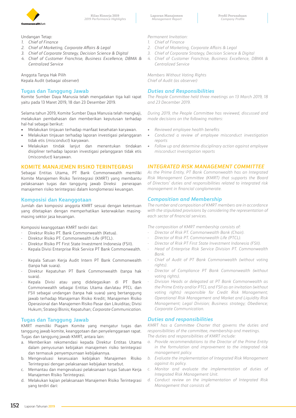

Undangan Tetap:

- *1. Chief of Finance*
- *2. Chief of Marketing, Corporate Affairs & Legal*
- *3. Chief of Corporate Strategy, Decision Science & Digital*
- *4. Chief of Customer Franchise, Business Excellence, DBMA & Centralized Service*

Anggota Tanpa Hak Pilih Kepala Audit (sebagai *observer*)

### **Tugas dan Tanggung Jawab**

Komite Sumber Daya Manusia telah mengadakan tiga kali rapat yaitu pada 13 Maret 2019, 18 dan 23 Desember 2019.

Selama tahun 2019, Komite Sumber Daya Manusia telah mengkaji, melakukan pembahasan dan memberikan keputusan terhadap hal-hal sebagai berikut:

- Melakukan tinjauan terhadap manfaat kesehatan karyawan.
- Melakukan tinjauan terhadap laporan investigasi pelanggaran tidak etis (*misconduct*) karyawan.
- Melakukan tindak lanjut dan menentukan tindakan disipliner terhadap laporan investigasi pelanggaran tidak etis (*misconduct*) karyawan.

### **KOMITE MANAJEMEN RISIKO TERINTEGRASI**

Sebagai Entitas Utama, PT Bank Commonwealth memiliki Komite Manajemen Risiko Terintegrasi (KMRT) yang membantu pelaksanaan tugas dan tanggung jawab Direksi penerapan manajemen risiko terintegrasi dalam konglomerasi keuangan.

### **Komposisi dan Keanggotaan**

Jumlah dan komposisi anggota KMRT sesuai dengan ketentuan yang ditetapkan dengan memperhatikan keterwakilan masingmasing sektor jasa keuangan.

Komposisi keanggotaan KMRT terdiri dari:

- Direktur Risiko PT. Bank Commonwealth (Ketua).
- Direktur Risiko PT. Commonwealth Life (PTCL).
- Direktur Risiko PT First State Investment Indonesia (FSII).
- Kepala Divisi Enterprise Risk Service PT Bank Commonwealth.
- Kepala Satuan Kerja Audit Intern PT Bank Commonwealth (tanpa hak suara).
- Direktur Kepatuhan PT Bank Commonwealth (tanpa hak suara).
- Kepala Divisi atau yang didelegasikan di PT Bank Commonwealth sebagai Entitas Utama dan/atau PTCL dan FSII sebagai undangan (tanpa hak suara) yang bertanggung jawab terhadap Manajeman Risiko Kredit; Manajemen Risiko Operasional dan Manajemen Risiko Pasar dan Likuiditas; Divisi Hukum; Strategi Bisnis; Kepatuhan; *Corporate Communication*.

### **Tugas dan Tanggung Jawab**

KMRT memiliki Piagam Komite yang mengatur tugas dan tanggung jawab komite, keanggotaan dan penyelenggaraan rapat. Tugas dan tanggung jawab KMRT, antara lain:

- a. Memberikan rekomendasi kepada Direktur Entitas Utama dalam penyusunan kebijakan manajemen risiko terintegrasi dan termasuk penyempurnaan kebijakannya.
- b. Mengevaluasi kesesuaian kebijakan Manajemen Risiko Terintegrasi dengan pelaksanaan kebijakan tersebut.
- c. Memantau dan mengevaluasi pelaksanaan tugas Satuan Kerja Manajemen Risiko Terintegrasi.
- d. Melakukan kajian pelaksanaan Manajemen Risiko Terintegrasi yang terdiri dari:

*Permanent Invitation:*

- *1. Chief of Finance*
- *2. Chief of Marketing, Corporate Affairs & Legal*
- *3. Chief of Corporate Strategy, Decision Science & Digital*
- *4. Chief of Customer Franchise, Business Excellence, DBMA & Centralized Service*

*Members Without Voting Rights Chief of Audit (as observer)*

### *Duties and Responsibilities*

*The People Committee held three meetings on 13 March 2019, 18 and 23 December 2019.*

*During 2019, the People Committee has reviewed, discussed and made decisions on the following matters:*

- *Reviewed employee health benefits*
- *Conducted a review of employee misconduct investigation reports*
- *Follow up and determine disciplinary action against employee misconduct investigation reports*

### *INTEGRATED RISK MANAGEMENT COMMITTEE*

*As the Prime Entity, PT Bank Commonwealth has an Integrated Risk Management Committee (KMRT) that supports the Board of Directors' duties and responsibilities related to integrated risk management in financial conglomerate.*

### *Composition and Membership*

*The number and composition of KMRT members are in accordance with the stipulated provisions by considering the representation of each sector of financial services.*

*The composition of KMRT membership consists of:*

- *- Director of Risk PT. Commonwealth Bank (Chair).*
- *- Director of Risk PT. Commonwealth Life (PTCL).*
- *- Director of Risk PT First State Investment Indonesia (FSII).*
- *- Head of Enterprise Risk Service Division PT. Commonwealth Bank.*
- *- Chief of Audit of PT Bank Commonwealth (without voting rights).*
- *- Director of Compliance PT Bank Commonwealth (without voting rights).*
- *- Division Heads or delegated at PT Bank Commonwealth as the Prime Entity and/or PTCL and FSII as an invitation (without voting rights) responsible for Credit Risk Management; Operational Risk Management and Market and Liquidity Risk Management; Legal Division; Business strategy; Obedience; Corporate Communication.*

### *Duties and responsibilities*

*KMRT has a Committee Charter that governs the duties and responsibilities of the committee, membership and meetings. The duties and responsibilities of KMRT include:*

- *a. Provide recommendations to the Director of the Prime Entity in the formulation and improvement to the integrated risk management policy.*
- *b. Evaluate the implementation of Integrated Risk Management against its policy.*
- *c. Monitor and evaluate the implementation of duties of Integrated Risk Management Unit.*
- *d. Conduct review on the implementation of Integrated Risk Management that consists of:*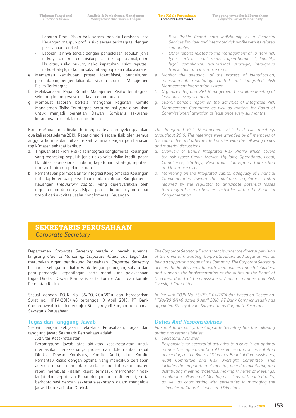- Laporan Profil Risiko baik secara individu Lembaga Jasa Keuangan maupun profil risiko secara terintegrasi dengan perusahaan terelasi.
- Laporan lainnya terkait dengan pengelolaan sepuluh jenis risiko yaitu risiko kredit, risiko pasar, risiko operasional, risiko likuiditas, risiko hukum, risiko kepatuhan, risiko reputasi, risiko stratejik, risiko transaksi intra-group dan risiko asuransi.
- e. Memantau kecukupan proses identifikasi, pengukuran, pemantauan, pengendalian dan sistem informasi Manajemen Risiko Terintegrasi.
- f. Melaksanakan Rapat Komite Manajemen Risiko Terintegrasi sekurang-kurangnya sekali dalam enam bulan.
- g. Membuat laporan berkala mengenai kegiatan Komite Manajemen Risiko Terintegrasi serta hal-hal yang diperlukan untuk menjadi perhatian Dewan Komisaris sekurangkurangnya sekali dalam enam bulan.

Komite Manajemen Risiko Terintegrasi telah menyelenggarakan dua kali rapat selama 2019. Rapat dihadiri secara fisik oleh semua anggota komite dan pihak terkait lainnya dengan pembahasan topik/materi sebagai berikut:

- a. Tinjauan atas Profil Risiko Terintegrasi konglomerasi keuangan yang mencakup sepuluh jenis risiko yaitu risiko kredit, pasar, likuiditas, operasional, hukum, kepatuhan, strategi, reputasi, transaksi intra-grup dan asuransi.
- b. Pemantauan permodalan terintegrasi Konglomerasi Keuangan terhadap ketentuan penyediaan modal minimum Konglomerasi Keuangan (*regulatory capita*l) yang dipersyaratkan oleh regulator untuk mengantisipasi potensi kerugian yang dapat timbul dari aktivitas usaha Konglomerasi Keuangan.
- *- Risk Profile Report both individually by a Financial Services Provider and integrated risk profile with its related companies.*
- *- Other reports related to the management of 10 (ten) risk types such as credit, market, operational risk, liquidity, legal, compliance, reputational, strategic, intra-group transaction and insurance risks.*
- *e. Monitor the adequacy of the process of identification, measurement, monitoring, control and integrated Risk Management information system.*
- *f. Organize Integrated Risk Management Committee Meeting at least once every six months.*
- *g. Submit periodic report on the activities of Integrated Risk Management Committee as well as matters for Board of Commissioners' attention at least once every six months.*

*The Integrated Risk Management Risk held two meetings throughout 2019. The meetings were attended by all members of the committee and other related parties with the following topics and material discussions:*

- *a. Overview of Bank's Integrated Risk Profile which covers ten risk types: Credit, Market, Liquidity, Operational, Legal, Compliance, Strategy, Reputation, Intra-group transaction and Insurance risks.*
- *b. Monitoring on the Integrated capital adequacy of Financial Conglomeration toward the minimum regulatory capital required by the regulator to anticipate potential losses that may arise from business activities within the Financial Conglomeration.*

# **SEKRETARIS PERUSAHAAN**  *Corporate Secretary*

Departemen *Corporate Secretary* berada di bawah supervisi langsung *Chief of Marketing, Corporate Affairs and Legal* dan merupakan organ pendukung Perusahaan. *Corporate Secretary*  bertindak sebagai mediator Bank dengan pemegang saham dan para pemangku kepentingan, serta mendukung pelaksanaan tugas Direksi, Dewan Komisaris serta komite Audit dan komite Pemantau Risiko.

Sesuai dengan POJK No. 35/POJK.04/2014 dan berdasarkan Surat no. HRPA/2018/146 tertanggal 9 April 2018, PT Bank Commonwealth telah menunjuk Stacey Aryadi Suryoputro sebagai Sekretaris Perusahaan.

### **Tugas dan Tanggung Jawab**

Sesuai dengan Kebijakan Sekretaris Perusahaan, tugas dan tanggung jawab Sekretaris Perusahaan adalah:

1. Aktivitas Kesekretariatan

Bertanggung jawab atas aktivitas kesekretariatan untuk memastikan terlaksananya proses dan dokumentasi rapat Direksi, Dewan Komisaris, Komite Audit, dan Komite Pemantau Risiko dengan optimal yang mencakup persiapan agenda rapat, memantau serta mendistribusikan materi rapat, membuat Risalah Rapat, termasuk memonitor tindak lanjut dari keputusan Rapat dengan unit-unit terkait, serta berkoordinasi dengan sekretaris-sekretaris dalam mengelola jadwal Komisaris dan Direksi.

*The Corporate Secretary Department is under the direct supervision of the Chief of Marketing, Corporate Affairs and Legal as well as being a supporting organ of the Company. The Corporate Secretary acts as the Bank's mediator with shareholders and stakeholders, and supports the implementation of the duties of the Board of Directors, Board of Commissioners, Audit Committee and Risk Oversight Committee.*

*In line with POJK No. 35/POJK.04/2014 dan based on Decree no. HRPA/2018/146 dated 9 April 2018, PT Bank Commonwealth has appointed Stacey Aryadi Suryoputro as Corporate Secretary.* 

### *Duties And Responsibilities*

*Pursuant to its policy, the Corporate Secretary has the following duties and responsibilities:*

*1. Secretarial Activities*

*Responsible for secretarial activities to assure in an optimal manner the implementation of the process and documentation of meetings of the Board of Directors, Board of Commissioners, Audit Committee and Risk Oversight Committee. This includes the preparation of meeting agenda, monitoring and distributing meeting materials, making Minutes of Meetings, monitoring follow-up of Meeting decisions with related units, as well as coordinating with secretaries in managing the schedules of Commissioners and Directors.*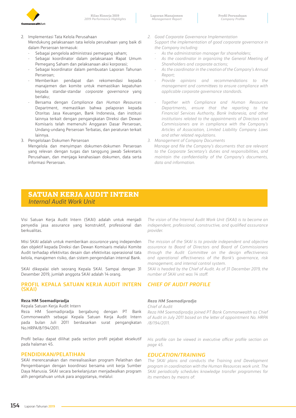

- 2. Implementasi Tata Kelola Perusahaan Mendukung pelaksanaan tata kelola perusahaan yang baik di dalam Perseroan termasuk:
	- Sebagai pengelola administrasi pemegang saham;
	- Sebagai koordinator dalam pelaksanaan Rapat Umum Pemegang Saham dan pelaksanaan aksi korporasi;
	- Sebagai koordinator dalam pembuatan Laporan Tahunan Perseroan;
	- Memberikan pendapat dan rekomendasi kepada manajemen dan komite untuk memastikan kepatuhan kepada standar-standar *corporate governance* yang berlaku;
	- Bersama dengan *Compliance* dan *Human Resources*  Department, memastikan bahwa pelaporan kepada Otoritas Jasa Keuangan, Bank Indonesia, dan institusi lainnya terkait dengan pengangkatan Direksi dan Dewan Komisaris telah memenuhi Anggaran Dasar Perseroan, Undang-undang Perseroan Terbatas, dan peraturan terkait lainnya.
- 3. Pengelolaan Dokumen Perseroan

Mengelola dan menyimpan dokumen-dokumen Perseroan yang relevan dengan tugas dan tanggung jawab Sekretaris Perusahaan, dan menjaga kerahasiaan dokumen, data serta informasi Perseroan.

- *2. Good Corporate Governance Implementation Support the implementation of good corporate governance in the Company including:*
	- *- As the administration manager for shareholders;*
	- *- As the coordinator in organizing the General Meeting of Shareholders and corporate actions;*
	- *- As the coordinator in the creation of the Company's Annual Report;*
	- *- Provide opinions and recommendations to the management and committees to ensure compliance with applicable corporate governance standards.*
	- *- Together with Compliance and Human Resources Departments, ensure that the reporting to the Financial Services Authority, Bank Indonesia, and other institutions related to the appointments of Directors and Commissioners are in compliance with the Company's Articles of Association, Limited Liability Company Laws and other related regulations.*
- *3. Management of Company Documents*

 *Manage and file the Company's documents that are relevant to the Corporate Secretary's duties and responsibilities, and maintain the confidentiality of the Company's documents, data and information.*

# **SATUAN KERJA AUDIT INTERN**  *Internal Audit Work Unit*

Visi Satuan Kerja Audit Intern (SKAI) adalah untuk menjadi penyedia jasa assurance yang konstruktif, professional dan berkualitas.

Misi SKAI adalah untuk memberikan *assurance* yang independen dan objektif kepada Direksi dan Dewan Komisaris melalui Komite Audit terhadap efektivitas desain dan efektivitas operasional tata kelola, manajemen risiko, dan sistem pengendalian internal Bank.

SKAI dikepalai oleh seorang Kepala SKAI. Sampai dengan 31 Desember 2019, jumlah anggota SKAI adalah 14 orang.

### **PROFIL KEPALA SATUAN KERJA AUDIT INTERN (SKAI)**

### **Reza HM Soemadipradja**

Kepala Satuan Kerja Audit Intern

Reza HM Soemadipradja bergabung dengan PT Bank Commonwealth sebagai Kepala Satuan Kerja Audit Intern pada bulan Juli 2011 berdasarkan surat pengangkatan No.HRPA/8/194/2011.

Profil beliau dapat dilihat pada section profil pejabat eksekutif pada halaman 45.

### **PENDIDIKAN/PELATIHAN**

SKAI merencanakan dan merealisasikan program Pelatihan dan Pengembangan dengan koordinasi bersama unit kerja Sumber Daya Manusia. SKAI secara berkelanjutan menjadwalkan program alih pengetahuan untuk para anggotanya, melalui:

*The vision of the Internal Audit Work Unit (SKAI) is to become an independent, professional, constructive, and qualified asssurance provider.* 

*The mission of the SKAI is to provide independent and objective assurance to Board of Directors and Board of Commissioners through the Audit Committee on the design effectiveness and operational effectiveness of the Bank's governance, risk management, and internal control system.*

*SKAI is headed by the Chief of Audit. As of 31 December 2019, the number of SKAI unit was 14 staff.*

# *CHIEF OF AUDIT PROFILE*

### *Reza HM Soemadipradja*

*Chief of Audit*

*Reza HM Soemadipradja joined PT Bank Commonwealth as Chief of Audit in July 2011 based on the letter of appointment No. HRPA /8/194/2011.*

*His profile can be viewed in executive officer profile section on page 45.*

### *EDUCATION/TRAINING*

*The SKAI plans and conducts the Training and Development program in coordination with the Human Resources work unit. The SKAI periodically schedules knowledge transfer programmes for its members by means of:*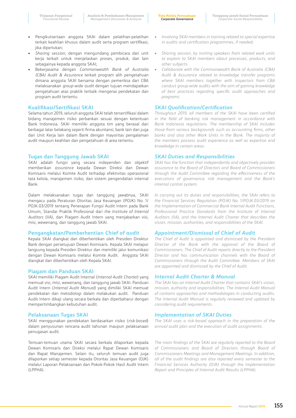- Pengikutsertaan anggota SKAI dalam pelatihan-pelatihan terkait keahlian khusus dalam audit serta program sertifikasi, jika diperlukan:
- *Sharing session*, dengan mengundang pembicara dari unit kerja terkait untuk menjelaskan proses, produk, dan lain sebagainya kepada anggota SKAI;
- Bekerjasama dengan *Commonwealth Bank of Australia (CBA) Audit & Assurance* terkait program alih pengetahuan dimana anggota SKAI bersama dengan pemeriksa dari CBA melaksanakan *group-wide audit* dengan tujuan mendapatkan pengetahuan atas praktik terbaik mengenai pendekatan dan program audit tertentu.

### **Kualifikasi/Sertifikasi SKAI**

Selama tahun 2019, seluruh anggota SKAI telah tersertifikasi dalam bidang manajemen risiko perbankan sesuai dengan ketentuan Bank Indonesia. SKAI memiliki anggota tim yang berasal dari berbagai latar belakang seperti firma akuntansi, bank lain dan juga dari Unit Kerja lain dalam Bank dengan mayoritas pengalaman audit maupun keahlian dan pengetahuan di area tertentu.

### **Tugas dan Tanggung Jawab SKAI**

SKAI adalah fungsi yang secara independen dan objektif memberikan *assurance* kepada Dewan Direksi dan Dewan Komisaris melalui Komite Audit terhadap efektivitas operasional tata kelola, manajemen risiko, dan sistem pengendalian internal Bank.

Dalam melaksanakan tugas dan tanggung jawabnya, SKAI mengacu pada Peraturan Otoritas Jasa Keuangan (POJK) No. 1/ POJK.03/2019 tentang Penerapan Fungsi Audit Intern pada Bank Umum, Standar Praktik Profesional dari *the Institute of Internal Auditors* (IIA), dan Piagam Audit Intern yang menjabarkan visi, misi, wewenang, dan tanggung jawab SKAI.

### **Pengangkatan/Pemberhentian** *Chief of audit*

Kepala SKAI diangkat dan diberhentikan oleh Presiden Direktur Bank dengan persetujuan Dewan Komisaris. Kepala SKAI melapor langsung kepada Presiden Direktur dan memiliki jalur komunikasi dengan Dewan Komisaris melalui Komite Audit. Anggota SKAI diangkat dan diberhentikan oleh Kepala SKAI.

### **Piagam dan Panduan SKAI**

SKAI memiliki Piagam Audit Internal (*Internal Audit Charter*) yang memuat visi, misi, wewenang, dan tanggung jawab SKAI. Panduan Audit Intern (*Internal Audit Manual*) yang dimiliki SKAI memuat pendekatan dan metodologi dalam melakukan audit. Panduan Audit Intern dikaji ulang secara berkala dan diperbaharui dengan mempertimbangkan kebutuhan audit.

### **Pelaksanaan Tugas SKAI**

SKAI menggunakan pendekatan berdasarkan risiko (*risk*-*based*) dalam penyusunan rencana audit tahunan maupun pelaksanaan penugasan audit.

Temuan-temuan utama SKAI secara berkala dilaporkan kepada Dewan Komisaris dan Direksi melalui Rapat Dewan Komisaris dan Rapat Manajemen. Selain itu, seluruh temuan audit juga dilaporkan setiap semester kepada Otoritas Jasa Keuangan (OJK) melalui Laporan Pelaksanaan dan Pokok-Pokok Hasil Audit Intern (LPPHA).

- *• Involving SKAI members in training related to special expertise in audits and certification programmes, if needed;*
- *• Sharing session, by inviting speakers from related work units to explain to SKAI members about processes, products, and other subjects.*
- *• Collaborate with the Commonwealth Bank of Australia (CBA) Audit & Assurance related to knowledge transfer programs where SKAI members together with inspectors from CBA conduct group-wide audits with the aim of gaining knowledge of best practices regarding specific audit approaches and programs.*

### *SKAI Qualification/Certification*

*Throughout 2019, all members of the SKAI have been certified in the field of banking risk management in accordance with Bank Indonesia regulations. The membership of SKAI includes those from various backgrounds such as accounting firms, other banks and also other Work Units in the Bank. The majority of the members possess audit experience as well as expertise and knowledge in certain areas.*

### *SKAI Duties and Responsibilities*

*SKAI has the function that independently and objectively provides assurance to the Board of Directors and Board of Commissioners through the Audit Committee regarding the effectiveness of the executions of governance, risk management and the Bank's internal control system.* 

*In carrying out its duties and responsibilities, the SKAI refers to the Financial Services Regulation (POJK) No. 1/POJK.03/2019 on the Implementation of Commercial Bank Internal Audit Functions, Professional Practice Standards from the Institute of Internal Auditors (IIA), and the Internal Audit Charter that describes the vision, mission, authorities, and responsibilities of the SKAI.*

### *Appointment/Dismissal of Chief of Audit*

*The Chief of Audit is appointed and dismissed by the President Director of the Bank with the approval of the Board of Commissioners. The Chief of Audit reports directly to the President Director and has communication channels with the Board of Commissioners through the Audit Committee. Members of SKAI are appointed and dismissed by the Chief of Audit.*

### *Internal Audit Charter & Manual*

*The SKAI has an Internal Audit Charter that contains SKAI's vision, mission, authority and responsibilities. The Internal Audit Manual of contains approaches and methodologies in conducting audits. The Internal Audit Manual is regularly reviewed and updated by considering audit requirements.*

### *Implementation of SKAI Duties*

*The SKAI uses a risk-based approach in the preparation of the annual audit plan and the execution of audit assignments.*

*The main findings of the SKAI are regularly reported to the Board of Commissioners and Board of Directors through Board of Commissioners Meetings and Management Meetings. In addition, all of the audit findings are also reported every semester to the Financial Services Authority (OJK) through the Implementation Report and Principles of Internal Audit Results (LPPHA).*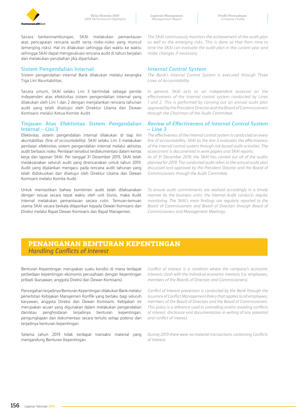

Secara berkesinambungan, SKAI melakukan pemantauan atas pencapaian rencana audit serta risiko-risiko yang muncul (emerging risks). Hal ini dilakukan sehingga dari waktu ke waktu sehingga SKAI dapat mengevaluasi rencana audit di tahun berjalan dan melakukan perubahan jika diperlukan.

### **Sistem Pengendalian Internal**

Sistem pengendalian internal Bank dilakukan melalui kerangka Tiga Lini Akuntabilitas.

Secara umum, SKAI selaku Lini 3 bertindak sebagai penilai independen atas efektivitas sistem pengendalian internal yang dilakukan oleh Lini 1 dan 2 dengan menjalankan rencana tahunan audit yang telah disetujui oleh Direktur Utama dan Dewan Komisaris melalui Ketua Komite Audit.

### **Tinjauan Atas Efektivitas Sistem Pengendalian Internal – Lini 3**

Efektivitas sistem pengendalian internal dilakukan di tiap lini akuntabilitas *(line of accountability*). SKAI selaku Lini 3 melakukan penilaian efektivitas sistem pengendalian internal melalui aktivitas audit berbasis risiko. Penilaian tersebut terdokumentasi dalam kertas kerja dan laporan SKAI. Per tanggal 31 Desember 2019, SKAI telah melaksanakan seluruh audit yang direncanakan untuk tahun 2019. Audit yang dijalankan mengacu pada rencana audit tahunan yang telah didiskusikan dan disetujui oleh Direktur Utama dan Dewan Komisaris melalui Komite Audit.

Untuk memastikan bahwa komitmen audit telah dilaksanakan dengan sesuai secara tepat waktu oleh unit bisnis, maka Audit Internal melakukan pemantauan secara rutin. Temuan-temuan utama SKAI secara berkala dilaporkan kepada Dewan Komisaris dan Direksi melalui Rapat Dewan Komisaris dan Rapat Manajemen.

*The SKAI continuously monitors the achievement of the audit plan as well as the emerging risks. This is done so that from time to time the SKAI can evaluate the audit plan in the current year and make changes if necessary.*

### *Internal Control System*

*The Bank's Internal Control System is executed through Three Lines of Accountability.*

*In general, SKAI acts as an independent assessor on the effectiveness of the internal control system conducted by Lines 1 and 2. This is performed by carrying out an annual audit plan approved by the President Director and the Board of Commissioners through the Chairman of the Audit Committee.*

### *Review of Effectiveness of Internal Control System*  **–** *Line 3*

*The effectiveness of the internal control system is conducted on every line of accountabillity. SKAI as the line 3 evaluates the effectiveness of the internal control system through risk-based audit activities. The assessment is documented in work papers and SKAI reports.* 

*As of 31 December 2019, the SKAI has carried out all of the audits planned for 2019. The conducted audit refers to the annual audit plan discussed and approved by the President Director and the Board of Commissioners through the Audit Committee.*

*To ensure audit commitments are realised accordingly in a timely manner by the business units, the Internal Audit conducts regular monitoring. The SKAI's main findings are regularly reported to the Board of Commissioners and Board of Directors through Board of Commissioners and Management Meetings.*

# **PENANGANAN BENTURAN KEPENTINGAN**  *Handling Conflicts of Interest*

Benturan Kepentingan merupakan suatu kondisi di mana terdapat perbedaan kepentingan ekonomis perusahaan dengan kepentingan pribadi (karyawan, anggota Direksi dan Dewan Komisaris).

Pencegahan terjadinya Benturan Kepentingan dilakukan Bank melalui penerbitan Kebijakan Manajemen Konflik yang berlaku bagi seluruh karyawan, anggota Direksi dan Dewan Komisaris. Kebijakan ini merupakan acuan yang digunakan dalam melakukan pengendalian dan/atau penghindaran terjadinya benturan kepentingan, pengungkapan dan dokumentasi secara tertulis setiap potensi dan terjadinya benturan kepentingan.

Selama tahun 2019 tidak terdapat transaksi material yang mengandung Benturan Kepentingan.

*Conflict of interest is a condition where the company's economic interests clash with the individual economic interests (i.e. employees, members of the Boards of Directors and Commissioners).*

*Conflict of Interest prevention is conducted by the Bank through the issuance of Conflict Management Policy that applies to all employees, members of the Board of Directors and the Board of Commissioners. This policy is a reference used in controlling and/or avoiding conflicts of interest, disclosure and documentation in writing of any potential and conflict of interest.*

*During 2019 there were no material transactions containing Conflicts of Interest.*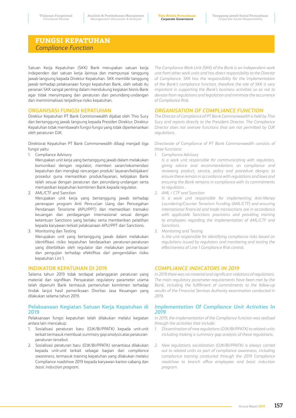# **FUNGSI KEPATUHAN**  *Compliance Function*

Satuan Kerja Kepatuhan (SKK) Bank merupakan satuan kerja independen dari satuan kerja lainnya dan mempunyai tanggung jawab langsung kepada Direktur Kepatuhan. SKK memiliki tanggung jawab terhadap pelaksanaan fungsi kepatuhan Bank, oleh sebab itu peranan SKK sangat penting dalam mendukung kegiatan bisnis Bank agar tidak menyimpang dari peraturan dan perundang-undangan dan meminimalisasi terjadinya risiko kepatuhan.

### **ORGANISASI FUNGSI KEPATUHAN**

Direktur Kepatuhan PT Bank Commonwealth dijabat oleh Thio Sucy dan bertanggung jawab langsung kepada Presiden Direktur. Direktur Kepatuhan tidak membawahi fungsi-fungsi yang tidak diperkenankan oleh peraturan OJK.

Direktorat Kepatuhan PT Bank Commonwealth dibagi menjadi tiga fungsi yaitu:

1. Compliance Advisory

Merupakan unit kerja yang bertanggung jawab dalam melakukan komunikasi dengan regulator, memberi saran/rekomendasi kepatuhan dan mengkaji rancangan produk/ layanan/kebijakan/ prosedur guna memastikan produk/layanan, kebijakan Bank telah sesuai dengan peraturan dan perundang-undangan serta memastikan kepatuhan komitmen Bank kepada regulator.

2. AML/CTF and Sanction

Merupakan unit kerja yang bertanggung jawab terhadap penerapan program Anti Pencucian Uang dan Pencegahan Pendanaan Terorisme (APU/PPT) dan memastikan transaksi keuangan dan perdagangan internasional sesuai dengan ketentuan Sanctions yang berlaku serta memberikan pelatihan kepada karyawan terkait pelaksanaan APU/PPT dan Sanctions.

3. Monitoring dan Testing

Merupakan unit yang bertanggung jawab dalam melakukan identifikasi risiko kepatuhan berdasarkan peraturan-peraturan yang diterbitkan oleh regulator dan melakukan pemantauan dan pengujian terhadap efektifitas dari pengendalian risiko kepatuhan Lini 1.

### **INDIKATOR KEPATUHAN DI 2019**

Selama tahun 2019 tidak terdapat pelanggaran peraturan yang material dan signifikan. Persyaratan regulatory parameter utama telah dipenuhi Bank termasuk pemenuhan komitmen terhadap tindak lanjut hasil pemeriksaan Otoritas Jasa Keuangan yang dilakukan selama tahun 2019.

### **Pelaksanaan Kegiatan Satuan Kerja Kepatuhan di 2019**

Pelaksanaan fungsi kepatuhan telah dilakukan melalui kegiatan antara lain mencakup:

- 1. Sosialisasi peraturan baru (OJK/BI/PPATK) kepada unit-unit terkait termasuk membuat *summary gap analysis* atas peraturanperaturan tersebut.
- 2. Sosialisasi peraturan baru (OJK/BI/PPATK) senantiasa dilakukan kepada unit-unit terkait sebagai bagian dari *compliance awareness*, termasuk training kepatuhan yang dilakukan melalui Compliance roadshow 2019 kepada karyawan kantor-cabang dan *basic induction program*.

*The Compliance Work Unit (SKK) of the Bank is an independent work unit from other work units and has direct responsibility to the Director of Compliance. SKK has the responsibility for the implementation of the Bank's compliance function, therefore the role of SKK is very important in supporting the Bank's business activities so as not to deviate from regulations and legislation and minimize the occurrence of Compliance Risk.*

### *ORGANISATION OF COMPLIANCE FUNCTION*

*The Director of Compliance of PT Bank Commonwealth is held by Thio Sucy and reports directly to the President Director. The Compliance Director does not oversee functions that are not permitted by OJK regulations.*

*Directorate of Compliance of PT Bank Commonwealth consists of three functions:* 

*1. Compliance Advisory*

*Is a work unit responsible for communicating with regulators, giving advice and recommendations on compliance and reviewing product, service, policy and procedure designs to ensure these remain in accordance with regulations and laws and ensuring the Bank remains in compliance with its commitments to regulators .*

*2. AML / CTF and Sanction*

*Is a work unit responsible for implementing Anti-Money Laundering/Counter Terrorism Funding (AML/CTF) and ensuring international financial and trade transactions are in accordance with applicable Sanctions provisions and providing training to employees regarding the implementation of AML/CTF and Sanctions.*

*3. Monitoring and Testing Is the unit responsible for identifying compliance risks based on* 

*regulations issued by regulators and monitoring and testing the effectiveness of Line 1 Compliance Risk control.*

# *COMPLIANCE INDICATORS IN 2019*

*In 2019 there was no material and significant violations of regulations. The main regulatory parameter requirements have been met by the Bank, including the fulfillment of commitments to the follow-up results of the Financial Services Authority examination conducted in 2019.*

### *Implementation Of Compliance Unit Activities In 2019*

*In 2019, the implementation of the Compliance function was realised through the activities that include:*

- *1. Dissemination of new regulations (OJK/BI/PPATK) to related units including making a summary gap analysis of these regulations.*
- *2. New regulations socialization (OJK/BI/PPATK) is always carried out to related units as part of compliance awareness, including compliance training conducted through the 2019 Compliance roadshow to branch office employees and basic induction program.*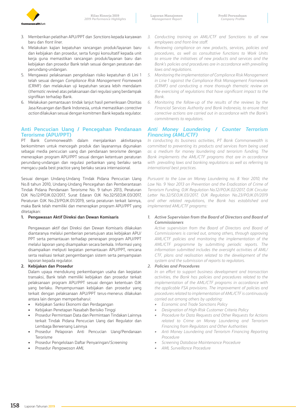

- 3. Memberikan pelatihan APU/PPT dan *Sanctions* kepada karyawan baru dan *front liner*.
- 4. Melakukan kajian kepatuhan rancangan produk/layanan baru dan kebijakan dan prosedur, serta fungsi konsultatif kepada unit kerja guna memastikan rancangan produk/layanan baru dan kebijakan dan prosedur Bank telah sesuai dengan peraturan dan perundang-undangan.
- 5. Mengawasi pelaksanaan pengelolaan risiko kepatuhan di Lini 1 telah sesuai dengan *Compliance Risk Management Framework* (CRMF) dan melakukan uji kepatuhan secara lebih mendalam (*thematic review*) atas pelaksanaan dari regulasi yang berdampak signifikan terhadap Bank.
- 6. Melakukan pemantauan tindak lanjut hasil pemeriksaan Otoritas Jasa Keuangan dan Bank Indonesia, untuk memastikan *corrective action* dilakukan sesuai dengan komitmen Bank kepada regulator.

## **Anti Pencucian Uang / Pencegahan Pendanaan Terorisme (APU/PPT)**

PT Bank Commonwealth dalam menjalankan aktivitasnya berkomitmen untuk mencegah produk dan layanannya digunakan sebagai media pencucian uang dan pendanaan terorisme dengan menerapkan program APU/PPT sesuai dengan ketentuan peraturan perundang-undangan dan regulasi perbankan yang berlaku serta mengacu pada best practice yang berlaku secara internasional.

Sesuai dengan Undang-Undang Tindak Pidana Pencucian Uang No.8 tahun 2010, Undang-Undang Pencegahan dan Pemberantasan Tindak Pidana Pendanaan Terorisme No. 9 tahun 2013, Peraturan OJK No.12/POJK.02/2017, Surat Edaran OJK No.32/SEOJK.03/2017, Peraturan OJK No.23/POJK.01/2019, serta peraturan terkait lainnya, maka Bank telah memiliki dan menerapkan program APU/PPT yang ditetapkan:

### **1. Pengawasan Aktif Direksi dan Dewan Komisaris**

Pengawasan aktif dari Direksi dan Dewan Komisaris dilakukan diantaranya melalui pemberian persetujuan atas kebijakan APU/ PPT serta pemantauan terhadap penerapan program APU/PPT melalui laporan yang disampaikan secara berkala. Informasi yang disampaikan meliputi kegiatan pemantauan APU/PPT, rencana serta realisasi terkait pengembangan sistem serta penyampaian laporan kepada regulator.

### **2. Kebijakan dan Prosedur**

Dalam upaya mendukung perkembangan usaha dan kegiatan transaksi, Bank telah memiliki kebijakan dan prosedur terkait pelaksanaan program APU/PPT sesuai dengan ketentuan OJK yang berlaku. Penyempurnaan kebijakan dan prosedur yang terkait dengan pelaksanaan APU/PPT terus-menerus dilakukan antara lain dengan memperbaharui:

- Kebijakan Sanksi Ekonomi dan Perdagangan
- Kebijakan Penetapan Nasabah Berisiko Tinggi
- Prosedur Permintaan Data dan Permintaan Tindakan Lainnya terkait Tindak Pidana Pencucian Uang dari Regulator dan Lembaga Berwenang Lainnya
- Prosedur Pelaporan Anti Pencucian Uang/Pendanaan Terorisme
- Prosedur Pengelolaan Daftar Penyaringan/*Screening*
- Prosedur *Pengawasan AML*
- *3. Conducting training on AML/CTF and Sanctions to all new employees and front-line staff.*
- *4. Reviewing compliance on new products, services, policies and procedures, as well as consultative functions to Work Units to ensure the initiatives of new products and services and the Bank's policies and procedures are in accordance with prevailing laws and regulations.*
- *5. Monitoring the implementation of Compliance Risk Management in Line 1 against the Compliance Risk Management Framework (CRMF) and conducting a more thorough thematic review on the exercising of regulations that have significant impact to the Bank.*
- *6. Monitoring the follow-up of the results of the reviews by the Financial Services Authority and Bank Indonesia, to ensure that corrective actions are carried out in accordance with the Bank's commitments to regulators.*

### *Anti Money Laundering / Counter Terrorism Financing (AML/CTF)*

*In conducting its business activities, PT Bank Commonwealth is committed to preventing its products and services from being used as a medium for money laundering and terrorism funding. The Bank implements the AML/CTF programs that are in accordance with prevailing laws and banking regulations as well as referring to international best practices.*

*Pursuant to the Law on Money Laundering no. 8 Year 2010, the Law No. 9 Year 2013 on Prevention and the Eradication of Crime of Terrorism Funding, OJK Regulation No.12/POJK.02/2017, OJK Circular Letter No.32/SEOJK.03/2017, OJK Regulation No.23/POJK.01/2019 and other related regulations, the Bank has established and implemented AML/CTF programs:*

### *1. Active Supervision from the Board of Directors and Board of Commissioners*

*Active supervision from the Board of Directors and Board of Commissioners is carried out, among others, through approving AML/CTF policies and monitoring the implementation of the AML/CTF programme by submitting periodic reports. The information submitted includes the oversight activities of AML/ CTF, plans and realisation related to the development of the system and the submission of reports to regulators.*

### *2. Policies and Procedures*

*In an effort to support business development and transaction activities, the Bank has policies and procedures related to the implementation of the AML/CTF programs in accordance with the applicable FSA provisions. The improvement of policies and procedures related to implementation of AML/CTF is continuously carried out among others by updating:*

- *• Economic and Trade Sanctions Policy*
- *• Designation of High-Risk Customer Criteria Policy*
- *• Procedure for Data Requests and Other Requests for Actions related to Crime on Money Laundering and Terrorism Financing from Regulators and Other Authorities*
- *• Anti Money Laundering and Terrorism Financing Reporting Procedure*
- *• Screening Database Maintenance Procedure*
- *• AML Surveillance Procedure*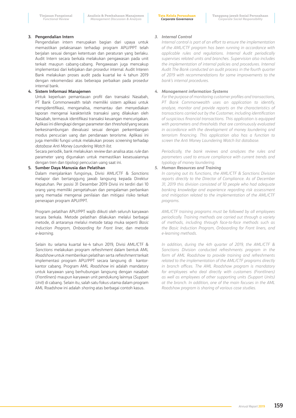### **3. Pengendalian Intern**

Pengendalian intern merupakan bagian dari upaya untuk memastikan pelaksanaan terhadap program APU/PPT telah berjalan sesuai dengan ketentuan dan peraturan yang berlaku. Audit Intern secara berkala melakukan pengawasan pada unit terkait maupun cabang-cabang. Pengawasan juga mencakup implementasi dari kebijakan dan prosedur internal. Audit Interen Bank melakukan proses audit pada kuartal ke 4 tahun 2019 dengan rekomendasi atas beberapa perbaikan pada prosedur internal bank.

### **4. Sistem Informasi Manajemen**

Untuk keperluan pemantauan profil dan transaksi Nasabah, PT Bank Commonwealth telah memiliki sistem aplikasi untuk mengidentifikasi, menganalisa, memantau dan menyediakan laporan mengenai karakteristik transaksi yang dilakukan oleh Nasabah, termasuk identifikasi transaksi keuangan mencurigakan. Aplikasi ini dilengkapi dengan parameter dan *threshold* yang secara berkesinambungan dievaluasi sesuai dengan perkembangan modus pencucian uang dan pendanaan terorisme. Aplikasi ini juga memiliki fungsi untuk melakukan proses *screening* terhadap *database Anti Money Laundering Watch list*.

Secara periodik, bank melakukan *review* dan analisa atas *rule* dan parameter yang digunakan untuk memastikan kesesuaiannya dengan tren dan tipologi pencucian uang saat ini.

### **5. Sumber Daya Manusia dan Pelatihan**

Dalam menjalankan fungsinya, Divisi AML/CTF & *Sanctions* melapor dan bertanggung jawab langsung kepada Direktur Kepatuhan. Per posisi 31 Desember 2019 Divisi ini terdiri dari 10 orang yang memiliki pengetahuan dan pengalaman perbankan yang memadai mengenai penilaian dan mitigasi risiko terkait penerapan program APU/PPT.

Program pelatihan APU/PPT wajib diikuti oleh seluruh karyawan secara berkala. Metode pelatihan dilakukan melalui berbagai metode, di antaranya melalui metode tatap muka seperti *Basic Induction Program, Onboarding for Front liner*, dan metode *e-learning*.

Selain itu selama kuartal ke-4 tahun 2019, Divisi AML/CTF & *Sanctions* melakukan program *refreshment* dalam bentuk AML *Roadshow* untuk memberikan pelatihan serta *refreshment* terkait implementasi program APU/PPT secara langsung di kantorkantor cabang. Program AML *Roadshow* ini adalah mandatory untuk karyawan yang berhubungan langsung dengan nasabah (*Frontliners*) maupun karyawan unit pendukung lainnya (*Support Unit*) di cabang. Selain itu, salah satu fokus utama dalam program AML Roadshow ini adalah *sharing* atas berbagai contoh kasus.

### *3. Internal Control*

*Internal control is part of an effort to ensure the implementation of the AML/CTF program has been running in accordance with applicable rules and regulations. Internal Audit periodically supervises related units and branches. Supervision also includes the implementation of internal policies and procedures. Internal Audit The Bank conducted an audit process in the fourth quarter of 2019 with recommendations for some improvements to the bank's internal procedures.*

### *4. Management information Systems*

*For the purpose of monitoring customer profiles and transactions, PT Bank Commonwealth uses an application to identify, analyze, monitor and provide reports on the characteristics of transactions carried out by the Customer, including identification of suspicious financial transactions. This application is equipped with parameters and thresholds that are continuously evaluated in accordance with the development of money laundering and terrorism financing. This application also has a function to screen the Anti Money Laundering Watch list database.*

*Periodically, the bank reviews and analyzes the rules and parameters used to ensure compliance with current trends and typology of money laundering.*

### *5. Human Resources and Training*

*In carrying out its functions, the AML/CTF & Sanctions Division reports directly to the Director of Compliance. As of December 31, 2019 this division consisted of 10 people who had adequate banking knowledge and experience regarding risk assessment and mitigation related to the implementation of the AML/CTF programs.*

*AML/CTF training programs must be followed by all employees periodically. Training methods are carried out through a variety of methods, including through face-to-face methods such as the Basic Induction Program, Onboarding for Front liners, and e-learning methods.*

*In addition, during the 4th quarter of 2019, the AML/CTF & Sanctions Division conducted refreshments program in the form of AML Roadshow to provide training and refreshments related to the implementation of the AML/CTF programs directly in branch offices. The AML Roadshow program is mandatory for employees who deal directly with customers (Frontliners) as well as employees of other supporting units (Support Units) at the branch. In addition, one of the main focuses in the AML Roadshow program is sharing of various case studies.*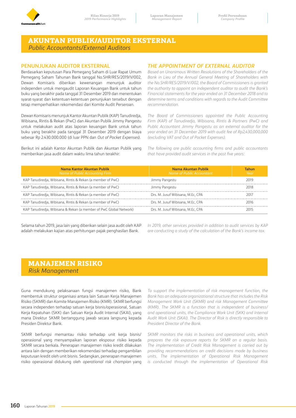

# **AKUNTAN PUBLIK/AUDITOR EKSTERNAL**  *Public Accountants/External Auditors*

### **PENUNJUKAN AUDITOR EKSTERNAL**

Berdasarkan keputusan Para Pemegang Saham di Luar Rapat Umum Pemegang Saham Tahunan Bank tanggal No.SHR/RES/2019/V/002, Dewan Komisaris diberikan kewenangan menunjuk auditor independen untuk mengaudit Laporan Keuangan Bank untuk tahun buku yang berakhir pada tanggal 31 Desember 2019 dan menentukan syarat-syarat dan ketentuan-ketentuan penunjukan tersebut dengan tetap memperhatikan rekomendasi dari Komite Audit Perseroan.

Dewan Komisaris menunjuk Kantor Akuntan Publik (KAP) Tanudiredja, Wibisana, Rintis & Rekan (PwC) dan Akuntan Publik Jimmy Pangestu untuk melakukan audit atas laporan keuangan Bank untuk tahun buku yang berakhir pada tanggal 31 Desember 2019 dengan biaya sebesar Rp 2.430.000.000 (di luar PPN dan *Out of Pocket Expenses*).

Berikut ini adalah Kantor Akuntan Publik dan Akuntan Publik yang memberikan jasa audit dalam waktu lima tahun terakhir:

# *THE APPOINTMENT OF EXTERNAL AUDITOR*

*Based on Unanimous Written Resolutions of the Shareholders of the Bank in Lieu of the Annual General Meeting of Shareholders with the No.SHR/RES/2019/V/002, the Board of Commissioners is granted the authority to appoint an independent auditor to audit the Bank's Financial statements for the year ended on 31 December 2018 and to determine terms and conditions with regards to the Audit Committee recommendation.*

*The Board of Commissioners appointed the Public Accounting Firm (KAP) of Tanudiredja, Wibisana, Rintis & Partners (PwC) and Public Accountant Jimmy Pangestu as an external auditor for the year ended on 31 December 2019 with audit fee of Rp2,430,000,000 (excluding VAT and Out of Pocket Expenses).*

*The following are public accounting firms and public accountants that have provided audit services in the past five years:*

| Nama Kantor Akuntan Publik<br>Name of Public Accounting Firm       | Nama Akuntan Publik<br>Name of Public Accountant | ahun<br>Year |
|--------------------------------------------------------------------|--------------------------------------------------|--------------|
| KAP Tanudiredja, Wibisana, Rintis & Rekan (a member of PwC)        | Jimmy Pangestu                                   | 7N 19        |
| KAP Tanudiredia, Wibisana, Rintis & Rekan (a member of PwC)        | Jimmy Pangestu                                   |              |
| KAP Tanudiredia, Wibisana, Rintis & Rekan (a member of PwC)        | Drs. M. Jusuf Wibisana. M.Ec. CPA                |              |
| KAP Tanudiredia, Wibisana, Rintis & Rekan (a member of PwC)        | Drs. M. Jusuf Wibisana, M.Ec. CPA                |              |
| KAP Tanudiredia, Wibisana & Rekan (a member of PwC Global Network) | Drs. M. Jusuf Wibisana, M.Ec. CPA                |              |

Selama tahun 2019, jasa lain yang diberikan selain jasa audit oleh KAP adalah melakukan kajian atas perhitungan pajak penghasilan Bank.

*In 2019, other services provided in addition to audit services by KAP are conducting a study of the calculation of the Bank's income tax.*

# **MANAJEMEN RISIKO**  *Risk Management*

Guna mendukung pelaksanaan fungsi manajemen risiko, Bank membentuk struktur organisasi antara lain Satuan Kerja Manajemen Risiko (SKMR) dan Komite Manajemen Risiko (KMR). SKMR berfungsi secara independen terhadap satuan kerja bisnis/operasional, Satuan Kerja Kepatuhan (SKK) dan Satuan Kerja Audit Internal (SKAI), yang mana Direktur SKMR bertanggung jawab secara langsung kepada Presiden Direktur Bank.

SKMR berfungsi memantau risiko terhadap unit kerja bisnis/ operasional yang menyampaikan laporan eksposur risiko kepada SKMR secara berkala. Penerapan manajemen risiko kredit dilakukan antara lain dengan memberikan rekomendasi terhadap pengambilan keputusan kredit oleh unit bisnis. Sedangkan, penerapan manajemen risiko operasional didukung oleh *operational risk champion* yang

*To support the implementation of risk management function, the Bank has an adequate organizational structure that includes the Risk Management Work Unit (SKMR) and risk Management Committee (KMR). The SKMR is a function that is independent of business/ and operational units, the Compliance Work Unit (SKK) and Internal Audit Work Unit (SKAI). The Director of Risk is directly responsible to President Director of the Bank.*

*SKMR monitors the risks in business and operational units, which prepares the risk exposure reports for SKMR on a regular basis. The implementation of Credit Risk Management is carried out by providing recommendations on credit decisions made by business units. The implementation of Operational Risk Management is conducted through the implementation of Operational Risk*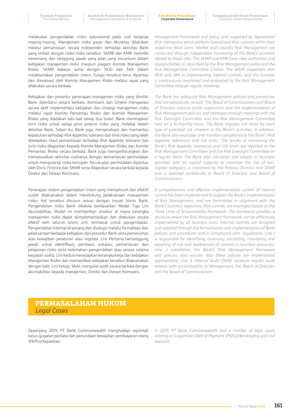**Tata Kelola Perusahaan** *Corporate Governance*

melakukan pengendalian risiko operasional pada unit kerjanya masing-masing. Manajemen risiko pasar dan likuiditas dilakukan melalui pemantauan secara independen terhadap aktivitas Bank yang terkait dengan risiko-risiko tersebut. SKMR dan KMR memiliki wewenang dan tanggung jawab yang jelas yang tercantum dalam kebijakan manajemen risiko maupun piagam Komite Manajemen Risiko. SKMR bekerja sama dengan SKAI dan SKK dalam melaksanakan pengendalian *intern*. Fungsi tersebut terus dipantau dan dievaluasi oleh Komite Manajemen Risiko melalui rapat yang dilakukan secara berkala.

Kebijakan dan prosedur penerapan manajemen risiko yang dimiliki Bank diperbarui secara berkala. Komisaris dan Direksi mengawasi secara aktif implementasi kebijakan dan strategi manajemen risiko melalui rapat Komite Pemantau Risiko dan Komite Manajemen Risiko yang diadakan satu kali setiap dua bulan. Bank menetapkan limit risiko untuk setiap jenis potensi risiko yang melekat dalam aktivitas Bank. Selain itu, Bank juga mengevaluasi dan memantau kepatuhan terhadap *Risk Appetite*, toleransi dan limit risiko yang telah ditetapkan. Hasil pemantauan terhadap *Risk Appetite*, toleransi dan limit risiko dilaporkan kepada Komite Manajemen Risiko dan Komite Pemantau Risiko secara berkala. Bank juga memperhitungkan dan menyesuaikan aktivitas usahanya dengan kemampuan permodalan untuk mengurangi risiko kerugian. Kecukupan permodalan dipantau oleh Divisi *Finance* dan SKMR serta dilaporkan secara berkala kepada Direksi dan Dewan Komisaris.

Penerapan sistem pengendalian *intern* yang menyeluruh dan efektif sudah dilaksanakan dalam mendukung pelaksanaan manajemen risiko. Hal tersebut disusun sesuai dengan tujuan bisnis Bank. Pengendalian risiko Bank dikelola berdasarkan Model Tiga Lini Akuntabilitas. Model ini memberikan struktur di mana kerangka manajemen risiko dapat diimplementasikan dan dilakukan secara efektif oleh seluruh bisnis unit, termasuk untuk pengendalian. Pengendalian internal dirancang dan diadopsi melalui formalisasi dan pelaksanaan berbagai kebijakan dan prosedur Bank serta pemenuhan atas kewajiban peraturan atau regulasi. Lini Pertama bertanggung jawab untuk identifikasi, penilaian, eskalasi, pemantauan dan pelaporan risiko serta kelemahan pengendalian atau proses selama kegiatan usaha. Lini Kedua menetapkan kerangka kerja dan kebijakan Manajemen Risiko dan memastikan kebijakan tersebut dilaksanakan dengan baik. Lini ketiga, SKAI, mengulas audit secara berkala dengan akuntabilitas kepada manajemen, Direksi dan Dewan Komisaris.

*Management Framework and policy, and supported by Operational Risk champions which perform Operational Risk controls within their respective Work Units. Market and Liquidity Risk Management are conducted through independent monitoring of the Bank's activities related to those risks. The SKMR and KMR have clear authorities and responsibilities as described by the Risk Management policy and the Risk Management Committee Charter. The SKMR cooperates with SKAI and SKK in implementing internal controls, and the function is continuously monitored and evaluated by the Risk Management Committee through regular meetings.*

*The Bank has adequate Risk Management policies and procedures that are periodically revised. The Board of Commissioners and Board of Directors exercise active supervision over the implementation of Risk Management policies and strategies through meetings with the Risk Oversight Committee and the Risk Management Committee held on a bi-monthly basis. The Bank imposes risk limits for each type of potential risk inherent in the Bank's activities. In addition, the Bank also evaluates and monitors compliance to the Bank's Risk Appetite, tolerances and risk limits. The results of monitoring the Bank's Risk Appetite, tolerances and risk limits are reported to the Risk Management Committee and the Risk Oversight Committee on a regular basis. The Bank also calculates and adapts its business activities with its capital capacity to minimize the risk of loss. Capital adequacy is monitored by the Finance Division and SKMR and is reported periodically to Board of Directors and Board of Commissioners.*

*A comprehensive and effective implementation system of internal control has been implemented to support the Bank's implementation of Risk Management, and are formulated in alignment with the Bank's business objectives. Risk controls are managed based on the Three Lines of Accountability framework. The framework provides a structure where the Risk Management framework can be efffectively implemented by all business units. Internal controls are designed and adopted through the formalization and implementation of Bank policies and procedures and in compliance with regulations. Line 1 is responsible for identifying, assessing, escalating, monitoring and reporting of risk and weaknesses of controls in business processes. Line 2 establishes the Bank's Risk Management framework and policies, and ensures that these policies are implemented appropriately. Line 3, Internal Audit (SKAI) conducts regular audit reviews with accountability to Management, the Board of Directors and the Board of Commissioners.*

# **PERMASALAHAN HUKUM**  *Legal Cases*

Sepanjang 2019, PT Bank Commonwealth menghadapi sejumlah kasus gugatan perdata dan penundaan kewajiban pembayaran utang (PKPU)/Kepailitan:

*In 2019, PT Bank Commonwealth had a number of legal cases relating to Suspension Debt of Payment (PKPU)/Bankruptcy and civil lawsuits:*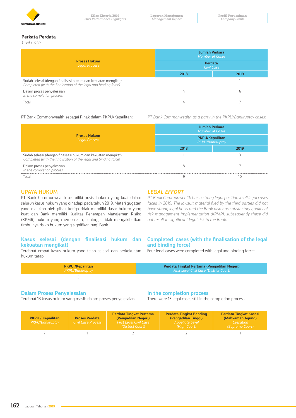

### **Perkata Perdata**

*Civil Case*

| <b>Proses Hukum</b><br><b>Legal Process</b>                                                                                       | <b>Jumlah Perkara</b><br><b>Number of Cases</b><br>Perdata<br><b>Civil Case</b> |  |  |
|-----------------------------------------------------------------------------------------------------------------------------------|---------------------------------------------------------------------------------|--|--|
|                                                                                                                                   |                                                                                 |  |  |
| Sudah selesai (dengan finalisasi hukum dan kekuatan mengikat)<br>Completed (with the finalisation of the legal and binding force) | -                                                                               |  |  |
| Dalam proses penyelesaian<br>In the completion process                                                                            |                                                                                 |  |  |
| nta                                                                                                                               |                                                                                 |  |  |

PT Bank Commonwealth sebagai Pihak dalam PKPU/Kepailitan: *PT Bank Commonwealth as a party in the PKPU/Bankruptcy cases:*

|                                                                                                                                   | Jumlah Perkara<br><b>Number of Cases</b><br><b>PKPU/Kepailitan</b><br><b>PKPU/Bankruptcy</b> |  |  |  |
|-----------------------------------------------------------------------------------------------------------------------------------|----------------------------------------------------------------------------------------------|--|--|--|
| <b>Proses Hukum</b><br><b>Legal Process</b>                                                                                       |                                                                                              |  |  |  |
|                                                                                                                                   |                                                                                              |  |  |  |
| Sudah selesai (dengan finalisasi hukum dan kekuatan mengikat)<br>Completed (with the finalisation of the legal and binding force) |                                                                                              |  |  |  |
| Dalam proses penyelesaian<br>In the completion process                                                                            |                                                                                              |  |  |  |
|                                                                                                                                   |                                                                                              |  |  |  |

### **UPAYA HUKUM**

PT Bank Commonwealth memiliki posisi hukum yang kuat dalam seluruh kasus hukum yang dihadapi pada tahun 2019. Materi gugatan yang diajukan oleh pihak ketiga tidak memiliki dasar hukum yang kuat dan Bank memiliki Kualitas Penerapan Manajemen Risiko (KPMR) hukum yang memuaskan, sehingga tidak mengakibatkan timbulnya risiko hukum yang signifikan bagi Bank.

### **Kasus selesai (dengan finalisasi hukum dan kekuatan mengikat)**

Terdapat empat kasus hukum yang telah selesai dan berkekuatan hukum tetap:

### *LEGAL EFFORT*

*PT Bank Commonwealth has a strong legal position in all legal cases faced in 2019. The lawsuit material filed by the third parties did not have strong legal basis and the Bank also has satisfactory quality of risk management implementation (KPMR), subsequently these did not result in significant legal risk to the Bank.*

### **Completed cases (with the finalisation of the legal and binding force)**

Four legal cases were completed with legal and binding force:

| <b>PKPU /Kepailitan</b> | Perdata Tingkat Pertama (Pengadilan Negeri)    |
|-------------------------|------------------------------------------------|
| PKPU/Bankruptcy         | <b>First Level Civil Case (District Court)</b> |
|                         |                                                |

### **Dalam Proses Penyelesaian**

Terdapat 13 kasus hukum yang masih dalam proses penyelesaian:

### **In the completion process**

There were 13 legal cases still in the completion process:

| <b>PKPU / Kepailitan</b><br><b>PKPU/Bankruptcy</b> | <b>Proses Perdata</b><br>Civil Case Process | <b>Perdata Tingkat Pertama</b><br>(Pengadilan Negeri)<br><b>First Level Civil Case</b><br>(District Court) | <b>Perdata Tingkat Banding</b><br>(Pengadilan Tinggi)<br>Appellate Level<br>(High Court) | <b>Perdata Tingkat Kasasi</b><br>(Mahkamah Agung)<br>Cessation<br>(Supreme Court) |
|----------------------------------------------------|---------------------------------------------|------------------------------------------------------------------------------------------------------------|------------------------------------------------------------------------------------------|-----------------------------------------------------------------------------------|
|                                                    |                                             |                                                                                                            |                                                                                          |                                                                                   |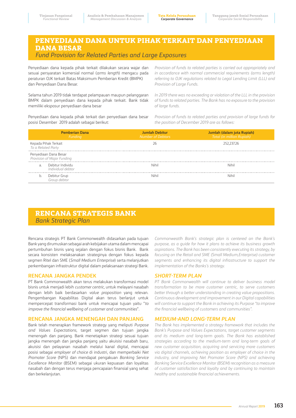# **PENYEDIAAN DANA UNTUK PIHAK TERKAIT DAN PENYEDIAAN DANA BESAR**  *Fund Provision for Related Parties and Large Exposures*

Penyediaan dana kepada pihak terkait dilakukan secara wajar dan sesuai persyaratan komersial normal (*arms length*) mengacu pada peraturan OJK terkait Batas Maksimum Pemberian Kredit (BMPK) dan Penyediaan Dana Besar.

Selama tahun 2019 tidak terdapat pelampauan maupun pelanggaran BMPK dalam penyediaan dana kepada pihak terkait. Bank tidak memiliki eksposur penyediaan dana besar

Penyediaan dana kepada pihak terkait dan penyediaan dana besar posisi Desember 2019 adalah sebagai berikut:

*Provision of funds to related parties is carried out appropriately and in accordance with normal commercial requirements (arms length) referring to OJK regulations related to Legal Lending Limit (LLL) and Provision of Large Funds.*

*In 2019 there was no exceeding or violation of the LLL in the provision of funds to related parties. The Bank has no exposure to the provision of large funds.*

*Provision of funds to related parties and provision of large funds for the position of December 2019 are as follows:*

|                                                   | <b>Pemberian Dana</b><br>Funding                    | Jumlah Debitur<br>Number of Debtors | Jumlah (dalam juta Rupiah)<br>Total (in million Rupiah) |
|---------------------------------------------------|-----------------------------------------------------|-------------------------------------|---------------------------------------------------------|
| Kepada Pihak Terkait<br><i>To a Related Party</i> |                                                     | 26                                  | 252,237.26                                              |
|                                                   | Penyediaan Dana Besar<br>Provision of Major Funding |                                     |                                                         |
| a.                                                | Debitur Individu<br>Individual debtor               | Nihil                               | Nihil                                                   |
|                                                   | b. Debitur Grup<br>Group debtor                     | Nihil                               | Nihil                                                   |

# **RENCANA STRATEGIS BANK**  *Bank Strategic Plan*

Rencana strategis PT Bank Commonwealth didasarkan pada tujuan Bank yang dirumuskan sebagai arah kebijakan utama dalam mencapai pertumbuhan bisnis yang sejalan dengan fokus bisnis Bank. Bank secara konsisten melaksanakan strateginya dengan fokus kepada segmen Ritel dan SME (*Small Medium Enterprise*) serta melanjutkan perkembangan infrastruktur digital dalam pelaksanaan strategi Bank.

### **RENCANA JANGKA PENDEK**

PT Bank Commonwealth akan terus melakukan transformasi model bisnis untuk menjadi lebih *customer centric,* untuk melayani nasabah dengan lebih baik berdasarkan *value proposition* yang relevan. Pengembangan Kapabilitas Digital akan terus berlanjut untuk mempercepat transformasi bank untuk mencapai tujuan yaitu "*to improve the financial wellbeing of customer and communities*".

### **RENCANA JANGKA MENENGAH DAN PANJANG**

Bank telah menerapkan framework strategy yang meliputi *Purpose and Values Expectations*, target segmen dan tujuan jangka menengah dan panjang. Bank menetapkan strategi sesuai tujuan jangka menengah dan jangka panjang yaitu akuisisi nasabah baru, akuisisi dan pelayanan nasabah melalui kanal digital, mencapai posisi sebagai *employer of choice* di industri, dan memperbaiki *Net Promoter Score* (NPS) dan mendapat pengakuan *Banking Service Excellence Monitor* (BSEM) sebagai ukuran kepuasan dan loyalitas nasabah dan dengan terus menjaga pencapaian finansial yang sehat dan berkelanjutan.

*Commonweatlh Bank's strategic plan is centered on the Bank's purpose, as a guide for how it plans to achieve its business growth aspirations. The Bank has been consistently executing its strategy, by focusing on the Retail and SME (Small Medium,Enterprise) customer segments and enhancing its digital infrastructure to support the implementation of the Banks's strategy.*

### *SHORT-TERM PLAN*

*PT Bank Commonwealth will continue to deliver business model transformation to be more customer centric, to serve customers better through a better understanding in creating value propositions. Continuous development and improvement in our Digital capabilities will continue to support the Bank in achieving its Purpose "to improve the financial wellbeing of customers and communities".*

### *MEDIUM-AND LONG-TERM PLAN*

*The Bank has implemented a strategy framework that includes the Bank's Purpose and Values Expectations, target customer segments and its medium and long-term goals. The Bank has established strategies according to the medium-term and long-term goals of new customer acquisition, acquiring and servicing more customers via digital channels, achieving position as employer of choice in the industry, and improving Net Promoter Score (NPS) and achieving Banking Service Excellence Monitor (BSEM) recognition as a measure of customer satisfaction and loyalty and by continuing to maintain healthy and sustainable financial achievements.*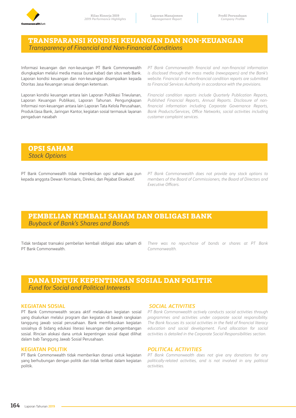

# **TRANSPARANSI KONDISI KEUANGAN DAN NON-KEUANGAN**  *Transparency of Financial and Non-Financial Conditions*

Informasi keuangan dan non-keuangan PT Bank Commonwealth diungkapkan melalui media massa (surat kabar) dan situs web Bank. Laporan kondisi keuangan dan non-keuangan disampaikan kepada Otoritas Jasa Keuangan sesuai dengan ketentuan.

Laporan kondisi keuangan antara lain Laporan Publikasi Triwulanan, Laporan Keuangan Publikasi, Laporan Tahunan. Pengungkapan Informasi non-keuangan antara lain Laporan Tata Kelola Perusahaan, Produk/Jasa Bank, Jaringan Kantor, kegiatan sosial termasuk layanan pengaduan nasabah

*PT Bank Commonwealth financial and non-financial information is disclosed through the mass media (newspapers) and the Bank's website. Financial and non-financial condition reports are submitted to Financial Services Authority in accordance with the provisions.*

*Financial condition reports include Quarterly Publication Reports, Published Financial Reports, Annual Reports. Disclosure of nonfinancial information including Corporate Governance Reports, Bank Products/Services, Office Networks, social activities including customer complaint services.*

# **OPSI SAHAM**  *Stock Options*

PT Bank Commonwealth tidak memberikan opsi saham apa pun kepada anggota Dewan Komisaris, Direksi, dan Pejabat Eksekutif.

*PT Bank Commonwealth does not provide any stock options to members of the Board of Commissioners, the Board of Directors and Executive Officers.*

# **PEMBELIAN KEMBALI SAHAM DAN OBLIGASI BANK**  *Buyback of Bank's Shares and Bonds*

Tidak terdapat transaksi pembelian kembali obligasi atau saham di PT Bank Commonwealth.

*There was no repurchase of bonds or shares at PT Bank Commonwealth.*

# **DANA UNTUK KEPENTINGAN SOSIAL DAN POLITIK**  *Fund for Social and Political Interests*

### **KEGIATAN SOSIAL**

PT Bank Commonwealth secara aktif melakukan kegiatan sosial yang disalurkan melalui program dan kegiatan di bawah rangkaian tanggung jawab sosial perusahaan. Bank memfokuskan kegiatan sosialnya di bidang edukasi literasi keuangan dan pengembangan sosial. Rincian alokasi dana untuk kepentingan sosial dapat dilihat dalam bab Tanggung Jawab Sosial Perusahaan.

### **KEGIATAN POLITIK**

PT Bank Commonwealth tidak memberikan donasi untuk kegiatan yang berhubungan dengan politik dan tidak terlibat dalam kegiatan politik.

### *SOCIAL ACTIVITIES*

*PT Bank Commonwealth actively conducts social activities through programmes and activities under corporate social responsibility. The Bank focuses its social activities in the field of financial literacy education and social development. Fund allocation for social activities is detailed in the Corporate Social Responsibilities section.*

### *POLITICAL ACTIVITIES*

*PT Bank Commonwealth does not give any donations for any politically-related activities, and is not involved in any political activities.*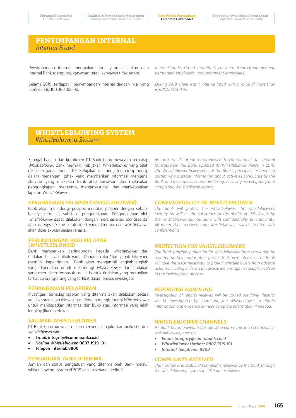# **PENYIMPANGAN INTERNAL**  *Internal Fraud*

Penyimpangan internal merupakan fraud yang dilakukan oleh internal Bank (pengurus, karyawan tetap, karyawan tidak tetap).

Selama 2019, terdapat 1 penyimpangan internal dengan nilai yang lebih dari Rp100.000.000,00.

*Internal fraud is a fraud committed by an internal bank (management, permanent employees, non-permanent employees).*

*During 2019, there was 1 internal fraud with a value of more than Rp100,000,000.00.*

# **WHISTLEBLOWING SYSTEM**  *Whistleblowing System*

Sebagai bagian dari komitmen PT Bank Commonwealth terhadap *Whistleblower*, Bank memiliki Kebijakan *Whistleblower* yang telah dikinikan pada tahun 2019. Kebijakan ini mengatur prinsip-prinsip dalam menangani pihak yang memberikan informasi mengenai aktivitas yang dilakukan Bank atau karyawan dan melakukan pengungkapan, menerima, menginvestigasi dan menyelesaikan laporan *Whistleblower.*

### **KERAHASIAAN PELAPOR (***WHISTLEBLOWER***)**

Bank akan melindungi pelapor, identitas pelapor dengan sebaikbaiknya termasuk substansi pengungkapan. Pengungkapan oleh *whistleblower* dapat dilakukan dengan merahasiakan identitas diri atau *anonym*. Seluruh informasi yang diterima dari *whistleblower* akan diperlakukan secara rahasia.

### **PERLINDUNGAN BAGI PELAPOR (***WHISTLEBLOWER***)**

Bank memberikan perlindungan kepada *whistleblower* dari tindakan balasan pihak yang dilaporkan dan/atau pihak lain yang memiliki kepentingan. Bank akan mengambil langkah-langkah yang diperlukan untuk melindungi *whistleblower* dari tindakan yang merugikan termasuk segala bentuk tindakan yang merugikan terhadap orang-orang yang terlibat dalam proses investigasi.

### **PENANGANAN PELAPORAN**

Investigasi terhadap laporan yang diterima akan dilakukan secara adil. Laporan akan diinvestigasi dengan menghubungi *Whistleblower* untuk mendapatkan informasi dan bukti atau informasi yang lebih lengkap jika diperlukan.

### **SALURAN WHISTLEBLOWER**

PT Bank Commonwealth telah menyediakan jalur komunikasi untuk *whistleblower* yaitu:

- **•** *Email***: integrity@commbank.co.id**
- **•** *Hotline Whistleblower***: 0807 1919 191**
- **• Telepon Internal: 8800**

### **PENGADUAN YANG DITERIMA**

Jumlah dan status pengaduan yang diterima oleh Bank melalui whistleblowing *system* di 2019 adalah sebagai berikut:

*As part of PT Bank Commonwealth commitment to internal transparency, the Bank updated its Whistleblower Policy in 2019. The WhistleBlower Policy sets out the Bank's principles for handling parties who disclose information about activities conducted by the Bank and its employees and disclosing, receiving, investigating and completing Whistleblower reports.*

### *CONFIDENTIALITY OF WHISTLEBLOWER*

*The Bank will protect the whistleblower, the whistleblower's identity as well as the substance of the disclosure. Disclosure by the whistleblower can be done with confidentiality or anonymity. All information received from whistleblowers will be treated with confidentiality.*

### *PROTECTION FOR WHISTLEBLOWERS*

*The Bank provides protection for whistleblowers from retaliation by reported parties and/or other parties that have interests. The Bank will take the steps necessary to protect whistleblowers from adverse actions including all forms of adverse actions against people involved in the investigation process.*

### *REPORTING HANDLING*

*Investigation of reports received will be carried out fairly. Reports will be investigated by contacting the Whistleblower to obtain information and evidence or more complete information if needed.*

### *WHISTLEBLOWER CHANNELS*

*PT Bank Commonwealth has provided communication channels for whistleblowers, namely:*

- *• Email: integrity@commbank.co.id*
- *• Whistleblower Hotline: 0807 1919 191*
- *• Internal Telephone: 8800*

### *COMPLAINTS RECEIVED*

*The number and status of complaints received by the Bank through the whistleblowing system in 2019 are as follows:*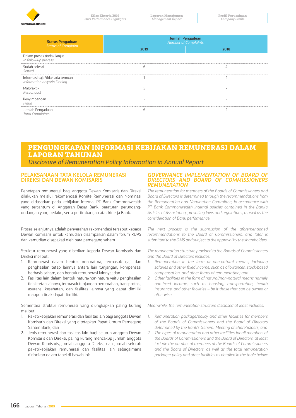

| <b>Status Pengaduan</b><br>Status of Complaint                 | Jumlah Pengaduan<br><b>Number of Complaints</b> |      |  |  |
|----------------------------------------------------------------|-------------------------------------------------|------|--|--|
|                                                                | 2019                                            | 2018 |  |  |
| Dalam proses tindak lanjut<br>In follow-up process             |                                                 |      |  |  |
| Sudah selesai<br>Settled                                       |                                                 |      |  |  |
| Informasi saja/tidak ada temuan<br>Information only/No Finding |                                                 |      |  |  |
| Malpraktik<br>Misconduct                                       |                                                 |      |  |  |
| Penyimpangan<br>Fraud                                          |                                                 |      |  |  |
| Jumlah Pengaduan<br><b>Total Complaints</b>                    |                                                 |      |  |  |

# **PENGUNGKAPAN INFORMASI KEBIJAKAN REMUNERASI DALAM LAPORAN TAHUNAN**

*Disclosure of Remuneration Policy Information in Annual Report* 

### **PELAKSANAAN TATA KELOLA REMUNERASI DIREKSI DAN DEWAN KOMISARIS**

Penetapan remunerasi bagi anggota Dewan Komisaris dan Direksi dilakukan melalui rekomendasi Komite Remunerasi dan Nominasi yang didasarkan pada kebijakan internal PT Bank Commonwealth yang tercantum di Anggaran Dasar Bank, peraturan perundangundangan yang berlaku, serta pertimbangan atas kinerja Bank.

Proses selanjutnya adalah penyerahan rekomendasi tersebut kepada Dewan Komisaris untuk kemudian disampaikan dalam forum RUPS dan kemudian disepakati oleh para pemegang saham.

Struktur remunerasi yang diberikan kepada Dewan Komisaris dan Direksi meliputi:

- 1. Remunerasi dalam bentuk non-natura, termasuk gaji dan penghasilan tetap lainnya antara lain tunjangan, kompensasi berbasis saham, dan bentuk remunerasi lainnya; dan
- 2. Fasilitas lain dalam bentuk natura/non-natura yaitu penghasilan tidak tetap lainnya, termasuk tunjangan perumahan, transportasi, asuransi kesehatan, dan fasilitas lainnya yang dapat dimiliki maupun tidak dapat dimiliki.

Sementara struktur remunerasi yang diungkapkan paling kurang meliputi:

- 1. Paket/kebijakan remunerasi dan fasilitas lain bagi anggota Dewan Komisaris dan Direksi yang ditetapkan Rapat Umum Pemegang Saham Bank; dan
- 2. Jenis remunerasi dan fasilitas lain bagi seluruh anggota Dewan Komisaris dan Direksi, paling kurang mencakup jumlah anggota Dewan Komisaris, jumlah anggota Direksi, dan jumlah seluruh paket/kebijakan remunerasi dan fasilitas lain sebagaimana dirincikan dalam tabel di bawah ini:

### *GOVERNANCE IMPLEMENTATION OF BOARD OF DIRECTORS AND BOARD OF COMMISSIONERS REMUNERATION*

*The remuneration for members of the Boards of Commissioners and Board of Directors is determined through the recommendations from the Remuneration and Nomination Committee, in accordance with PT Bank Commonwealth internal policies contained in the Bank's Articles of Association, prevailing laws and regulations, as well as the consideration of Bank performance.*

*The next process is the submission of the aforementioned recommendations to the Board of Commissioners, and later is submitted to the GMS and subject to the approval by the shareholders.*

*The remuneration structure provided to the Boards of Commissioners and the Board of Directors includes:*

- 1. Remuneration in the form of non-natural means, including *salaries and other fixed income, such as allowances, stock-based compensation, and other forms of remuneration; and*
- *2. Other facilities in the form of natural/non-natural means namely non-fixed income, such as housing, transportation, health insurance, and other facilities – be it those that can be owned or otherwise.*

*Meanwhile, the remuneration structure disclosed at least includes:*

- *1. Remuneration package/policy and other facilities for members of the Boards of Commissioners and the Board of Directors determined by the Bank's General Meeting of Shareholders; and*
- *2. The types of remuneration and other facilities for all members of the Boards of Commissioners and the Board of Directors, at least include the number of members of the Boards of Commissioners and the Board of Directors, as well as the total remuneration package/ policy and other facilities as detailed in the table below:*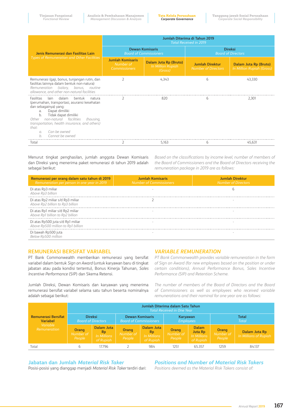|                                                                                                                                                                                                                                                                                                                                                      | Jumlah Diterima di Tahun 2019<br><b>Total Received in 2019</b> |                                                         |                                                      |                                                    |  |
|------------------------------------------------------------------------------------------------------------------------------------------------------------------------------------------------------------------------------------------------------------------------------------------------------------------------------------------------------|----------------------------------------------------------------|---------------------------------------------------------|------------------------------------------------------|----------------------------------------------------|--|
| Jenis Remunerasi dan Fasilitas Lain                                                                                                                                                                                                                                                                                                                  |                                                                | <b>Dewan Komisaris</b><br><b>Board of Commissioners</b> | <b>Direksi</b><br><b>Board of Directors</b>          |                                                    |  |
| <b>Types of Remuneration and Other Facilities</b>                                                                                                                                                                                                                                                                                                    | <b>Jumlah Komisaris</b><br>Number of<br><b>Commissioners</b>   | Dalam Juta Rp (Bruto)<br>In Million Rupiah<br>(Gross)   | <b>Jumlah Direktur</b><br><b>Number of Directors</b> | Dalam Juta Rp (Bruto)<br>In Million Rupiah (Gross) |  |
| Remunerasi (gaji, bonus, tunjangan rutin, dan<br>fasilitas lainnya dalam bentuk non-natura)<br>Remuneration (salary, bonus, routine<br>allowance, and other non-natural facilities                                                                                                                                                                   | $\mathcal{P}$                                                  | 4,343                                                   | 6                                                    | 43,330                                             |  |
| Fasilitas<br>lain dalam<br>hentuk<br>natura<br>(perumahan, transportasi, asuransi kesehatan<br>dan sebagainya) yang:<br>Dapat dimiliki<br>a <sub>1</sub><br>b.<br>Tidak dapat dimiliki<br>non-natural facilities<br>Other<br>(housing,<br>transportation, health insurance, and others)<br>that:<br>Can be owned<br>$\sigma$<br>Cannot be owned<br>h |                                                                | 820                                                     | <sub>b</sub>                                         | 2,301                                              |  |
| Total                                                                                                                                                                                                                                                                                                                                                |                                                                | 5,163                                                   | 6                                                    | 45,631                                             |  |

Menurut tingkat penghasilan, jumlah anggota Dewan Komisaris dan Direksi yang menerima paket remunerasi di tahun 2019 adalah sebagai berikut:

*Based on the classifications by income level, number of members of the Board of Commissioners and the Board of Directors receiving the remuneration package in 2019 are as follows:*

| Remunerasi per orang dalam satu tahun di 2019<br>Remuneration per person in one year in 2019 | <b>Jumlah Komisaris</b><br><b>Number of Commissioners</b> | <b>Jumlah Direktur</b><br>Number of Directors |
|----------------------------------------------------------------------------------------------|-----------------------------------------------------------|-----------------------------------------------|
| Di atas Rp3 miliar<br>Above Rp3 billion                                                      |                                                           |                                               |
| Di atas Rp2 miliar s/d Rp3 miliar<br>Above Rp2 billion to Rp3 billion                        |                                                           |                                               |
| Di atas Rp1 miliar s/d Rp2 miliar<br>Above Rp1 billion to Rp2 billion                        |                                                           |                                               |
| Di atas Rp500 juta s/d Rp1 miliar<br>Above Rp500 million to Rp1 billion                      |                                                           |                                               |
| Di bawah Rp500 juta<br>Below Rp500 million                                                   |                                                           |                                               |

### **REMUNERASI BERSIFAT VARIABEL**

PT Bank Commonwealth memberikan remunerasi yang bersifat variabel dalam bentuk *Sign on Award* (untuk karyawan baru di tingkat jabatan atau pada kondisi tertentu), Bonus Kinerja Tahunan, *Sales Incentive Performance* (SIP) dan Skema Retensi.

Jumlah Direksi, Dewan Komisaris dan karyawan yang menerima remunerasi bersifat variabel selama satu tahun beserta nominalnya adalah sebagai berikut:

### *VARIABLE REMUNERATION*

*PT Bank Commonwealth provides variable remuneration in the form of Sign on Award (for new employees based on the position or under certain conditions), Annual Performance Bonus, Sales Incentive Performance (SIP) and Retention Scheme.* 

*The number of members of the Board of Directors and the Board of Commissioners as well as employees who received variable remunerations and their nominal for one year are as follows:*

|                                               |                              |                                                            |                               |                                                     | Jumlah Diterima dalam Satu Tahun<br><b>Total Received in One Year</b> |                                                            |                              |                                        |
|-----------------------------------------------|------------------------------|------------------------------------------------------------|-------------------------------|-----------------------------------------------------|-----------------------------------------------------------------------|------------------------------------------------------------|------------------------------|----------------------------------------|
| <b>Remunerasi Bersifat</b><br><b>Variabel</b> |                              | <b>Direksi</b><br><b>Board of Directors</b>                | <b>Board of Commissioners</b> | <b>Dewan Komisaris</b>                              | Karyawan<br><b>Employees</b>                                          |                                                            | <b>Total</b><br>Total        |                                        |
| Variable<br>Remuneration                      | Orang<br>Number of<br>People | <b>Dalam Juta</b><br><b>Rp</b><br>In Millions<br>of Rupiah | Orang<br>Number of<br>People  | Dalam Juta<br><b>Rp</b><br>In Millions<br>of Rupiah | Orang<br>Number of<br>People                                          | <b>Dalam</b><br><b>Juta Rp</b><br>In Millions<br>of Rupiah | Orang<br>Number of<br>People | Dalam Juta Rp<br>In Millions of Rupiah |
| Total                                         | ь                            | 17.796                                                     |                               | 984                                                 | 1251                                                                  | 65.357                                                     | 1259                         | 84.137                                 |

# **Jabatan dan Jumlah** *Material Risk Taker*

Posisi-posisi yang dianggap menjadi *Material Risk Taker* terdiri dari:

# *Positions and Number of Material Risk Takers*

*Positions deemed as the Material Risk Takers consist of:*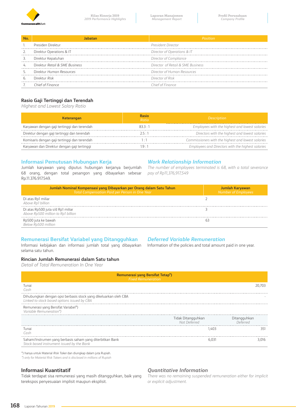

|    | Presiden Direktur              | <b>President Director</b>         |
|----|--------------------------------|-----------------------------------|
|    | Direktur Operations & IT       | Director of Operations & IT       |
|    | Direktur Kepatuhan             | Director of Compliance            |
| 4. | Direktur Retail & SME Business | Director of Retail & SME Business |
|    | Direktur Human Resources       | Director of Human Resources       |
| ь. | Direktur Risk                  | Director of Risk                  |
|    | Chief of Finance               | `hief of Finance                  |

# **Rasio Gaji Tertinggi dan Terendah**

*Highest and Lowest Salary Ratio*

| <b>Keterangan</b>                            | Rasio<br>Ratio | <b>Description</b>                                 |
|----------------------------------------------|----------------|----------------------------------------------------|
| Karyawan dengan gaji tertinggi dan terendah  | 833.1          | Employees with the highest and lowest salaries     |
| Direktur dengan gaji tertinggi dan terendah  |                | Directors with the highest and lowest salaries     |
| Komisaris dengan gaji tertinggi dan terendah |                | Commissioners with the highest and lowest salaries |
| Karyawan dan Direktur dengan gaji tertinggi  |                | Employees and Directors with the highest salaries  |

# **Informasi Pemutusan Hubungan Kerja**

Jumlah karyawan yang diputus hubungan kerjanya berjumlah 68 orang, dengan total pesangon yang dibayarkan sebesar Rp.11.376.917.549.

### *Work Relationship Information*

*The number of employees terminated is 68, with a total severance pay of Rp11,376,917,549*

| Jumlah Nominal Kompensasi yang Dibayarkan per Orang dalam Satu Tahun<br>Total Compensation Paid per Person in One Year | Jumlah Karyawan<br><b>Number of Employees</b> |
|------------------------------------------------------------------------------------------------------------------------|-----------------------------------------------|
| Di atas Rp1 miliar<br>Above Rp1 billion                                                                                |                                               |
| Di atas Rp500 juta s/d Rp1 miliar<br>Above Rp500 million to Rp1 billion                                                |                                               |
| Rp500 juta ke bawah<br>Below Rp500 million                                                                             |                                               |

### **Remunerasi Bersifat Variabel yang Ditangguhkan**

Informasi kebijakan dan informasi jumlah total yang dibayarkan selama satu tahun.

# *Deferred Variable Remuneration*

Information of the policies and total amount paid in one year.

### **Rincian Jumlah Remunerasi dalam Satu tahun**

*Detail of Total Remuneration In One Year*

| Remunerasi yang Bersifat Tetap <sup>*</sup> )<br><b>Fixed Remuneration</b>                                      |                                    |                          |  |  |
|-----------------------------------------------------------------------------------------------------------------|------------------------------------|--------------------------|--|--|
| Tunai<br>Cash                                                                                                   |                                    | 1.703                    |  |  |
| Dihubungkan dengan opsi berbasis stock yang dikeluarkan oleh CBA<br>Linked to stock based options issued by CBA |                                    |                          |  |  |
| Remunerasi yang Bersifat Variabel*)<br>Variable Remuneration*)                                                  |                                    |                          |  |  |
|                                                                                                                 | Tidak Ditangguhkan<br>Not Deferred | Ditangguhkan<br>Deferred |  |  |
| Tunai<br>Cash                                                                                                   |                                    | 351                      |  |  |
| Saham/Instrumen yang berbasis saham yang diterbitkan Bank<br>Stock based instrument issued by the Bank          |                                    | 3.016.                   |  |  |
|                                                                                                                 |                                    |                          |  |  |

\*) hanya untuk Material *Risk Taker* dan diungkap dalam juta Rupiah.

*\*) only for Material Risk Takers and is disclosed in millions of Rupiah*

### **Informasi Kuantitatif**

Tidak terdapat sisa remunerasi yang masih ditangguhkan, baik yang terekspos penyesuaian implisit maupun eksplisit.

### *Quantitative Information*

*There was no remaining suspended remuneration either for implicit or explicit adjustment.*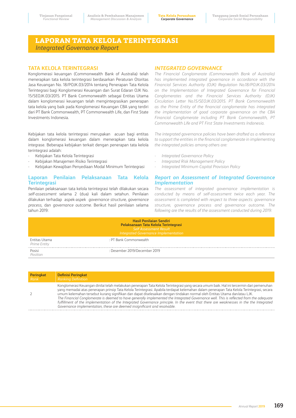# **LAPORAN TATA KELOLA TERINTEGRASI**  *Integrated Governance Report*

### **TATA KELOLA TERINTEGRASI**

Konglomerasi keuangan (Commonwealth Bank of Australia) telah menerapkan tata kelola terintegrasi berdasarkan Peraturan Otoritas Jasa Keuangan No. 18/POJK.03/2014 tentang Penerapan Tata Kelola Terintegrasi bagi Konglomerasi Keuangan dan Surat Edaran OJK No. 15/SEOJK.03/2015. PT Bank Commonwealth sebagai Entitas Utama dalam konglomerasi keuangan telah mengintegrasikan penerapan tata kelola yang baik pada Konglomerasi Keuangan CBA yang terdiri dari PT Bank Commonwealth, PT Commonwealth Life, dan First State Investments Indonesia.

Kebijakan tata kelola terintegrasi merupakan acuan bagi entitas dalam konglomerasi keuangan dalam menerapkan tata kelola integrase. Beberapa kebijakan terkait dengan penerapan tata kelola terintegrasi adalah:

- Kebijakan Tata Kelola Terintegrasi
- Kebijakan Manajemen Risiko Terintegrasi
- Kebijakan Kewajiban Penyediaan Modal Minimum Terintegrasi

### **Laporan Penilaian Pelaksanaan Tata Kelola Terintegrasi**

Penilaian pelaksanaan tata kelola terintegrasi telah dilakukan secara *self-assessment* selama 2 (dua) kali dalam setahun. Penilaian dilakukan terhadap aspek-aspek *governance structure, governance process*, dan *governance outcome*. Berikut hasil penilaian selama tahun 2019:

### *INTEGRATED GOVERNANCE*

*The Financial Conglomerate (Commonwealth Bank of Australia) has implemented integrated governance in accordance with the Financial Services Authority (OJK) Regulation No.18/POJK.03/2014 on the Implementation of Integrated Governance for Financial Conglomerates and the Financial Services Authority (OJK) Circulation Letter No.15/SEOJK.03/2015. PT Bank Commonwealth as the Prime Entity of the financial conglomerate has integrated the implementation of good corporate governance on the CBA Financial Conglomerate including PT Bank Commonwealth, PT Commonwealth Life and PT First State Investments Indonesia.*

*The integrated governance policies have been drafted as a reference to support the entities in the financial conglomerate in implementing the integrated policies among others are:*

- *- Integrated Governance Policy*
- *- Integrated Risk Management Policy*
- *- Integrated Minimum Capital Provision Policy*

### *Report on Assessment of Integrated Governance Implementation*

*The assessment of integrated governance implementation is conducted by means of self-assessment twice each year. The assessment is completed with respect to three aspects: governance structure, governance process and governance outcome. The following are the results of the assessment conducted during 2019:*

|                               | <b>Hasil Penilaian Sendiri</b><br>Pelaksanaan Tata Kelola Terintegrasi<br>Self Assessment Result<br>Integrated Governance Implementation |
|-------------------------------|------------------------------------------------------------------------------------------------------------------------------------------|
| Entitas Utama<br>Prime Entity | : PT Bank Commonwealth                                                                                                                   |
| Posisi<br>Position            | : Desember 2019/December 2019                                                                                                            |

| Peringkat | <b>Definisi Peringkat</b>                                                                                                                                                                                                                                                                                                                                                                                                                                                                                                                                                                                                                                                                                                                                                          |
|-----------|------------------------------------------------------------------------------------------------------------------------------------------------------------------------------------------------------------------------------------------------------------------------------------------------------------------------------------------------------------------------------------------------------------------------------------------------------------------------------------------------------------------------------------------------------------------------------------------------------------------------------------------------------------------------------------------------------------------------------------------------------------------------------------|
| Rank      | <b>Ranking Definition</b>                                                                                                                                                                                                                                                                                                                                                                                                                                                                                                                                                                                                                                                                                                                                                          |
|           | Konglomerasi Keuangan dinilai telah melakukan penerapan Tata Kelola Terintegrasi yang secara umum baik. Hal ini tercermin dari pemenuhan<br>yang memadai atas penerapan prinsip Tata Kelola Terintegrasi. Apabila terdapat kelemahan dalam penerapan Tata Kelola Terintegrasi, secara<br>umum kelemahan tersebut kurang signifikan dan dapat diselesaikan dengan tindakan normal oleh Entitas Utama dan/atau LJK.<br>The Financial Conglomerate is deemed to have generally implemented the Integrated Governance well. This is reflected from the adequate<br>fulfillment of the implementation of the Integrated Governance principle. In the event that there are weaknesses in the the Integrated<br>Governance implementation, these are deemed insignificant and resolvable. |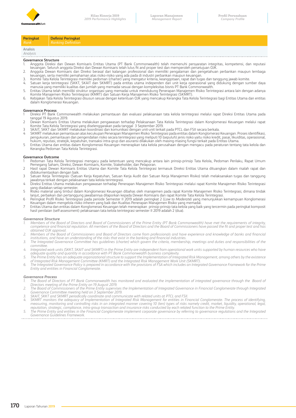

| Peringkat            | <b>Definisi Peringkat</b> |
|----------------------|---------------------------|
| Rank                 | <b>Ranking Definition</b> |
| Analisis<br>Analysis |                           |

### **Governance Structure**

- 1. Anggota Direksi dan Dewan Komisaris Entitas Utama (PT Bank Commonwealth) telah memenuhi persyaratan integritas, kompetensi, dan reputasi keuangan. Seluruh anggota Direksi dan Dewan Komisaris telah lulus fit and proper test dan memperoleh persetujuan OJK.
- 2. Anggota Dewan Komisaris dan Direksi berasal dari kalangan professional dan memiliki pengalaman dan pengetahuan perbankan maupun lembaga<br>keuangan, serta memiliki pemahaman atas risiko-risiko yang ada pada di industri per
- 3. Komite Tata Kelola Terintegrasi memiliki pedoman (charter) yang mengatur kriteria, keanggotaan, rapat dan tugas dan tanggung jawab komite.
- 4. Satuan kerja terintegrasi (SKKT, SKAIT dan SKMRT) pada entitas utama independen dari unit kerja operasional yang didukung dengan sumber daya<br>1934 manusia yang memiliki kualitas dan jumlah yang memadai sesuai dengan ko
- Komite Manajemen Risiko Terintegrasi (KMRT) dan Satuan Kerja Manajemen Risiko Terintegrasi (SKMRT).
- 6. Kebijakan Tata Kelola Terintegrasi disusun sesuai dengan ketentuan OJK yang mencakup Kerangka Tata Kelola Terintegrasi bagi Entitas Utama dan entitas dalam Konglomerasi Keuangan.

### **Governance Process**

- 1 Direksi PT Bank Commonwealth melakukan pemantauan dan evaluasi pelaksanaan tata kelola terintegrasi melalui rapat Direksi Entitas Utama pada tanggal 19 Agustus 2019.
- 2 Dewan Komisaris Entitas Utama melakukan pengawasan terhadap Pelaksanaan Tata Kelola Terintegrasi dalam Konglomerasi Keuangan melalui rapat<br>Komite Tata Kelola Terintegrasi yang diselenggarakan pada tanggal 3 September 2
- 
- 4 SKMRT melakukan pemantauan atas kecukupan Penerapan Manajemen Risiko Terintegrasi pada entitas dalam Konglomerasi Keuangan. Proses identifikasi, pengukuran, pemantauan dan pengendalian risiko secara terintegrasi yang meliputi 10 (sepuluh) jenis risiko yaitu risiko kredit, pasar, likuiditas, operasional,<br>hukum, reputasi, stratejik, kepatuhan, transaksi intra-grup da
- 5 Entitas Utama dan entitas dalam Konglomerasi Keuangan menerapkan tata kelola perusahaan dengan mengacu pada peraturan tentang tata kelola dan Kerangka Pedoman Tata Kelola Terintegrasi.

### **Governance Outcome**

- 1 Pedoman Tata Kelola Terintegrasi mengacu pada ketentuan yang mencakup antara lain prinsip-prinsip Tata Kelola, Pedoman Perilaku, Rapat Umum<br>Pemegang Saham, Direksi, Dewan Komisaris, Komite, Stakeholder, dan Pelaporan.<br>
- didokumentasikan dengan baik.
- 3 Satuan Kerja Terintegrasi (Satuan Kerja Kepatuhan, Satuan Kerja Audit dan Satuan Kerja Manajemen Risiko) telah melaksanakan tugas dan tanggung jawabnya terkait dengan pelaksanaan tata kelola terintegrasi.
- 4 Direksi Entitas Utama melakukan pengawasan terhadap Penerapan Manajemen Risiko Terintegrasi melalui rapat Komite Manajemen Risiko Terintegrasi yang diadakan setiap semester.
- Risiko material yang timbul dalam Konglomerasi Keuangan dibahas oleh manajemen pada rapat Komite Manajemen Risiko Terintegrasi, dimana tindak<br>Ianjut, perbaikan dan pertanggung jawabannya dilaporkan kepada Dewan Komisaris d
- Keuangan dalam mengelola risiko inheren yang baik dan Kualitas Penerapan Manajemen Risiko yang memadai.
- 7 Entitas Utama dan entitas dalam Konglomerasi Keuangan telah menerapkan prinsip-prinsip tata kelola yang baik yang tercermin pada peringkat komposit<br>hasil penilaian (self-assessment) pelaksanaan tata kelola terintegr

### *Governance Structure*

- *1. Members of the Board of Directors and Board of Commissioners of the Prime Entity (PT Bank Commonwealth) have met the requirements of integrity, competence and financial reputation. All members of the Board of Directors and the Board of Commissioners have passed the fit and proper test and has obtained OJK approval.*
- *2. Members of the Board of Commissioners and Board of Directors come from professionals and have experience and knowledge of banks and financial institutions, and have an understanding of the risks that exist in the banking and financial industries.*
- *3. The Integrated Governance Committee has guidelines (charter) which govern the criteria, membership, meetings and duties and responsibilities of the committee.*
- *4. Integrated work units (SKKT, SKAIT and SKMRT) in the Prime Entity are independent from operational work units supported by human resources who have adequate quality and quantity in accordance with PT Bank Commonwealth business complexity.*
- 5. The Prime Entity has an adequate organizational structure to support the Implementation of Integrated Risk Management, among others by the existence<br>of Integrated Risk Management Committee (KMRT) and the Integrated Risk
- *Entity and entities in Financial Conglomerate.*

### *Governance Process*

- 1. The Board of Directors of PT Bank Commonwealth has monitored and evaluated the implementation of integrated governance through the Board of<br>Directors meeting of the Prime Entity on 19 August 2019.<br>2. The Board of Commis
- *Governance Committee meeting held on 3 September 2019.*
- 
- 3. SKAIT, SKKT and SKMRT periodically coordinate and communicate with related units at PTCL and FSII.<br>4. SKMRT monitors the adequacy of Implementation of Integrated Risk Management for entities in Financial Conglomerate. T *reputation, strategic, compliance, intra-group transaction and insurance risks conducted by each related function to the Prime Entity.*
- *5. The Prime Entity and entities in the Financial Conglomerate implement corporate governance by referring to governance regulations and the Integrated Governance Guidelines Framework.*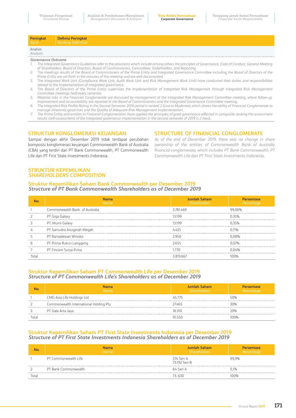| <b>Peringkat</b><br>Rank  | <b>Definisi Peringkat</b><br>Ranking Definition |  |  |
|---------------------------|-------------------------------------------------|--|--|
| Analisis<br>Analysis      |                                                 |  |  |
| <b>Governance Outcome</b> |                                                 |  |  |

- *1. The Integrated Governance Guidelines refer to the provisions which include among others the principles of Governance, Code of Conduct, General Meeting of Shareholders, Board of Directors, Board of Commissioners, Committees, Stakeholders, and Reporting.*
- *2. The meetings results of the Board of Commissioners of the Prime Entity and Integrated Governance Committee including the Board of Directors of the Prime Entity are set forth in the minutes of the meeting and are well documented.*
- 3. The Integrated Work Unit (Compliance Work Unit, Audit Work Unit and Risk Management Work Unit) have conducted their duties and responsibilities *related to the implementation of integrated governance.*
- *4. The Board of Directors of the Prime Entity supervises the Implementation of Integrated Risk Management through Integrated Risk Management Committee meetings held every semester.*
- *5. Material risks in the Financial Conglomerate are discussed by management at the Integrated Risk Management Committee meeting, where follow-up, improvement and accountability are reported to the Board of Commissioners and the Integrated Governance Committee meeting.*
- *6. The Integrated Risk Profile Rating in the Second Semester 2019 period is ranked 2 (Low to Moderate) which shows the ability of Financial Conglomerate to manage inherently good risks and the Quality of Adequate Risk Management Implementation.*
- *7. The Prime Entity and entities in Financial Conglomeration have applied the principles of good governance reflected in composite ranking the assessment results (self-assessment) of the integrated governance implementation in the second semester of 2019 is 2 (two).*

### **STRUKTUR KONGLOMERASI KEUANGAN**

Sampai dengan akhir Desember 2019 tidak terdapat perubahan komposisi konglomerasi keuangan Commonwealth Bank of Australia (CBA) yang terdiri dari PT Bank Commonwealth, PT Commonwealth Life dan PT First State Investments Indonesia.

*As of the end of December 2019, there was no change in share ownership of the entities of Commonwealth Bank of Australia financial conglomerate, which includes PT Bank Commonwealth, PT Commonwealth Life dan PT First State Investments Indonesia.*

**STRUCTURE OF FINANCIAL CONGLOMERATE**

### **STRUKTUR KEPEMILIKAN**  *SHAREHOLDERS COMPOSITION*

### **Struktur Kepemilikan Saham Bank Commonwealth per Desember 2019**  *Structure of PT Bank Commonwealth Shareholders as of December 2019*

| <b>Mame</b>                    | Jumlah Saham<br>Shareholders | Percentage |
|--------------------------------|------------------------------|------------|
| Commonwealth Bank of Australia | 3781469                      | 00%        |
| PT Giga Galaxy                 |                              |            |
| PT. Murni Galaxy               |                              |            |
| PT Samudra Anugerah Megah      |                              |            |
| PT Ramadewan Winoko            |                              |            |
| PT Prima Rukun Langgeng        |                              |            |
| PT Fincom Surya Putra          |                              |            |
|                                |                              |            |

### **Struktur Kepemilikan Saham PT Commonwealth Life per Desember 2019** *Structure of PT Commonwealth Life's Shareholders as of December 2019*

| Jama<br><b>Name</b>                    | Jumlah Saham<br><b>Shareholders</b> | Percentage |
|----------------------------------------|-------------------------------------|------------|
| CMG Asia Life Holdings Ltd             | 45775                               | 50%        |
| Commonwealth International Holding Pty | 27465                               | 30%        |
| PT Gala Arta Jaya                      | 18 310                              | 20%        |
|                                        |                                     | በበባ%       |

### **Struktur Kepemilikan Saham PT First State Investments Indonesia per Desember 2019** *Structure of PT First State Investments Indonesia Shareholders as of December 2019*

|       | lama<br><b>Name</b>  | Jumlah Saham<br><b>Shareholders</b> | Percentage |
|-------|----------------------|-------------------------------------|------------|
|       | PT Commonwealth Life | 374 Seri A<br>73192 Seri B          | 99.9%      |
|       | PT Bank Commonwealth | 64 Seri A                           | 0.1%       |
| Total |                      | חדה די                              | 100%       |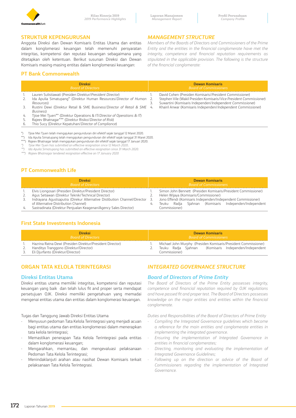

### **STRUKTUR KEPENGURUSAN**

Anggota Direksi dan Dewan Komisaris Entitas Utama dan entitas dalam konglomerasi keuangan telah memenuhi persyaratan integritas, kompetensi dan reputasi keuangan sebagaimana yang ditetapkan oleh ketentuan. Berikut susunan Direksi dan Dewan Komisaris masing-masing entitas dalam konglomerasi keuangan:

### **PT Bank Commonwealth**

### *MANAGEMENT STRUCTURE*

*Members of the Boards of Directors and Commissioners of the Prime Entity and the entities in the financial conglomerate have met the integrity, competence and financial reputation requirements as stipulated in the applicable provision. The following is the structure of the financial conglomerate:*

|    | <b>Direksi</b><br><b>Board of Directors</b>                                                                                                                                                 |      | <b>Dewan Komisaris</b><br><b>Board of Commissioners</b>                                                                                                                                     |
|----|---------------------------------------------------------------------------------------------------------------------------------------------------------------------------------------------|------|---------------------------------------------------------------------------------------------------------------------------------------------------------------------------------------------|
|    | Lauren Sulistiawati (Presiden Direktur/President Director)<br>Ida Apulia Simatupang* (Direktur Human Resources/Director of Human<br>Resources)                                              | - 2. | David Cohen (Presiden Komisaris/President Commissioner)<br>Stephen Vile (Wakil Presiden Komisaris/Vice President Commissioner)<br>Suwartini (Komisaris Independen/Independent Commissioner) |
| 3. | Rustini Dewi (Direktur Retail & SME Business/Director of Retail & SME 4.<br>Business)                                                                                                       |      | Khairil Anwar (Komisaris Independen/Independent Commissioner)                                                                                                                               |
| 4. | Tijoe Mei Tjuen** (Direktur Operations & IT/Director of Operations & IT)<br>Rajeev Bhatnagar*** (Direktur Risiko/Director of Risk)<br>Thio Sucy (Direktur Kepatuhan/Director of Compliance) |      |                                                                                                                                                                                             |

\*) Tjioe Mei Tjuen telah mengajukan pengunduran diri efektif sejak tanggal 12 Maret 2020.

\*\*) Ida Apulia Simatupang telah mengajukan pengunduran diri efektif sejak tanggal 31 Maret 2020.

\*\*\*) Rajeev Bhatnagar telah mengajukan pengunduran diri efektif sejak tanggal 17 Januari 2020.

*\*) Tjioe Mei Tjuen has submitted an effective resignation since 12 March 2020..* 

*\*\*) Ida Apulia Simatupang has submitted an effective resignation since 31 March 2020.* 

*\*\*\*) Rajeev Bhatnagar tendered resignation effective on 17 January 2020*

# **PT Commonwealth Life**

| <b>Direksi</b><br><b>Board of Directors</b> |                                                                             | <b>Dewan Komisaris</b><br><b>Board of Commissioners</b>        |  |  |
|---------------------------------------------|-----------------------------------------------------------------------------|----------------------------------------------------------------|--|--|
|                                             | Elvis Liongosari (Presiden Direktur/President Director)                     | Simon John Bennett (Presiden Komisaris/President Commissioner) |  |  |
|                                             | Agus Setiawan (Direktur Teknik/Technical Director)                          | Helen Wijaya (Komisaris/Commissioner)                          |  |  |
|                                             | Indrayana Agustsaputra (Direkur Alternative Distibution Channel/Director 3. | Jono Effendi (Komisaris Independen/Independent Commissioner)   |  |  |
|                                             | of Alternative Distribution Channel)                                        | Teuku Radia Siahnan (Komisaris Independen/Independent          |  |  |
|                                             | Sastradinata (Direktur Penjualan Keagenan/Agency Sales Director)            | Commissioner)                                                  |  |  |

# **First State Investments Indonesia**

| <b>Direksi</b>            |                                                                                                                                          | Dewan Komisaris               |                                                                                                                                           |  |
|---------------------------|------------------------------------------------------------------------------------------------------------------------------------------|-------------------------------|-------------------------------------------------------------------------------------------------------------------------------------------|--|
| <b>Board of Directors</b> |                                                                                                                                          | <b>Board of Commissioners</b> |                                                                                                                                           |  |
|                           | Hazrina Ratna Dewi (Presiden Direktur/President Director)<br>Handityo Tranggono (Direktur/Director)<br>Eli Djurfanto (Direktur/Director) |                               | Michael John Murphy (Presiden Komisaris/President Commissioner)<br>Teuku Radia Siahnan (Komisaris Independen/Independent<br>Commissioner) |  |

# **ORGAN TATA KELOLA TERINTEGRASI**

### **Direksi Entitas Utama**

Direksi entitas utama memiliki integritas, kompetensi dan reputasi keuangan yang baik dan telah lulus fit and proper serta mendapat persetujuan OJK. Direksi memiliki pengetahuan yang memadai mengenai entitas utama dan entitas dalam konglomerasi keuangan.

Tugas dan Tanggung Jawab Direksi Entitas Utama

- Menyusun pedoman Tata Kelola Terintegrasi yang menjadi acuan bagi entitas utama dan entitas konglomerasi dalam menerapkan tata kelola terintegrasi;
- Memastikan penerapan Tata Kelola Terintegrasi pada entitas dalam konglomerasi keuangan;
- Mengarahkan, memantau, dan mengevaluasi pelaksanaan Pedoman Tata Kelola Terintegrasi;
- Menindaklanjuti arahan atau nasihat Dewan Komisaris terkait pelaksanaan Tata Kelola Terintegrasi.

# *INTEGRATED GOVERNANCE STRUCTURE*

### *Board of Directors of Prime Entity*

*The Board of Directors of the Prime Entity possesses integrity, competence and financial reputation required by OJK regulations and have passed fit and proper test. The Board of Directors possesses knowledge on the major entities and entities within the financial conglomerate.*

*Duties and Responsibilities of the Board of Directors of Prime Entity*

- *- Compiling the Integrated Governance guidelines which become a reference for the main entities and conglomerate entities in implementing the integrated governance.*
- *- Ensuring the implementation of Integrated Governance in entities in financial conglomerates;*
- *- Directing, monitoring and evaluating the implementation of Integrated Governance Guidelines;*
- *- Following up on the direction or advice of the Board of Commissioners regarding the implementation of Integrated Governance.*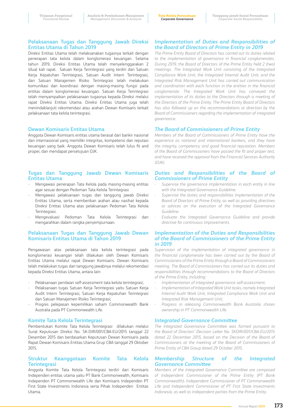### **Pelaksanaan Tugas dan Tanggung Jawab Direksi Entitas Utama di Tahun 2019**

Direksi Entitas Utama telah melaksanakan tugasnya terkait dengan penerapan tata kelola dalam konglomerasi keuangan. Selama tahun 2019, Direksi Entitas Utama telah menyelenggarakan 2 (dua) kali rapat. Satuan Kerja Terintegrasi yang terdiri dari Satuan Kerja Kepatuhan Terintegrasi, Satuan Audit Intern Terintegrasi, dan Satuan Manajemen Risiko Terintegrasi telah melakukan komunikasi dan koordinasi dengan masing-masing fungsi pada entitas dalam konglomerasi keuangan. Satuan Kerja Terintegrasi telah menyampaikan pelaksanaan tugasnya kepada Direksi melalui rapat Direksi Entitas Utama. Direksi Entitas Utama juga telah menindaklanjuti rekomendasi atau arahan Dewan Komisaris terkait pelaksanaan tata kelola terintegrasi.

### **Dewan Komisaris Entitas Utama**

Anggota Dewan Komisaris entitas utama berasal dari bankir nasional dan internasional yang memiliki integritas, kompetensi dan reputasi keuangan yang baik. Anggota Dewan Komisaris telah lulus fit and proper, dan mendapat persetujuan OJK.

### **Tugas dan Tanggung Jawab Dewan Komisaris Entitas Utama**

- Mengawasi penerapan Tata Kelola pada masing-masing entitas agar sesuai dengan Pedoman Tata Kelola Terintegrasi.
- Mengawasi pelaksanaan tugas dan tanggung jawab Direksi Entitas Utama, serta memberikan arahan atau nasihat kepada Direksi Entitas Utama atas pelaksanaan Pedoman Tata Kelola Terintegrasi.
- Mengevaluasi Pedoman Tata Kelola Terintegrasi dan mengarahkan dalam rangka penyempurnaan.

### **Pelaksanaan Tugas dan Tanggung Jawab Dewan Komisaris Entitas Utama di Tahun 2019**

Pengawasan atas pelaksanaan tata kelola terintegrasi pada konglomerasi keuangan telah dilakukan oleh Dewan Komisaris Entitas Utama melalui rapat Dewan Komisaris. Dewan Komisaris telah melakukan tugas dan tanggung jawabnya melalui rekomendasi kepada Direksi Entitas Utama, antara lain:

- Pelaksanaan penilaian self-assessment tata kelola terintegrasi;
- Pelaksanaan tugas Satuan Kerja Terintegrasi yaitu Satuan Kerja Audit Intern Terintegrasi, Satuan Kerja Kepatuhan Terintegrasi dan Satuan Manajemen Risiko Terintegrasi;
- Progres pelepasan kepemilikan saham Commonwealth Bank Australia pada PT Commonwealth Life.

### **Komite Tata Kelola Terintegrasi**

Pembentukan Komite Tata Kelola Terintegrasi dilakukan melalui Surat Keputusan Direksi No. SK-DIR/001/CBA-EU/2015 tanggal 22 Desember 2015 dan berdasarkan Keputusan Dewan Komisaris pada Rapat Dewan Komisaris Entitas Utama Grup CBA tanggal 29 Oktober 2015.

### **Struktur Keanggotaan Komite Tata Kelola Terintegrasi**

Anggota Komite Tata Kelola Terintegrasi terdiri dari Komisaris Independen entitas utama yaitu PT Bank Commonwealth, Komisaris Independen PT Commonwealth Life dan Komisaris Independen PT First State Investments Indonesia serta Pihak Independen Entitas Utama.

### *Implementation of Duties and Responsibilities of the Board of Directors of Prime Entity in 2019*

*The Prime Entity Board of Directors has carried out its duties related to the implementation of governance in financial conglomerates. During 2019, the Board of Directors of the Prime Entity held 2 (two) meetings. The Integrated Work Unit consisting of the Integrated Compliance Work Unit, the Integrated Internal Audit Unit, and the Integrated Risk Management Unit has carried out communication and coordination with each function in the entities in the financial conglomerate. The Integrated Work Unit has conveyed the implementation of its duties to the Directors through a meeting of the Directors of the Prime Entity. The Prime Entity Board of Directors has also followed up on the recommendations or direction by the Board of Commissioners regarding the implementation of integrated governance.*

### *The Board of Commissioners of Prime Entity*

*Members of the Board of Commissioners of Prime Entity have the experience as national and international bankers, and they have the integrity, competency and good financial reputation. Members of the Board of Commissioners have passed the fit and proper test, and have received the approval from the Financial Services Authority (OJK).*

### *Duties and Responsibilities of the Board of Commissioners of Prime Entity*

- *- Supervise the governance implementation in each entity in line with the Integrated Governance Guideline.*
- *- Supervise the duties and responsibilities implementation of the Board of Directors of Prime Entity, as well as providing directives or advices on the execution of the Integrated Governance Guideline.*
- *- Evaluate the Integrated Governance Guideline and provide directive for continuous improvements.*

### *Implementation of the Duties and Responsibilities of the Board of Commissioners of the Prime Entity in 2019*

*Supervision of the implementation of integrated governance in the financial conglomerate has been carried out by the Board of Commissioners of the Prime Entity through a Board of Commissioners meeting. The Board of Commissioners has carried out its duties and responsibilities through recommendations to the Board of Directors of the Prime Entity, including:*

- *- Implementation of integrated governance self-assessment;*
- *- Implementation of Integrated Work Unit tasks, namely Integrated Internal Audit Work Unit, Integrated Compliance Work Unit and Integrated Risk Management Unit;*
- *- Progress in releasing Commonwealth Bank Australia shares ownership in PT Commonwealth Life.*

### *Integrated Governance Committee*

*The Integrated Governance Committee was formed pursuant to the Board of Directors' Decision Letter No. SKDIR/001/CBA-EU/2015 dated 22 December 2015, based on the Decision of the Board of Commissioners at the meeting of the Board of Commissioners of Prime Entity of CBA Group dated 29 October 2015.*

### *Membership Structure of the Integrated Governance Committee*

*Members of the Integrated Governance Committee are composed of Independent Commissioner of the Prime Entity (PT Bank Commonwealth), Independent Commissioner of PT Commonwealth Life and Independent Commisioner of PT First State Investments Indonesia, as well as independent parties from the Prime Entity.*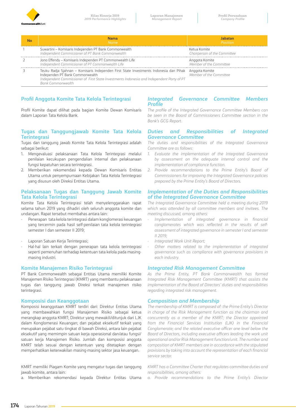

| Nama<br><b>Name</b>                                                                                                                                                                                                                                        | Position                                     |
|------------------------------------------------------------------------------------------------------------------------------------------------------------------------------------------------------------------------------------------------------------|----------------------------------------------|
| Suwartini - Komisaris Independen PT Bank Commonwealth<br>Independent Commissioner of PT Bank Commonwealth                                                                                                                                                  | Ketua Komite<br>Chairperson of the Committee |
| Jono Effendy - Komisaris Independen PT Commonwealth Life<br>Independent Commissioner of PT Commonwealth Life                                                                                                                                               | Anggota Komite<br>Member of the Committee    |
| Teuku Radja Sjahnan – Komisaris Independen First State Investments Indonesia dan Pihak Anggota Komite<br>Independen PT Bank Commonwealth<br>Independent Commissioner of First State Investments Indonesia and Independent Party of PT<br>Bank Commonwealth | Member of the Committee                      |

# **Profil Anggota Komite Tata Kelola Terintegrasi**

Profil Komite dapat dilihat pada bagian Komite Dewan Komisaris dalam Laporan Tata Kelola Bank.

### **Tugas dan Tanggungjawab Komite Tata Kelola Terintegrasi**

Tugas dan tanggung jawab Komite Tata Kelola Terintegrasi adalah sebagai berikut:

- 1. Mengevaluasi pelaksanaan Tata Kelola Terintegrasi melalui penilaian kecukupan pengendalian internal dan pelaksanaan fungsi kepatuhan secara terintegrasi.
- 2. Memberikan rekomendasi kepada Dewan Komisaris Entitas Utama untuk penyempurnaan Kebijakan Tata Kelola Terintegrasi yang disusun oleh Direksi Entitas Utama.

### **Pelaksanaan Tugas dan Tanggung Jawab Komite Tata Kelola Terintegrasi**

Komite Tata Kelola Terintegrasi telah menyelenggarakan rapat selama tahun 2019 yang dihadiri oleh seluruh anggota komite dan undangan. Rapat tersebut membahas antara lain:

- Penerapan tata kelola terintegrasi dalam konglomerasi keuangan yang tercermin pada hasil self-penilaian tata kelola terintegrasi semester I dan semester II 2019;
- Laporan Satuan Kerja Terintegrasi;
- Hal-hal lain terkait dengan penerapan tata kelola terintegrasi seperti pemenuhan terhadap ketentuan tata kelola pada masingmasing industri.

### **Komite Manajemen Risiko Terintegrasi**

PT Bank Commonwealth sebagai Entitas Utama memiliki Komite Manajemen Risiko Terintegrasi (KMRT) yang membantu pelaksanaan tugas dan tanggung jawab Direksi terkait manajemen risiko terintegrasi.

### **Komposisi dan Keanggotaan**

Komposisi keanggotaan KMRT terdiri dari: Direktur Entitas Utama yang membawahkan fungsi Manajemen Risiko sebagai ketua merangkap anggota KMRT; Direktur yang mewakili/ditunjuk dari LJK dalam Konglomerasi Keuangan; dan pejabat eksekutif terkait yang merupakan pejabat satu tingkat di bawah Direksi, antara lain pejabat eksekutif yang memimpin satuan kerja operasional dan/atau fungsi/ satuan kerja Manajemen Risiko. Jumlah dan komposisi anggota KMRT telah sesuai dengan ketentuan yang ditetapkan dengan memperhatikan keterwakilan masing-masing sektor jasa keuangan.

KMRT memiliki Piagam Komite yang mengatur tugas dan tanggung jawab komite, antara lain:

a. Memberikan rekomendasi kepada Direktur Entitas Utama

### *Integrated Governance Committee Members Profile*

*The profile of the Integrated Governance Committee Members can be seen in the Board of Commissioners Committee section in the Bank's GCG Report.*

### *Duties and Responsibilities of Integrated Governance Committee*

*The duties and responsibilities of the Integrated Governance Committee are as follows:*

- *1. Evaluate the implementation of the Integrated Governance by assessment on the adequate internal control and the implementation of compliance function.*
- *2. Provide recommendations to the Prime Entity's Board of Commissioners for improving the Integrated Governance policies prepared by the Prime Entity's Board of Directors.*

### *Implementation of the Duties and Responsibilities of the Integrated Governance Committee*

*The Integrated Governance Committee held a meeting during 2019 which was attended by all committee members and invitees. The meeting discussed, among others:*

- *- Implementation of integrated governance in financial conglomerates which was reflected in the results of selfassessment of integrated governance in semester I and semester II 2019;*
- *- Integrated Work Unit Report;*
- *- Other matters related to the implementation of integrated governance such as compliance with governance provisions in each industry.*

### *Integrated Risk Management Committee*

*As the Prime Entity, PT Bank Commonwealth has formed Integrated Risk Management Committee (KMRT) that assists the implementation of the Board of Directors' duties and responsibilities regarding integrated risk management.*

### *Composition and Membership*

*The membership of KMRT is composed of: the Prime Entity's Director in charge of the Risk Management function as the chairman and concurrently as a member of the KMRT; the Director appointed from the Financial Services Institution (LJK) in the Financial Conglomerate; and the related executive officer one level below the*  Board of Directors, including executive officers leading the work unit *operational and/or Risk Management function/unit. The number and composition of KMRT members are in accordance with the stipulated provisions by taking into account the representation of each financial service sector.*

*KMRT has a Committee Charter that regulates committee duties and responsibilities, among others:*

*a. Provide recommendations to the Prime Entity's Director*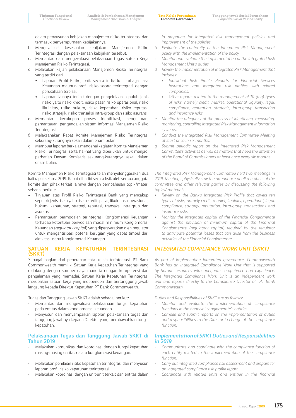- b. Mengevaluasi kesesuaian kebijakan Manajemen Risiko Terintegrasi dengan pelaksanaan kebijakan tersebut.
- c. Memantau dan mengevaluasi pelaksanaan tugas Satuan Kerja Manajemen Risiko Terintegrasi.
- d. Melakukan kajian pelaksanaan Manajemen Risiko Terintegrasi yang terdiri dari:
	- Laporan Profil Risiko, baik secara individu Lembaga Jasa Keuangan maupun profil risiko secara terintegrasi dengan perusahaan terelasi.
	- Laporan lainnya terkait dengan pengelolaan sepuluh jenis risiko yaitu risiko kredit, risiko pasar, risiko operasional, risiko likuiditas, risiko hukum, risiko kepatuhan, risiko reputasi, risiko stratejik, risiko transaksi intra-group dan risiko asuransi.
- e. Memantau kecukupan proses identifikasi, pengukuran, pemantauan, pengendalian sistem informasi Manajemen Risiko Terintegrasi.
- f. Melaksanakan Rapat Komite Manajemen Risiko Terintegrasi sekurang-kurangnya sekali dalam enam bulan.
- g. Membuat laporan berkala mengenai kegiatan Komite Manajemen Risiko Terintegrasi serta hal-hal yang diperlukan untuk menjadi perhatian Dewan Komisaris sekurang-kurangnya sekali dalam enam bulan.

Komite Manajemen Risiko Terintegrasi telah menyelenggarakan dua kali rapat selama 2019. Rapat dihadiri secara fisik oleh semua anggota komite dan pihak terkait lainnya dengan pembahasan topik/materi sebagai berikut:

- Tinjauan atas Profil Risiko Terintegrasi Bank yang mencakup sepuluh jenis risiko yaitu risiko kredit, pasar, likuiditas, operasional, hukum, kepatuhan, strategi, reputasi, transaksi intra-grup dan asuransi.
- Pemantauan permodalan terintegrasi Konglomerasi Keuangan terhadap ketentuan penyediaan modal minimum Konglomerasi Keuangan (*regulatory capita*l) yang dipersyaratkan oleh regulator untuk mengantisipasi potensi kerugian yang dapat timbul dari aktivitas usaha Konglomerasi Keuangan.

### **SATUAN KERJA KEPATUHAN TERINTEGRASI (SKKT)**

Sebagai bagian dari penerapan tata kelola terintegrasi, PT Bank Commonwealth memiliki Satuan Kerja Kepatuhan Terintegrasi yang didukung dengan sumber daya manusia dengan kompetensi dan pengalaman yang memadai. Satuan Kerja Kepatuhan Terintegrasi merupakan satuan kerja yang independen dan bertanggung jawab langsung kepada Direktur Kepatuhan PT Bank Commonwealth.

Tugas dan Tanggung Jawab SKKT adalah sebagai berikut:

- Memantau dan mengevaluasi pelaksanaan fungsi kepatuhan pada entitas dalam konglomerasi keuangan.
- Menyusun dan menyampaikan laporan pelaksanaan tugas dan tanggung jawabnya kepada Direktur yang membawahkan fungsi kepatuhan.

### **Pelaksanaan Tugas dan Tanggung Jawab SKKT di Tahun 2019**

- Melakukan komunikasi dan koordinasi dengan fungsi kepatuhan masing-masing entitas dalam konglomerasi keuangan.
- Melakukan penilaian risiko kepatuhan terintegrasi dan menyusun laporan profil risiko kepatuhan terintegrasi.
- Melakukan koordinasi dengan unit-unit terkait dan entitas dalam

*in preparing for integrated risk management policies and improvement of the policies.*

- *b. Evaluate the confirmity of the Integrated Risk Management policy with the implementation of the policy.*
- *c. Monitor and evaluate the implementation of the Integrated Risk Management Unit's duties.*
- *d. Review the implementation of Integrated Risk Management that includes:*
	- *• Individual Risk Profile Reports for Financial Services Institutions and integrated risk profiles with related companies.*
	- *• Other reports related to the management of 10 (ten) types of risks, namely credit, market, operational, liquidity, legal, compliance, reputation, strategic, intra-group transaction and insurance risks.*
- *e. Monitor the adequacy of the process of identifying, measuring, monitoring, controlling integrated Risk Management information systems.*
- *f. Conduct the Integrated Risk Management Committee Meeting at least once in six months.*
- *g. Submit periodic report on the Integrated Risk Management Committee's activities as well as matters that need the attention of the Board of Commissioners at least once every six months.*

*The Integrated Risk Management Committee held two meetings in 2019. Meetings physically saw the attendance of all members of the committee and other relevant parties by discussing the following topics/ materials:*

- *• Review on the Bank's Integrated Risk Profile that covers ten types of risks, namely credit, market, liquidity, operational, legal, compliance, strategy, reputation, intra-group transactions and insurance risks.*
- *• Monitor the integrated capital of the Financial Conglomerate against the provision of minimum capital of the Financial Conglomerate (regulatory capital) required by the regulator to anticipate potential losses that can arise from the business activities of the Financial Conglomerate.*

### *INTEGRATED COMPLIANCE WORK UNIT (SKKT)*

*As part of implementing integrated governance, Commonwealth Bank has an Integrated Compliance Work Unit that is supported by human resources with adequate competence and experience. The Integrated Compliance Work Unit is an independent work unit and reports directly to the Compliance Director of PT Bank Commonwealth.*

*Duties and Responsibilities of SKKT are as follows:*

- *- Monitor and evaluate the implementation of compliance functions in the financial conglomerate's entities.*
- *- Compile and submit reports on the implementation of duties and responsibilities to the Director in charge of the compliance function.*

### *Implementation of SKKT Duties and Responsibilities in 2019*

- *- Communicate and coordinate with the compliance function of each entity related to the implementation of the compliance function.*
- *- Carry out integrated compliance risk assessment and prepare for an integrated compliance risk profile report.*
- *- Coordinate with related units and entities in the financial*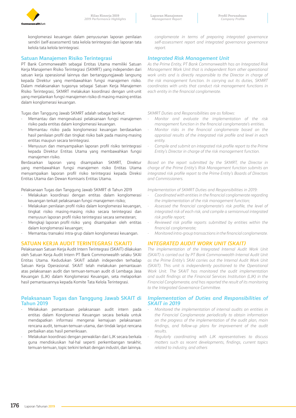

konglomerasi keuangan dalam penyusunan laporan penilaian sendiri (self-assessment) tata kelola terintegrasi dan laporan tata kelola tata kelola terintegrasi.

### **Satuan Manajemen Risiko Terintegrasi**

PT Bank Commonwealth sebagai Entitas Utama memiliki Satuan Kerja Manajemen Risiko Terintegrasi (SKMRT) yang independen dari satuan kerja operasional lainnya dan bertanggungjawab langsung kepada Direktur yang membawahkan fungsi manajemen risiko. Dalam melaksanakan tugasnya sebagai Satuan Kerja Manajemen Risiko Terintegrasi, SKMRT melakukan koordinasi dengan unit-unit yang menjalankan fungsi manajemen risiko di masing-masing entitas dalam konglomerasi keuangan.

Tugas dan Tanggung Jawab SKMRT adalah sebagai berikut:

- Memantau dan mengevaluasi pelaksanaan fungsi manajemen risiko pada entitas dalam konglomerasi keuangan.
- Memantau risiko pada konglomerasi keuangan berdasarkan hasil penilaian profil dan tingkat risiko baik pada masing-masing entitas maupun secara terintegrasi.
- Menyusun dan menyampaikan laporan profil risiko terintegrasi kepada Direktur Entitas Utama yang membawahkan fungsi manajemen risiko.

Berdasarkan laporan yang disampaikan SKMRT, Direktur yang membawahkan fungsi manajemen risiko Entitas Utama menyampaikan laporan profil risiko terintegrasi kepada Direksi Entitas Utama dan Dewan Komisaris Entitas Utama.

Pelaksanaan Tugas dan Tanggung Jawab SKMRT di Tahun 2019

- Melakukan koordinasi dengan entitas dalam konglomerasi keuangan terkait pelaksanaan fungsi manajemen risiko;
- Melakukan penilaian profil risiko dalam konglomerasi keuangan, tingkat risiko masing-masing risiko secara terintegrasi dan menyusun laporan profil risiko terintegrasi secara semesteran;
- Mengkaji laporan profil risiko yang disampaikan oleh entitas dalam konglomerasi keuangan;
- Memantau transaksi intra-grup dalam konglomerasi keuangan.

### **SATUAN KERJA AUDIT TERINTEGRASI (SKAIT)**

Pelaksanaan Satuan Kerja Audit Intern Terintegrasi (SKAIT) dilakukan oleh Satuan Kerja Audit Intern PT Bank Commonwealth selaku SKAI Entitas Utama. Kedudukan SKAIT adalah independen terhadap Satuan Kerja Operasional. SKAIT telah melakukan pemantauan atas pelaksanaan audit dan temuan-temuan audit di Lembaga Jasa Keuangan (LJK) dalam Konglomerasi Keuangan, seta melaporkan hasil pemantauannya kepada Komite Tata Kelola Terintegrasi.

### **Pelaksanaan Tugas dan Tanggung Jawab SKAIT di Tahun 2019**

- Melakukan pemantauan pelaksanaan audit intern pada entitas dalam Konglomerasi Keuangan secara berkala untuk mendapatkan informasi mengenai kemajuan pelaksanaan rencana audit, temuan-temuan utama, dan tindak lanjut rencana perbaikan atas hasil pemeriksaan.
- Melakukan koordinasi dengan perwakilan dari LJK secara berkala guna mendiskusikan hal-hal seperti perkembangan terakhir, temuan-temuan, topic terkini terkait dengan industri, dan lainnya.

*conglomerate in terms of preparing integrated governance self-assessment report and integrated governance governance report.*

### *Integrated Risk Management Unit*

*As the Prime Entity, PT Bank Commonwealth has an Integrated Risk Management Work Unit that is independent from other operational work units and is directly responsible to the Director in charge of the risk management function. In carrying out its duties, SKMRT coordinates with units that conduct risk management functions in each entity in the financial conglomerate.*

*SKMRT Duties and Responsibilities are as follows:*

- *- Monitor and evaluate the implementation of the risk management function in the financial conglomerate's entities.*
- *- Monitor risks in the financial conglomerate based on the appraisal results of the integrated risk profile and level in each entity.*
- *- Compile and submit an integrated risk profile report to the Prime Entity's Director in charge of the risk management function.*

*Based on the report submitted by the SKMRT, the Director in charge of the Prime Entity's Risk Management function submits an integrated risk profile report to the Prime Entity's Boards of Directors and Commissioners.*

*Implementation of SKMRT Duties and Responsibilities in 2019:*

- *- Coordinated with entities in the financial conglomerate regarding the implementation of the risk management function;*
- *- Assessed the financial conglomerate's risk profile, the level of integrated risk of each risk, and compile a semiannual integrated risk profile report;*
- *- Reviewed risk profile reports submitted by entities within the financial conglomerate;*
- *- Monitored intra-group transactions in the financial conglomerate.*

### *INTEGRATED AUDIT WORK UNIT (SKAIT)*

*The implementation of the Integrated Internal Audit Work Unit (SKAIT) is carried out by PT Bank Commonwealth Internal Audit Unit as the Prime Entity's SKAI carries out the Internal Audit Work Unit (SKAIT). This unit is independently positioned to the Operational Work Unit. The SKAIT has monitored the audit implementation and audit findings at the Financial Services Institution (LJK) in the Financial Conglomerate, and has reported the result of its monitoring to the Integrated Governance Committee.*

### *Implementation of Duties and Responsibilities of SKAIT in 2019*

- *- Monitored the implementation of internal audits on entities in the Financial Conglomerate periodically to obtain information on the progress of the implementation of the audit plan, main findings, and follow-up plans for improvement of the audit results.*
- *- Regularly coordinating with LJK representatives to discuss matters such as recent developments, findings, current topics related to industry, and others*